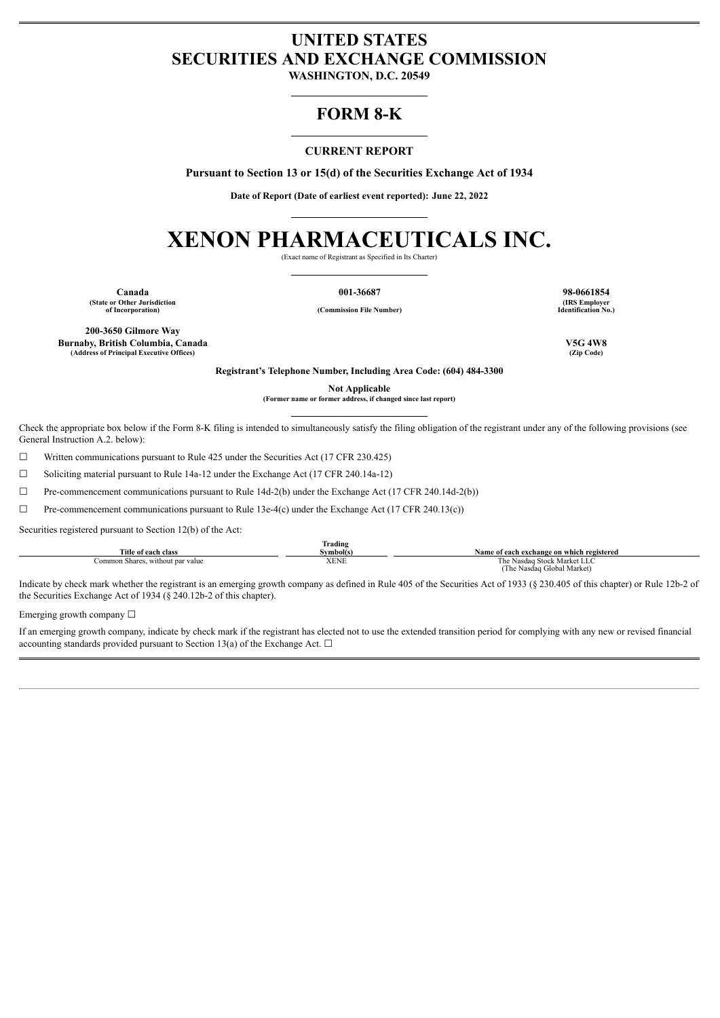# **UNITED STATES SECURITIES AND EXCHANGE COMMISSION**

**WASHINGTON, D.C. 20549**

# **FORM 8-K**

# **CURRENT REPORT**

**Pursuant to Section 13 or 15(d) of the Securities Exchange Act of 1934**

**Date of Report (Date of earliest event reported): June 22, 2022**

# **XENON PHARMACEUTICALS INC.**

(Exact name of Registrant as Specified in Its Charter)

**Canada 001-36687 98-0661854 (State or Other Jurisdiction**

**of Incorporation) (Commission File Number)**

**(IRS Employer Identification No.)**

**200-3650 Gilmore Way Burnaby, British Columbia, Canada V5G 4W8 (Address of Principal Executive Offices)** 

**Registrant's Telephone Number, Including Area Code: (604) 484-3300**

**Not Applicable**

**(Former name or former address, if changed since last report)**

Check the appropriate box below if the Form 8-K filing is intended to simultaneously satisfy the filing obligation of the registrant under any of the following provisions (see General Instruction A.2. below):

☐ Written communications pursuant to Rule 425 under the Securities Act (17 CFR 230.425)

☐ Soliciting material pursuant to Rule 14a-12 under the Exchange Act (17 CFR 240.14a-12)

 $\Box$  Pre-commencement communications pursuant to Rule 14d-2(b) under the Exchange Act (17 CFR 240.14d-2(b))

 $\Box$  Pre-commencement communications pursuant to Rule 13e-4(c) under the Exchange Act (17 CFR 240.13(c))

Securities registered pursuant to Section 12(b) of the Act:

|                                  | <b>frading</b><br><b>CONTRACTOR</b> |                                           |
|----------------------------------|-------------------------------------|-------------------------------------------|
| Title of each class              | Symbol(s)                           | Name of each exchange on which registered |
| Common Shares, without par value | XENE                                | The Nasdag Stock Market LLC               |
|                                  |                                     | (The Nasdag Global Market)                |

Indicate by check mark whether the registrant is an emerging growth company as defined in Rule 405 of the Securities Act of 1933 (§ 230.405 of this chapter) or Rule 12b-2 of the Securities Exchange Act of 1934 (§ 240.12b-2 of this chapter).

Emerging growth company  $\Box$ 

If an emerging growth company, indicate by check mark if the registrant has elected not to use the extended transition period for complying with any new or revised financial accounting standards provided pursuant to Section 13(a) of the Exchange Act.  $\Box$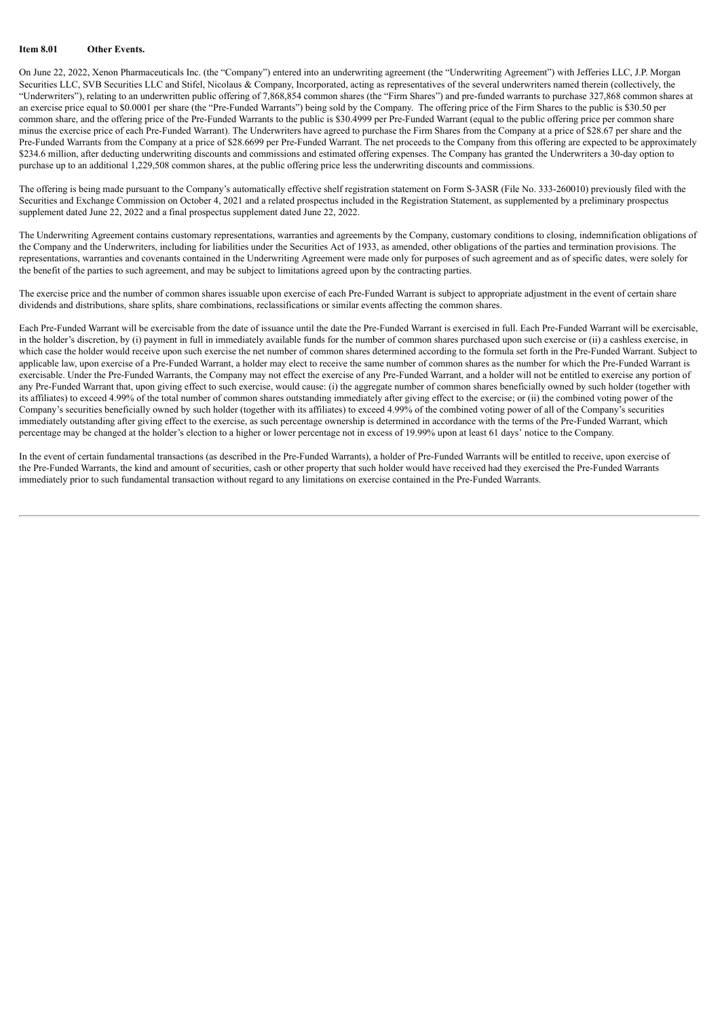# **Item 8.01 Other Events.**

On June 22, 2022, Xenon Pharmaceuticals Inc. (the "Company") entered into an underwriting agreement (the "Underwriting Agreement") with Jefferies LLC, J.P. Morgan Securities LLC, SVB Securities LLC and Stifel, Nicolaus & Company, Incorporated, acting as representatives of the several underwriters named therein (collectively, the "Underwriters"), relating to an underwritten public offering of 7,868,854 common shares (the "Firm Shares") and pre-funded warrants to purchase 327,868 common shares at an exercise price equal to \$0.0001 per share (the "Pre-Funded Warrants") being sold by the Company. The offering price of the Firm Shares to the public is \$30.50 per common share, and the offering price of the Pre-Funded Warrants to the public is \$30.4999 per Pre-Funded Warrant (equal to the public offering price per common share minus the exercise price of each Pre-Funded Warrant). The Underwriters have agreed to purchase the Firm Shares from the Company at a price of \$28.67 per share and the Pre-Funded Warrants from the Company at a price of \$28.6699 per Pre-Funded Warrant. The net proceeds to the Company from this offering are expected to be approximately \$234.6 million, after deducting underwriting discounts and commissions and estimated offering expenses. The Company has granted the Underwriters a 30-day option to purchase up to an additional 1,229,508 common shares, at the public offering price less the underwriting discounts and commissions.

The offering is being made pursuant to the Company's automatically effective shelf registration statement on Form S-3ASR (File No. 333-260010) previously filed with the Securities and Exchange Commission on October 4, 2021 and a related prospectus included in the Registration Statement, as supplemented by a preliminary prospectus supplement dated June 22, 2022 and a final prospectus supplement dated June 22, 2022.

The Underwriting Agreement contains customary representations, warranties and agreements by the Company, customary conditions to closing, indemnification obligations of the Company and the Underwriters, including for liabilities under the Securities Act of 1933, as amended, other obligations of the parties and termination provisions. The representations, warranties and covenants contained in the Underwriting Agreement were made only for purposes of such agreement and as of specific dates, were solely for the benefit of the parties to such agreement, and may be subject to limitations agreed upon by the contracting parties.

The exercise price and the number of common shares issuable upon exercise of each Pre-Funded Warrant is subject to appropriate adjustment in the event of certain share dividends and distributions, share splits, share combinations, reclassifications or similar events affecting the common shares.

Each Pre-Funded Warrant will be exercisable from the date of issuance until the date the Pre-Funded Warrant is exercised in full. Each Pre-Funded Warrant will be exercisable, in the holder's discretion, by (i) payment in full in immediately available funds for the number of common shares purchased upon such exercise or (ii) a cashless exercise, in which case the holder would receive upon such exercise the net number of common shares determined according to the formula set forth in the Pre-Funded Warrant. Subject to applicable law, upon exercise of a Pre-Funded Warrant, a holder may elect to receive the same number of common shares as the number for which the Pre-Funded Warrant is exercisable. Under the Pre-Funded Warrants, the Company may not effect the exercise of any Pre-Funded Warrant, and a holder will not be entitled to exercise any portion of any Pre-Funded Warrant that, upon giving effect to such exercise, would cause: (i) the aggregate number of common shares beneficially owned by such holder (together with its affiliates) to exceed 4.99% of the total number of common shares outstanding immediately after giving effect to the exercise; or (ii) the combined voting power of the Company's securities beneficially owned by such holder (together with its affiliates) to exceed 4.99% of the combined voting power of all of the Company's securities immediately outstanding after giving effect to the exercise, as such percentage ownership is determined in accordance with the terms of the Pre-Funded Warrant, which percentage may be changed at the holder's election to a higher or lower percentage not in excess of 19.99% upon at least 61 days' notice to the Company.

In the event of certain fundamental transactions (as described in the Pre-Funded Warrants), a holder of Pre-Funded Warrants will be entitled to receive, upon exercise of the Pre-Funded Warrants, the kind and amount of securities, cash or other property that such holder would have received had they exercised the Pre-Funded Warrants immediately prior to such fundamental transaction without regard to any limitations on exercise contained in the Pre-Funded Warrants.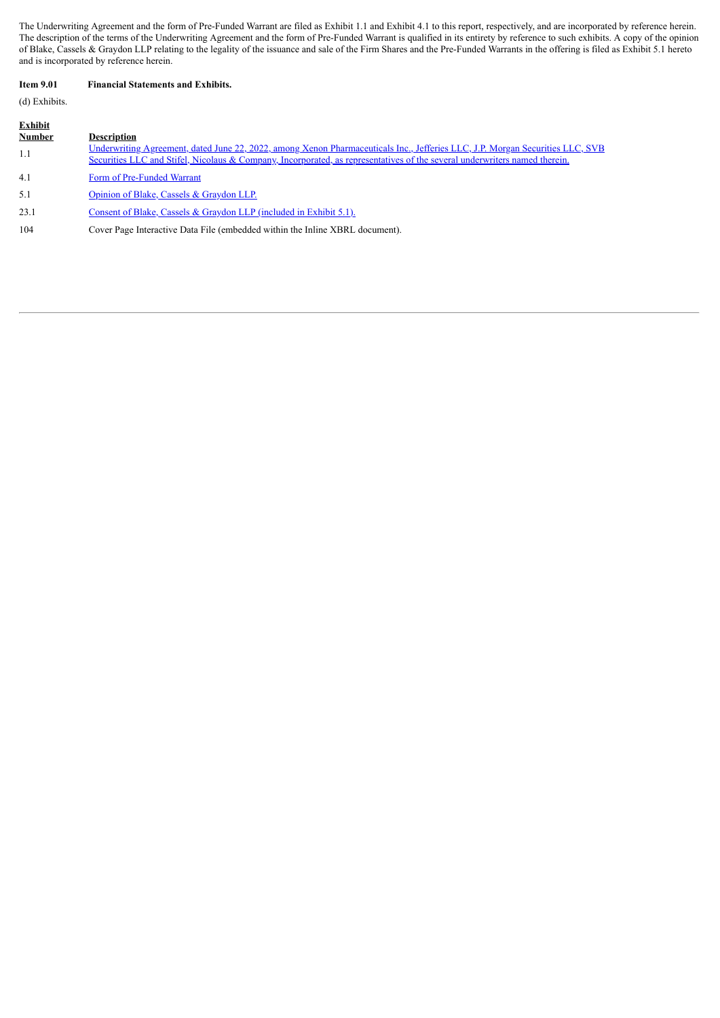The Underwriting Agreement and the form of Pre-Funded Warrant are filed as Exhibit 1.1 and Exhibit 4.1 to this report, respectively, and are incorporated by reference herein. The description of the terms of the Underwriting Agreement and the form of Pre-Funded Warrant is qualified in its entirety by reference to such exhibits. A copy of the opinion of Blake, Cassels & Graydon LLP relating to the legality of the issuance and sale of the Firm Shares and the Pre-Funded Warrants in the offering is filed as Exhibit 5.1 hereto and is incorporated by reference herein.

# **Item 9.01 Financial Statements and Exhibits.**

# (d) Exhibits.

| Exhibit       |                                                                                                                                                                                                                                                             |
|---------------|-------------------------------------------------------------------------------------------------------------------------------------------------------------------------------------------------------------------------------------------------------------|
| <b>Number</b> | <b>Description</b>                                                                                                                                                                                                                                          |
| 1.1           | Underwriting Agreement, dated June 22, 2022, among Xenon Pharmaceuticals Inc., Jefferies LLC, J.P. Morgan Securities LLC, SVB<br>Securities LLC and Stifel, Nicolaus & Company, Incorporated, as representatives of the several underwriters named therein. |
| 4.1           | Form of Pre-Funded Warrant                                                                                                                                                                                                                                  |
| 5.1           | Opinion of Blake, Cassels & Graydon LLP.                                                                                                                                                                                                                    |
| 23.1          | Consent of Blake, Cassels & Graydon LLP (included in Exhibit 5.1).                                                                                                                                                                                          |
| 104           | Cover Page Interactive Data File (embedded within the Inline XBRL document).                                                                                                                                                                                |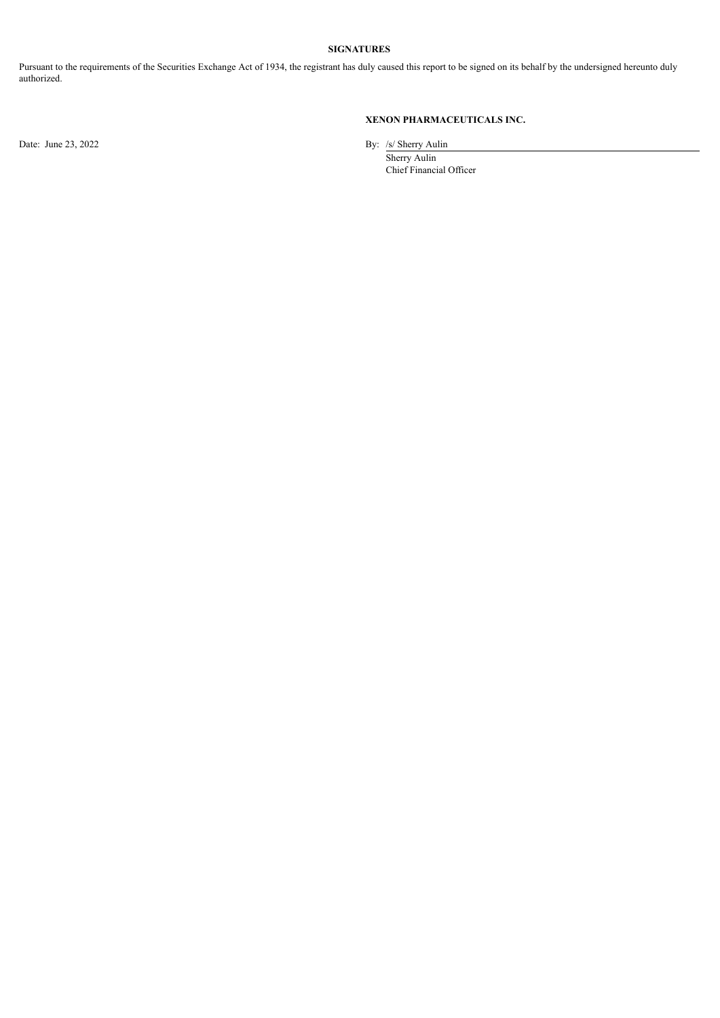# **SIGNATURES**

Pursuant to the requirements of the Securities Exchange Act of 1934, the registrant has duly caused this report to be signed on its behalf by the undersigned hereunto duly authorized.

# **XENON PHARMACEUTICALS INC.**

Date: June 23, 2022 By: /s/ Sherry Aulin

Sherry Aulin Chief Financial Officer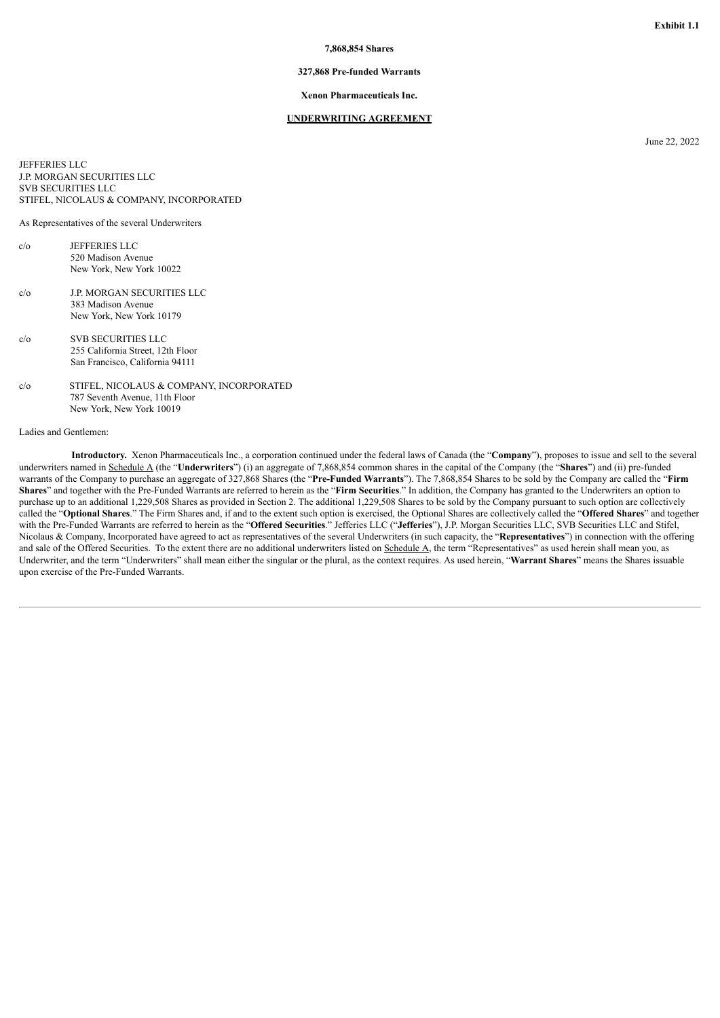## **7,868,854 Shares**

# **327,868 Pre-funded Warrants**

#### **Xenon Pharmaceuticals Inc.**

#### **UNDERWRITING AGREEMENT**

June 22, 2022

<span id="page-4-0"></span>JEFFERIES LLC J.P. MORGAN SECURITIES LLC SVB SECURITIES LLC STIFEL, NICOLAUS & COMPANY, INCORPORATED

As Representatives of the several Underwriters

- $c/\alpha$  JEFFERIES LLC 520 Madison Avenue New York, New York 10022
- c/o J.P. MORGAN SECURITIES LLC 383 Madison Avenue New York, New York 10179
- c/o SVB SECURITIES LLC 255 California Street, 12th Floor San Francisco, California 94111
- c/o STIFEL, NICOLAUS & COMPANY, INCORPORATED 787 Seventh Avenue, 11th Floor New York, New York 10019

### Ladies and Gentlemen:

**Introductory.** Xenon Pharmaceuticals Inc., a corporation continued under the federal laws of Canada (the "**Company**"), proposes to issue and sell to the several underwriters named in Schedule A (the "**Underwriters**") (i) an aggregate of 7,868,854 common shares in the capital of the Company (the "**Shares**") and (ii) pre-funded warrants of the Company to purchase an aggregate of 327,868 Shares (the "**Pre-Funded Warrants**"). The 7,868,854 Shares to be sold by the Company are called the "**Firm Shares**" and together with the Pre-Funded Warrants are referred to herein as the "**Firm Securities**." In addition, the Company has granted to the Underwriters an option to purchase up to an additional 1,229,508 Shares as provided in Section 2. The additional 1,229,508 Shares to be sold by the Company pursuant to such option are collectively called the "**Optional Shares**." The Firm Shares and, if and to the extent such option is exercised, the Optional Shares are collectively called the "**Offered Shares**" and together with the Pre-Funded Warrants are referred to herein as the "Offered Securities." Jefferies LLC ("Jefferies"), J.P. Morgan Securities LLC, SVB Securities LLC and Stifel, Nicolaus & Company, Incorporated have agreed to act as representatives of the several Underwriters (in such capacity, the "**Representatives**") in connection with the offering and sale of the Offered Securities. To the extent there are no additional underwriters listed on Schedule A, the term "Representatives" as used herein shall mean you, as Underwriter, and the term "Underwriters" shall mean either the singular or the plural, as the context requires. As used herein, "**Warrant Shares**" means the Shares issuable upon exercise of the Pre-Funded Warrants.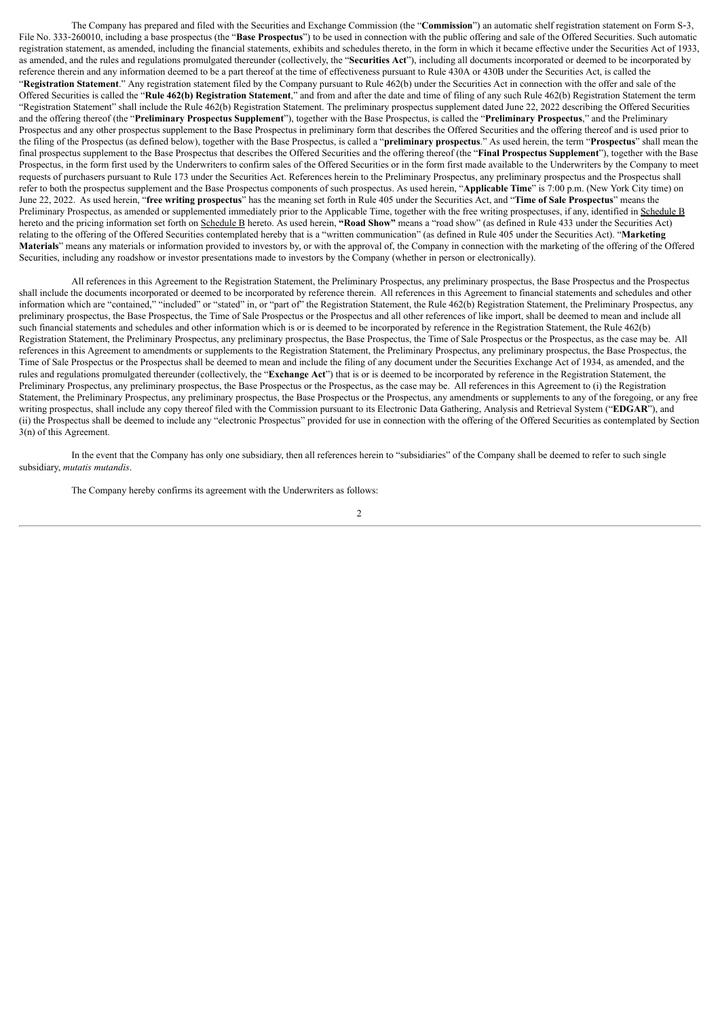The Company has prepared and filed with the Securities and Exchange Commission (the "**Commission**") an automatic shelf registration statement on Form S‑3, File No. 333-260010, including a base prospectus (the "Base Prospectus") to be used in connection with the public offering and sale of the Offered Securities. Such automatic registration statement, as amended, including the financial statements, exhibits and schedules thereto, in the form in which it became effective under the Securities Act of 1933, as amended, and the rules and regulations promulgated thereunder (collectively, the "**Securities Act**"), including all documents incorporated or deemed to be incorporated by reference therein and any information deemed to be a part thereof at the time of effectiveness pursuant to Rule 430A or 430B under the Securities Act, is called the "**Registration Statement**." Any registration statement filed by the Company pursuant to Rule 462(b) under the Securities Act in connection with the offer and sale of the Offered Securities is called the "**Rule 462(b) Registration Statement**," and from and after the date and time of filing of any such Rule 462(b) Registration Statement the term "Registration Statement" shall include the Rule 462(b) Registration Statement. The preliminary prospectus supplement dated June 22, 2022 describing the Offered Securities and the offering thereof (the "**Preliminary Prospectus Supplement**"), together with the Base Prospectus, is called the "**Preliminary Prospectus**," and the Preliminary Prospectus and any other prospectus supplement to the Base Prospectus in preliminary form that describes the Offered Securities and the offering thereof and is used prior to the filing of the Prospectus (as defined below), together with the Base Prospectus, is called a "**preliminary prospectus**." As used herein, the term "**Prospectus**" shall mean the final prospectus supplement to the Base Prospectus that describes the Offered Securities and the offering thereof (the "**Final Prospectus Supplement**"), together with the Base Prospectus, in the form first used by the Underwriters to confirm sales of the Offered Securities or in the form first made available to the Underwriters by the Company to meet requests of purchasers pursuant to Rule 173 under the Securities Act. References herein to the Preliminary Prospectus, any preliminary prospectus and the Prospectus shall refer to both the prospectus supplement and the Base Prospectus components of such prospectus. As used herein, "**Applicable Time**" is 7:00 p.m. (New York City time) on June 22, 2022. As used herein, "**free writing prospectus**" has the meaning set forth in Rule 405 under the Securities Act, and "**Time of Sale Prospectus**" means the Preliminary Prospectus, as amended or supplemented immediately prior to the Applicable Time, together with the free writing prospectuses, if any, identified in Schedule B hereto and the pricing information set forth on Schedule B hereto. As used herein, **"Road Show"** means a "road show" (as defined in Rule 433 under the Securities Act) relating to the offering of the Offered Securities contemplated hereby that is a "written communication" (as defined in Rule 405 under the Securities Act). "**Marketing Materials**" means any materials or information provided to investors by, or with the approval of, the Company in connection with the marketing of the offering of the Offered Securities, including any roadshow or investor presentations made to investors by the Company (whether in person or electronically).

All references in this Agreement to the Registration Statement, the Preliminary Prospectus, any preliminary prospectus, the Base Prospectus and the Prospectus shall include the documents incorporated or deemed to be incorporated by reference therein. All references in this Agreement to financial statements and schedules and other information which are "contained," "included" or "stated" in, or "part of" the Registration Statement, the Rule 462(b) Registration Statement, the Preliminary Prospectus, any information which are "contained," "included" o preliminary prospectus, the Base Prospectus, the Time of Sale Prospectus or the Prospectus and all other references of like import, shall be deemed to mean and include all such financial statements and schedules and other information which is or is deemed to be incorporated by reference in the Registration Statement, the Rule 462(b) Registration Statement, the Preliminary Prospectus, any preliminary prospectus, the Base Prospectus, the Time of Sale Prospectus or the Prospectus, as the case may be. All references in this Agreement to amendments or supplements to the Registration Statement, the Preliminary Prospectus, any preliminary prospectus, the Base Prospectus, the Time of Sale Prospectus or the Prospectus shall be deemed to mean and include the filing of any document under the Securities Exchange Act of 1934, as amended, and the rules and regulations promulgated thereunder (collectively, the "**Exchange Act**") that is or is deemed to be incorporated by reference in the Registration Statement, the Preliminary Prospectus, any preliminary prospectus, the Base Prospectus or the Prospectus, as the case may be. All references in this Agreement to (i) the Registration Statement, the Preliminary Prospectus, any preliminary prospectus, the Base Prospectus or the Prospectus, any amendments or supplements to any of the foregoing, or any free writing prospectus, shall include any copy thereof filed with the Commission pursuant to its Electronic Data Gathering, Analysis and Retrieval System ("**EDGAR**"), and (ii) the Prospectus shall be deemed to include any "electronic Prospectus" provided for use in connection with the offering of the Offered Securities as contemplated by Section 3(n) of this Agreement.

In the event that the Company has only one subsidiary, then all references herein to "subsidiaries" of the Company shall be deemed to refer to such single subsidiary, *mutatis mutandis*.

The Company hereby confirms its agreement with the Underwriters as follows: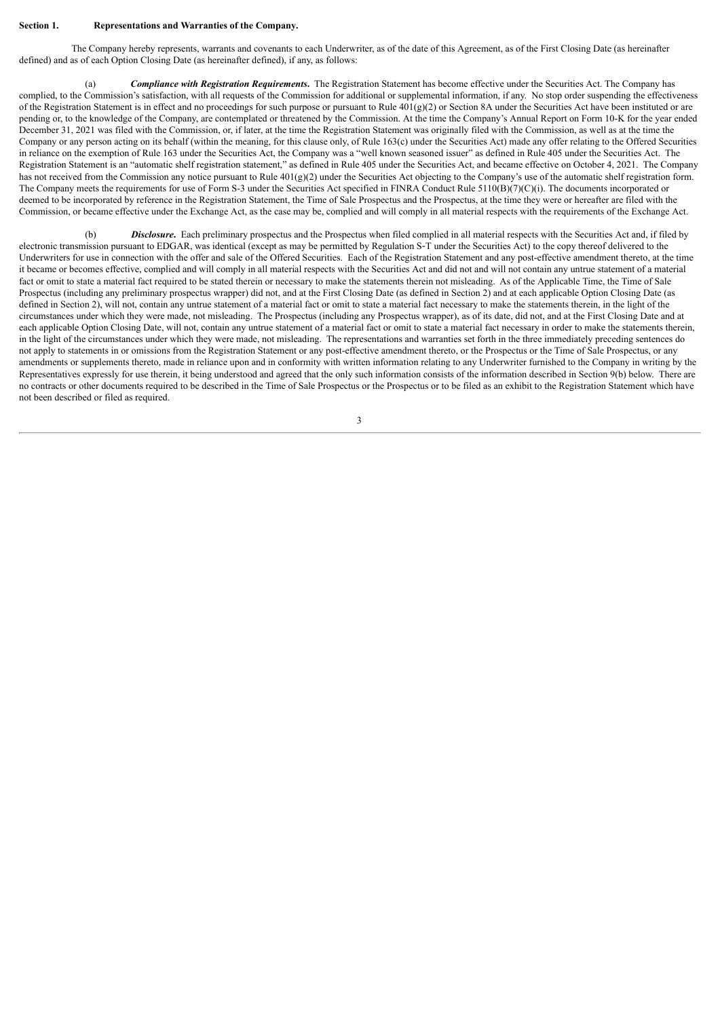#### **Section 1. Representations and Warranties of the Company.**

The Company hereby represents, warrants and covenants to each Underwriter, as of the date of this Agreement, as of the First Closing Date (as hereinafter defined) and as of each Option Closing Date (as hereinafter defined), if any, as follows:

(a) *Compliance with Registration Requirements***.** The Registration Statement has become effective under the Securities Act. The Company has complied, to the Commission's satisfaction, with all requests of the Commission for additional or supplemental information, if any. No stop order suspending the effectiveness of the Registration Statement is in effect and no proceedings for such purpose or pursuant to Rule  $401(g)(2)$  or Section 8A under the Securities Act have been instituted or are pending or, to the knowledge of the Company, are contemplated or threatened by the Commission. At the time the Company's Annual Report on Form 10-K for the year ended December 31, 2021 was filed with the Commission, or, if later, at the time the Registration Statement was originally filed with the Commission, as well as at the time the Company or any person acting on its behalf (within the meaning, for this clause only, of Rule 163(c) under the Securities Act) made any offer relating to the Offered Securities in reliance on the exemption of Rule 163 under the Securities Act, the Company was a "well known seasoned issuer" as defined in Rule 405 under the Securities Act. The Registration Statement is an "automatic shelf registration statement," as defined in Rule 405 under the Securities Act, and became effective on October 4, 2021. The Company has not received from the Commission any notice pursuant to Rule  $401(g)(2)$  under the Securities Act objecting to the Company's use of the automatic shelf registration form. The Company meets the requirements for use of Form S-3 under the Securities Act specified in FINRA Conduct Rule 5110(B)(7)(C)(i). The documents incorporated or deemed to be incorporated by reference in the Registration Statement, the Time of Sale Prospectus and the Prospectus, at the time they were or hereafter are filed with the Commission, or became effective under the Exchange Act, as the case may be, complied and will comply in all material respects with the requirements of the Exchange Act.

(b) **Disclosure**. Each preliminary prospectus and the Prospectus when filed complied in all material respects with the Securities Act and, if filed by electronic transmission pursuant to EDGAR, was identical (except as may be permitted by Regulation S-T under the Securities Act) to the copy thereof delivered to the Underwriters for use in connection with the offer and sale of the Offered Securities. Each of the Registration Statement and any post-effective amendment thereto, at the time it became or becomes effective, complied and will comply in all material respects with the Securities Act and did not and will not contain any untrue statement of a material fact or omit to state a material fact required to be stated therein or necessary to make the statements therein not misleading. As of the Applicable Time, the Time of Sale Prospectus (including any preliminary prospectus wrapper) did not, and at the First Closing Date (as defined in Section 2) and at each applicable Option Closing Date (as defined in Section 2), will not, contain any untrue statement of a material fact or omit to state a material fact necessary to make the statements therein, in the light of the circumstances under which they were made, not misleading. The Prospectus (including any Prospectus wrapper), as of its date, did not, and at the First Closing Date and at each applicable Option Closing Date, will not, contain any untrue statement of a material fact or omit to state a material fact necessary in order to make the statements therein, in the light of the circumstances under which they were made, not misleading. The representations and warranties set forth in the three immediately preceding sentences do not apply to statements in or omissions from the Registration Statement or any post-effective amendment thereto, or the Prospectus or the Time of Sale Prospectus, or any amendments or supplements thereto, made in reliance upon and in conformity with written information relating to any Underwriter furnished to the Company in writing by the Representatives expressly for use therein, it being understood and agreed that the only such information consists of the information described in Section 9(b) below. There are no contracts or other documents required to be described in the Time of Sale Prospectus or the Prospectus or to be filed as an exhibit to the Registration Statement which have not been described or filed as required.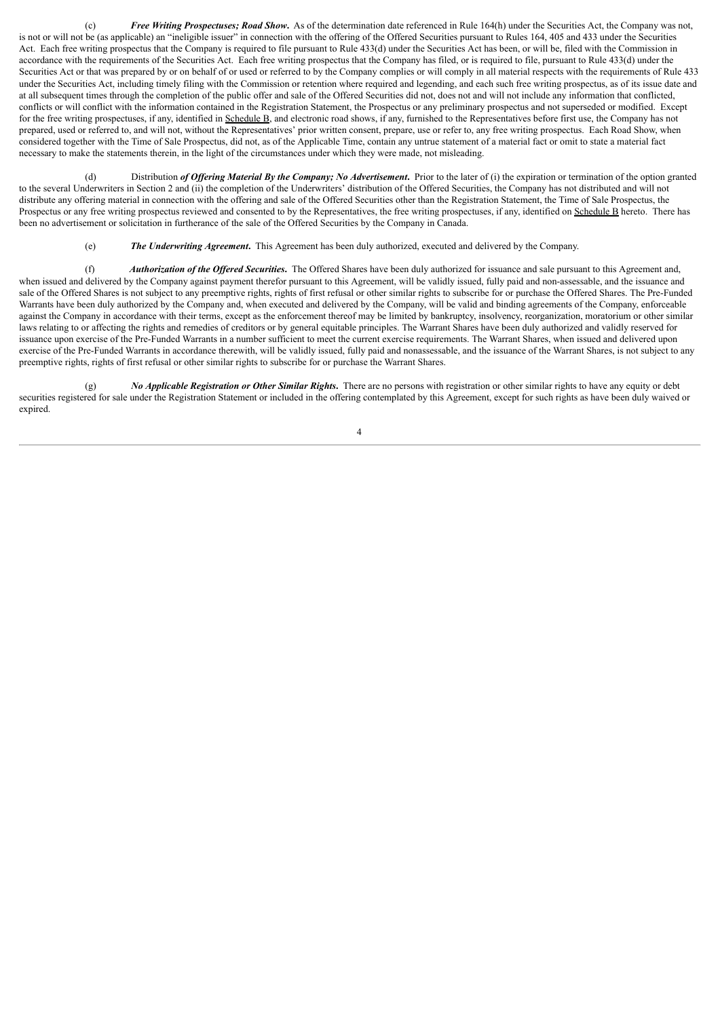(c) *Free Writing Prospectuses; Road Show***.** As of the determination date referenced in Rule 164(h) under the Securities Act, the Company was not, is not or will not be (as applicable) an "ineligible issuer" in connection with the offering of the Offered Securities pursuant to Rules 164, 405 and 433 under the Securities Act. Each free writing prospectus that the Company is required to file pursuant to Rule 433(d) under the Securities Act has been, or will be, filed with the Commission in accordance with the requirements of the Securities Act. Each free writing prospectus that the Company has filed, or is required to file, pursuant to Rule 433(d) under the Securities Act or that was prepared by or on behalf of or used or referred to by the Company complies or will comply in all material respects with the requirements of Rule 433 under the Securities Act, including timely filing with the Commission or retention where required and legending, and each such free writing prospectus, as of its issue date and at all subsequent times through the completion of the public offer and sale of the Offered Securities did not, does not and will not include any information that conflicted, conflicts or will conflict with the information contained in the Registration Statement, the Prospectus or any preliminary prospectus and not superseded or modified. Except for the free writing prospectuses, if any, identified in Schedule B, and electronic road shows, if any, furnished to the Representatives before first use, the Company has not prepared, used or referred to, and will not, without the Representatives' prior written consent, prepare, use or refer to, any free writing prospectus. Each Road Show, when considered together with the Time of Sale Prospectus, did not, as of the Applicable Time, contain any untrue statement of a material fact or omit to state a material fact necessary to make the statements therein, in the light of the circumstances under which they were made, not misleading.

(d) Distribution *of Of ering Material By the Company; No Advertisement***.** Prior to the later of (i) the expiration or termination of the option granted to the several Underwriters in Section 2 and (ii) the completion of the Underwriters' distribution of the Offered Securities, the Company has not distributed and will not distribute any offering material in connection with the offering and sale of the Offered Securities other than the Registration Statement, the Time of Sale Prospectus, the Prospectus or any free writing prospectus reviewed and consented to by the Representatives, the free writing prospectuses, if any, identified on Schedule B hereto. There has been no advertisement or solicitation in furtherance of the sale of the Offered Securities by the Company in Canada.

(e) *The Underwriting Agreement***.** This Agreement has been duly authorized, executed and delivered by the Company.

(f) *Authorization of the Of ered Securities***.** The Offered Shares have been duly authorized for issuance and sale pursuant to this Agreement and, when issued and delivered by the Company against payment therefor pursuant to this Agreement, will be validly issued, fully paid and non-assessable, and the issuance and sale of the Offered Shares is not subject to any preemptive rights, rights of first refusal or other similar rights to subscribe for or purchase the Offered Shares. The Pre-Funded Warrants have been duly authorized by the Company and, when executed and delivered by the Company, will be valid and binding agreements of the Company, enforceable against the Company in accordance with their terms, except as the enforcement thereof may be limited by bankruptcy, insolvency, reorganization, moratorium or other similar laws relating to or affecting the rights and remedies of creditors or by general equitable principles. The Warrant Shares have been duly authorized and validly reserved for issuance upon exercise of the Pre-Funded Warrants in a number sufficient to meet the current exercise requirements. The Warrant Shares, when issued and delivered upon exercise of the Pre-Funded Warrants in accordance therewith, will be validly issued, fully paid and nonassessable, and the issuance of the Warrant Shares, is not subject to any preemptive rights, rights of first refusal or other similar rights to subscribe for or purchase the Warrant Shares.

(g) *No Applicable Registration or Other Similar Rights***.** There are no persons with registration or other similar rights to have any equity or debt securities registered for sale under the Registration Statement or included in the offering contemplated by this Agreement, except for such rights as have been duly waived or expired.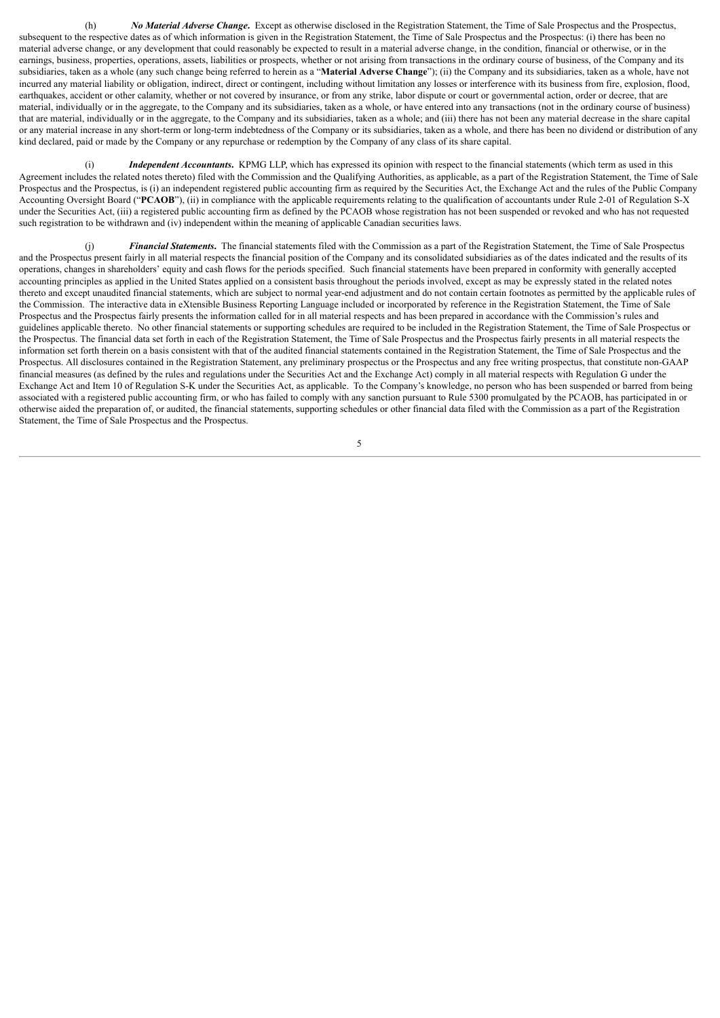(h) *No Material Adverse Change***.** Except as otherwise disclosed in the Registration Statement, the Time of Sale Prospectus and the Prospectus, subsequent to the respective dates as of which information is given in the Registration Statement, the Time of Sale Prospectus and the Prospectus: (i) there has been no material adverse change, or any development that could reasonably be expected to result in a material adverse change, in the condition, financial or otherwise, or in the earnings, business, properties, operations, assets, liabilities or prospects, whether or not arising from transactions in the ordinary course of business, of the Company and its subsidiaries, taken as a whole (any such change being referred to herein as a "**Material Adverse Change**"); (ii) the Company and its subsidiaries, taken as a whole, have not incurred any material liability or obligation, indirect, direct or contingent, including without limitation any losses or interference with its business from fire, explosion, flood, earthquakes, accident or other calamity, whether or not covered by insurance, or from any strike, labor dispute or court or governmental action, order or decree, that are material, individually or in the aggregate, to the Company and its subsidiaries, taken as a whole, or have entered into any transactions (not in the ordinary course of business) that are material, individually or in the aggregate, to the Company and its subsidiaries, taken as a whole; and (iii) there has not been any material decrease in the share capital or any material increase in any short-term or long-term indebtedness of the Company or its subsidiaries, taken as a whole, and there has been no dividend or distribution of any kind declared, paid or made by the Company or any repurchase or redemption by the Company of any class of its share capital.

Independent *Accountants*. KPMG LLP, which has expressed its opinion with respect to the financial statements (which term as used in this Agreement includes the related notes thereto) filed with the Commission and the Qualifying Authorities, as applicable, as a part of the Registration Statement, the Time of Sale Prospectus and the Prospectus, is (i) an independent registered public accounting firm as required by the Securities Act, the Exchange Act and the rules of the Public Company Accounting Oversight Board ("**PCAOB**"), (ii) in compliance with the applicable requirements relating to the qualification of accountants under Rule 2-01 of Regulation S-X under the Securities Act, (iii) a registered public accounting firm as defined by the PCAOB whose registration has not been suspended or revoked and who has not requested such registration to be withdrawn and (iv) independent within the meaning of applicable Canadian securities laws.

(j) *Financial Statements***.** The financial statements filed with the Commission as a part of the Registration Statement, the Time of Sale Prospectus and the Prospectus present fairly in all material respects the financial position of the Company and its consolidated subsidiaries as of the dates indicated and the results of its operations, changes in shareholders' equity and cash flows for the periods specified. Such financial statements have been prepared in conformity with generally accepted accounting principles as applied in the United States applied on a consistent basis throughout the periods involved, except as may be expressly stated in the related notes thereto and except unaudited financial statements, which are subject to normal year-end adjustment and do not contain certain footnotes as permitted by the applicable rules of the Commission. The interactive data in eXtensible Business Reporting Language included or incorporated by reference in the Registration Statement, the Time of Sale Prospectus and the Prospectus fairly presents the information called for in all material respects and has been prepared in accordance with the Commission's rules and guidelines applicable thereto. No other financial statements or supporting schedules are required to be included in the Registration Statement, the Time of Sale Prospectus or the Prospectus. The financial data set forth in each of the Registration Statement, the Time of Sale Prospectus and the Prospectus fairly presents in all material respects the information set forth therein on a basis consistent with that of the audited financial statements contained in the Registration Statement, the Time of Sale Prospectus and the Prospectus. All disclosures contained in the Registration Statement, any preliminary prospectus or the Prospectus and any free writing prospectus, that constitute non-GAAP financial measures (as defined by the rules and regulations under the Securities Act and the Exchange Act) comply in all material respects with Regulation G under the Exchange Act and Item 10 of Regulation S-K under the Securities Act, as applicable. To the Company's knowledge, no person who has been suspended or barred from being associated with a registered public accounting firm, or who has failed to comply with any sanction pursuant to Rule 5300 promulgated by the PCAOB, has participated in or otherwise aided the preparation of, or audited, the financial statements, supporting schedules or other financial data filed with the Commission as a part of the Registration Statement, the Time of Sale Prospectus and the Prospectus.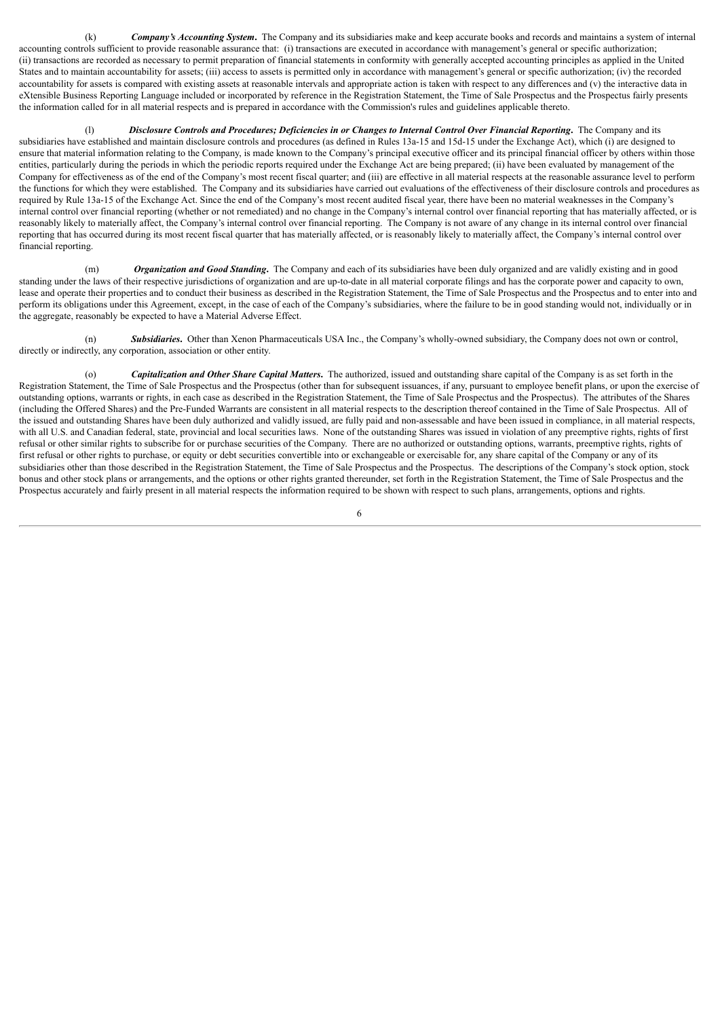(k) *Company's Accounting System***.** The Company and its subsidiaries make and keep accurate books and records and maintains a system of internal accounting controls sufficient to provide reasonable assurance that: (i) transactions are executed in accordance with management's general or specific authorization; (ii) transactions are recorded as necessary to permit preparation of financial statements in conformity with generally accepted accounting principles as applied in the United States and to maintain accountability for assets; (iii) access to assets is permitted only in accordance with management's general or specific authorization; (iv) the recorded accountability for assets is compared with existing assets at reasonable intervals and appropriate action is taken with respect to any differences and (v) the interactive data in eXtensible Business Reporting Language included or incorporated by reference in the Registration Statement, the Time of Sale Prospectus and the Prospectus fairly presents the information called for in all material respects and is prepared in accordance with the Commission's rules and guidelines applicable thereto.

(l) Disclosure Controls and Procedures; Deficiencies in or Changes to Internal Control Over Financial Reporting. The Company and its subsidiaries have established and maintain disclosure controls and procedures (as defined in Rules 13a-15 and 15d-15 under the Exchange Act), which (i) are designed to ensure that material information relating to the Company, is made known to the Company's principal executive officer and its principal financial officer by others within those entities, particularly during the periods in which the periodic reports required under the Exchange Act are being prepared; (ii) have been evaluated by management of the Company for effectiveness as of the end of the Company's most recent fiscal quarter; and (iii) are effective in all material respects at the reasonable assurance level to perform the functions for which they were established. The Company and its subsidiaries have carried out evaluations of the effectiveness of their disclosure controls and procedures as required by Rule 13a-15 of the Exchange Act. Since the end of the Company's most recent audited fiscal year, there have been no material weaknesses in the Company's internal control over financial reporting (whether or not remediated) and no change in the Company's internal control over financial reporting that has materially affected, or is reasonably likely to materially affect, the Company's internal control over financial reporting. The Company is not aware of any change in its internal control over financial reporting that has occurred during its most recent fiscal quarter that has materially affected, or is reasonably likely to materially affect, the Company's internal control over financial reporting.

(m) *Organization and Good Standing***.** The Company and each of its subsidiaries have been duly organized and are validly existing and in good standing under the laws of their respective jurisdictions of organization and are up-to-date in all material corporate filings and has the corporate power and capacity to own, lease and operate their properties and to conduct their business as described in the Registration Statement, the Time of Sale Prospectus and the Prospectus and to enter into and perform its obligations under this Agreement, except, in the case of each of the Company's subsidiaries, where the failure to be in good standing would not, individually or in the aggregate, reasonably be expected to have a Material Adverse Effect.

(n) *Subsidiaries***.** Other than Xenon Pharmaceuticals USA Inc., the Company's wholly-owned subsidiary, the Company does not own or control, directly or indirectly, any corporation, association or other entity.

(o) *Capitalization and Other Share Capital Matters***.** The authorized, issued and outstanding share capital of the Company is as set forth in the Registration Statement, the Time of Sale Prospectus and the Prospectus (other than for subsequent issuances, if any, pursuant to employee benefit plans, or upon the exercise of outstanding options, warrants or rights, in each case as described in the Registration Statement, the Time of Sale Prospectus and the Prospectus). The attributes of the Shares (including the Offered Shares) and the Pre-Funded Warrants are consistent in all material respects to the description thereof contained in the Time of Sale Prospectus. All of the issued and outstanding Shares have been duly authorized and validly issued, are fully paid and non-assessable and have been issued in compliance, in all material respects, with all U.S. and Canadian federal, state, provincial and local securities laws. None of the outstanding Shares was issued in violation of any preemptive rights, rights of first refusal or other similar rights to subscribe for or purchase securities of the Company. There are no authorized or outstanding options, warrants, preemptive rights, rights of first refusal or other rights to purchase, or equity or debt securities convertible into or exchangeable or exercisable for, any share capital of the Company or any of its subsidiaries other than those described in the Registration Statement, the Time of Sale Prospectus and the Prospectus. The descriptions of the Company's stock option, stock bonus and other stock plans or arrangements, and the options or other rights granted thereunder, set forth in the Registration Statement, the Time of Sale Prospectus and the Prospectus accurately and fairly present in all material respects the information required to be shown with respect to such plans, arrangements, options and rights.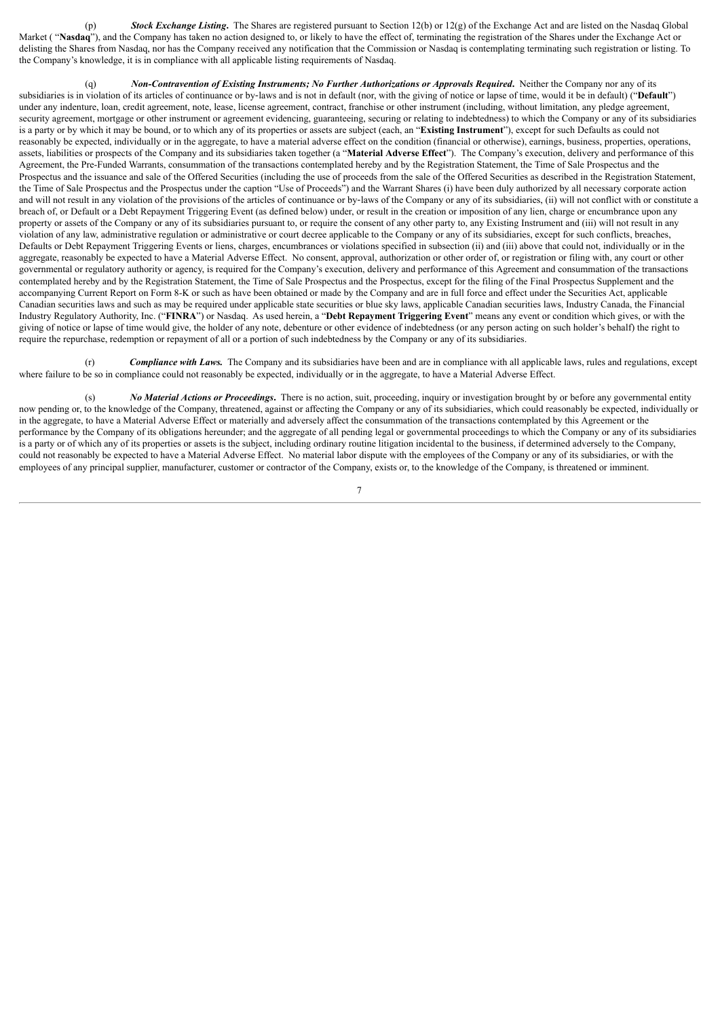(p) *Stock Exchange Listing***.** The Shares are registered pursuant to Section 12(b) or 12(g) of the Exchange Act and are listed on the Nasdaq Global Market ("Nasdaq"), and the Company has taken no action designed to, or likely to have the effect of, terminating the registration of the Shares under the Exchange Act or delisting the Shares from Nasdaq, nor has the Company received any notification that the Commission or Nasdaq is contemplating terminating such registration or listing. To the Company's knowledge, it is in compliance with all applicable listing requirements of Nasdaq.

(q) *Non-Contravention of Existing Instruments; No Further Authorizations or Approvals Required***.** Neither the Company nor any of its subsidiaries is in violation of its articles of continuance or by-laws and is not in default (nor, with the giving of notice or lapse of time, would it be in default) ("**Default**") under any indenture, loan, credit agreement, note, lease, license agreement, contract, franchise or other instrument (including, without limitation, any pledge agreement security agreement, mortgage or other instrument or agreement evidencing, guaranteeing, securing or relating to indebtedness) to which the Company or any of its subsidiaries is a party or by which it may be bound, or to which any of its properties or assets are subject (each, an "**Existing Instrument**"), except for such Defaults as could not reasonably be expected, individually or in the aggregate, to have a material adverse effect on the condition (financial or otherwise), earnings, business, properties, operations, assets, liabilities or prospects of the Company and its subsidiaries taken together (a "**Material Adverse Effect**"). The Company's execution, delivery and performance of this Agreement, the Pre-Funded Warrants, consummation of the transactions contemplated hereby and by the Registration Statement, the Time of Sale Prospectus and the Prospectus and the issuance and sale of the Offered Securities (including the use of proceeds from the sale of the Offered Securities as described in the Registration Statement, the Time of Sale Prospectus and the Prospectus under the caption "Use of Proceeds") and the Warrant Shares (i) have been duly authorized by all necessary corporate action and will not result in any violation of the provisions of the articles of continuance or by-laws of the Company or any of its subsidiaries, (ii) will not conflict with or constitute a breach of, or Default or a Debt Repayment Triggering Event (as defined below) under, or result in the creation or imposition of any lien, charge or encumbrance upon any property or assets of the Company or any of its subsidiaries pursuant to, or require the consent of any other party to, any Existing Instrument and (iii) will not result in any violation of any law, administrative regulation or administrative or court decree applicable to the Company or any of its subsidiaries, except for such conflicts, breaches, Defaults or Debt Repayment Triggering Events or liens, charges, encumbrances or violations specified in subsection (ii) and (iii) above that could not, individually or in the aggregate, reasonably be expected to have a Material Adverse Effect. No consent, approval, authorization or other order of, or registration or filing with, any court or other governmental or regulatory authority or agency, is required for the Company's execution, delivery and performance of this Agreement and consummation of the transactions contemplated hereby and by the Registration Statement, the Time of Sale Prospectus and the Prospectus, except for the filing of the Final Prospectus Supplement and the accompanying Current Report on Form 8-K or such as have been obtained or made by the Company and are in full force and effect under the Securities Act, applicable Canadian securities laws and such as may be required under applicable state securities or blue sky laws, applicable Canadian securities laws, Industry Canada, the Financial Industry Regulatory Authority, Inc. ("**FINRA**") or Nasdaq. As used herein, a "**Debt Repayment Triggering Event**" means any event or condition which gives, or with the giving of notice or lapse of time would give, the holder of any note, debenture or other evidence of indebtedness (or any person acting on such holder's behalf) the right to require the repurchase, redemption or repayment of all or a portion of such indebtedness by the Company or any of its subsidiaries.

(r) *Compliance with Laws.* The Company and its subsidiaries have been and are in compliance with all applicable laws, rules and regulations, except where failure to be so in compliance could not reasonably be expected, individually or in the aggregate, to have a Material Adverse Effect.

(s) *No Material Actions or Proceedings***.** There is no action, suit, proceeding, inquiry or investigation brought by or before any governmental entity now pending or, to the knowledge of the Company, threatened, against or affecting the Company or any of its subsidiaries, which could reasonably be expected, individually or in the aggregate, to have a Material Adverse Effect or materially and adversely affect the consummation of the transactions contemplated by this Agreement or the performance by the Company of its obligations hereunder; and the aggregate of all pending legal or governmental proceedings to which the Company or any of its subsidiaries is a party or of which any of its properties or assets is the subject, including ordinary routine litigation incidental to the business, if determined adversely to the Company, could not reasonably be expected to have a Material Adverse Effect. No material labor dispute with the employees of the Company or any of its subsidiaries, or with the employees of any principal supplier, manufacturer, customer or contractor of the Company, exists or, to the knowledge of the Company, is threatened or imminent.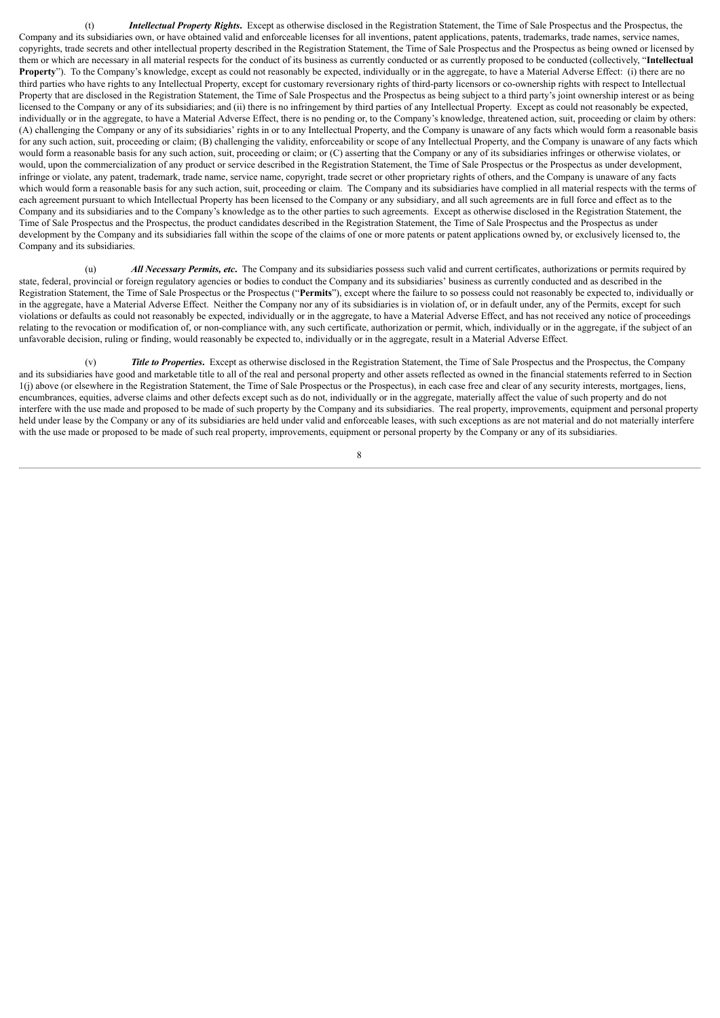(t) *Intellectual Property Rights***.** Except as otherwise disclosed in the Registration Statement, the Time of Sale Prospectus and the Prospectus, the Company and its subsidiaries own, or have obtained valid and enforceable licenses for all inventions, patent applications, patents, trademarks, trade names, service names, copyrights, trade secrets and other intellectual property described in the Registration Statement, the Time of Sale Prospectus and the Prospectus as being owned or licensed by them or which are necessary in all material respects for the conduct of its business as currently conducted or as currently proposed to be conducted (collectively, "**Intellectual Property**"). To the Company's knowledge, except as could not reasonably be expected, individually or in the aggregate, to have a Material Adverse Effect: (i) there are no third parties who have rights to any Intellectual Property, except for customary reversionary rights of third-party licensors or co-ownership rights with respect to Intellectual Property that are disclosed in the Registration Statement, the Time of Sale Prospectus and the Prospectus as being subject to a third party's joint ownership interest or as being licensed to the Company or any of its subsidiaries; and (ii) there is no infringement by third parties of any Intellectual Property. Except as could not reasonably be expected, individually or in the aggregate, to have a Material Adverse Effect, there is no pending or, to the Company's knowledge, threatened action, suit, proceeding or claim by others: (A) challenging the Company or any of its subsidiaries' rights in or to any Intellectual Property, and the Company is unaware of any facts which would form a reasonable basis for any such action, suit, proceeding or claim; (B) challenging the validity, enforceability or scope of any Intellectual Property, and the Company is unaware of any facts which would form a reasonable basis for any such action, suit, proceeding or claim; or (C) asserting that the Company or any of its subsidiaries infringes or otherwise violates, or would, upon the commercialization of any product or service described in the Registration Statement, the Time of Sale Prospectus or the Prospectus as under development, infringe or violate, any patent, trademark, trade name, service name, copyright, trade secret or other proprietary rights of others, and the Company is unaware of any facts which would form a reasonable basis for any such action, suit, proceeding or claim. The Company and its subsidiaries have complied in all material respects with the terms of each agreement pursuant to which Intellectual Property has been licensed to the Company or any subsidiary, and all such agreements are in full force and effect as to the Company and its subsidiaries and to the Company's knowledge as to the other parties to such agreements. Except as otherwise disclosed in the Registration Statement, the Time of Sale Prospectus and the Prospectus, the product candidates described in the Registration Statement, the Time of Sale Prospectus and the Prospectus as under development by the Company and its subsidiaries fall within the scope of the claims of one or more patents or patent applications owned by, or exclusively licensed to, the Company and its subsidiaries.

(u) *All Necessary Permits, etc***.** The Company and its subsidiaries possess such valid and current certificates, authorizations or permits required by state, federal, provincial or foreign regulatory agencies or bodies to conduct the Company and its subsidiaries' business as currently conducted and as described in the Registration Statement, the Time of Sale Prospectus or the Prospectus ("**Permits**"), except where the failure to so possess could not reasonably be expected to, individually or in the aggregate, have a Material Adverse Effect. Neither the Company nor any of its subsidiaries is in violation of, or in default under, any of the Permits, except for such violations or defaults as could not reasonably be expected, individually or in the aggregate, to have a Material Adverse Effect, and has not received any notice of proceedings relating to the revocation or modification of, or non-compliance with, any such certificate, authorization or permit, which, individually or in the aggregate, if the subject of an unfavorable decision, ruling or finding, would reasonably be expected to, individually or in the aggregate, result in a Material Adverse Effect.

(v) *Title to Properties***.** Except as otherwise disclosed in the Registration Statement, the Time of Sale Prospectus and the Prospectus, the Company and its subsidiaries have good and marketable title to all of the real and personal property and other assets reflected as owned in the financial statements referred to in Section 1(j) above (or elsewhere in the Registration Statement, the Time of Sale Prospectus or the Prospectus), in each case free and clear of any security interests, mortgages, liens, encumbrances, equities, adverse claims and other defects except such as do not, individually or in the aggregate, materially affect the value of such property and do not interfere with the use made and proposed to be made of such property by the Company and its subsidiaries. The real property, improvements, equipment and personal property held under lease by the Company or any of its subsidiaries are held under valid and enforceable leases, with such exceptions as are not material and do not materially interfere with the use made or proposed to be made of such real property, improvements, equipment or personal property by the Company or any of its subsidiaries.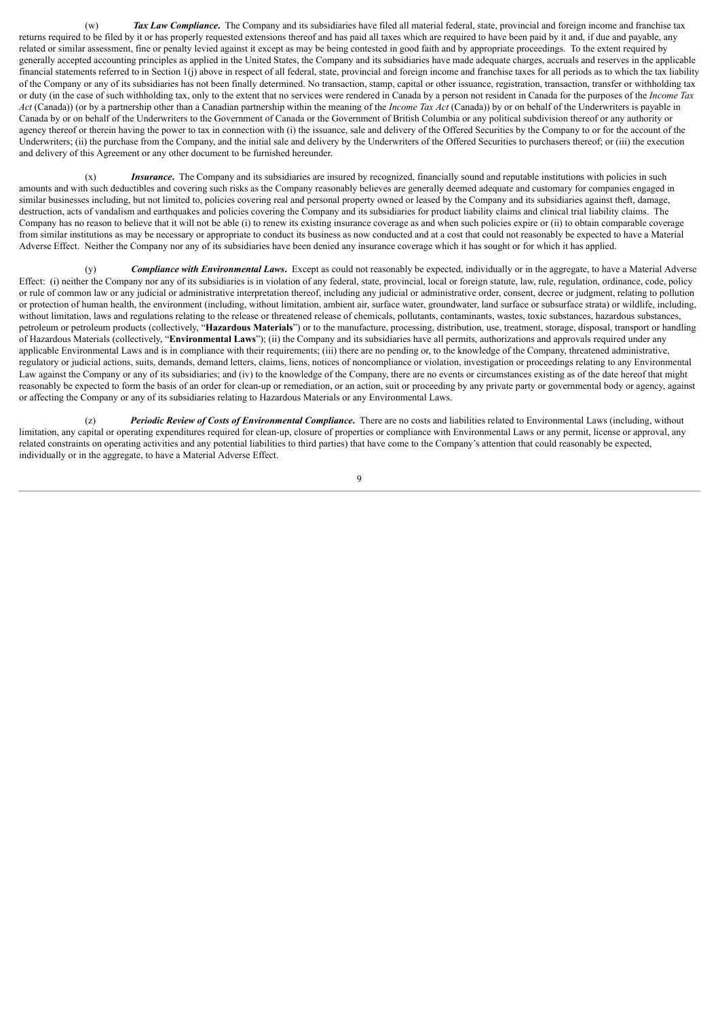(w) *Tax Law Compliance***.** The Company and its subsidiaries have filed all material federal, state, provincial and foreign income and franchise tax returns required to be filed by it or has properly requested extensions thereof and has paid all taxes which are required to have been paid by it and, if due and payable, any related or similar assessment, fine or penalty levied against it except as may be being contested in good faith and by appropriate proceedings. To the extent required by generally accepted accounting principles as applied in the United States, the Company and its subsidiaries have made adequate charges, accruals and reserves in the applicable financial statements referred to in Section 1(j) above in respect of all federal, state, provincial and foreign income and franchise taxes for all periods as to which the tax liability of the Company or any of its subsidiaries has not been finally determined. No transaction, stamp, capital or other issuance, registration, transaction, transfer or withholding tax or duty (in the case of such withholding tax, only to the extent that no services were rendered in Canada by a person not resident in Canada for the purposes of the *Income Tax Act* (Canada)) (or by a partnership other than a Canadian partnership within the meaning of the *Income Tax Act* (Canada)) by or on behalf of the Underwriters is payable in Canada by or on behalf of the Underwriters to the Government of Canada or the Government of British Columbia or any political subdivision thereof or any authority or agency thereof or therein having the power to tax in connection with (i) the issuance, sale and delivery of the Offered Securities by the Company to or for the account of the Underwriters; (ii) the purchase from the Company, and the initial sale and delivery by the Underwriters of the Offered Securities to purchasers thereof; or (iii) the execution and delivery of this Agreement or any other document to be furnished hereunder.

(x) *Insurance*. The Company and its subsidiaries are insured by recognized, financially sound and reputable institutions with policies in such amounts and with such deductibles and covering such risks as the Company reasonably believes are generally deemed adequate and customary for companies engaged in similar businesses including, but not limited to, policies covering real and personal property owned or leased by the Company and its subsidiaries against theft, damage, destruction, acts of vandalism and earthquakes and policies covering the Company and its subsidiaries for product liability claims and clinical trial liability claims. The Company has no reason to believe that it will not be able (i) to renew its existing insurance coverage as and when such policies expire or (ii) to obtain comparable coverage from similar institutions as may be necessary or appropriate to conduct its business as now conducted and at a cost that could not reasonably be expected to have a Material Adverse Effect. Neither the Company nor any of its subsidiaries have been denied any insurance coverage which it has sought or for which it has applied.

(y) *Compliance with Environmental Laws***.** Except as could not reasonably be expected, individually or in the aggregate, to have a Material Adverse Effect: (i) neither the Company nor any of its subsidiaries is in violation of any federal, state, provincial, local or foreign statute, law, rule, regulation, ordinance, code, policy or rule of common law or any judicial or administrative interpretation thereof, including any judicial or administrative order, consent, decree or judgment, relating to pollution or protection of human health, the environment (including, without limitation, ambient air, surface water, groundwater, land surface or subsurface strata) or wildlife, including, without limitation, laws and regulations relating to the release or threatened release of chemicals, pollutants, contaminants, wastes, toxic substances, hazardous substances, petroleum or petroleum products (collectively, "**Hazardous Materials**") or to the manufacture, processing, distribution, use, treatment, storage, disposal, transport or handling of Hazardous Materials (collectively, "**Environmental Laws**"); (ii) the Company and its subsidiaries have all permits, authorizations and approvals required under any applicable Environmental Laws and is in compliance with their requirements; (iii) there are no pending or, to the knowledge of the Company, threatened administrative, regulatory or judicial actions, suits, demands, demand letters, claims, liens, notices of noncompliance or violation, investigation or proceedings relating to any Environmental Law against the Company or any of its subsidiaries; and (iv) to the knowledge of the Company, there are no events or circumstances existing as of the date hereof that might reasonably be expected to form the basis of an order for clean-up or remediation, or an action, suit or proceeding by any private party or governmental body or agency, against or affecting the Company or any of its subsidiaries relating to Hazardous Materials or any Environmental Laws.

(z) *Periodic Review of Costs of Environmental Compliance***.** There are no costs and liabilities related to Environmental Laws (including, without limitation, any capital or operating expenditures required for clean-up, closure of properties or compliance with Environmental Laws or any permit, license or approval, any related constraints on operating activities and any potential liabilities to third parties) that have come to the Company's attention that could reasonably be expected, individually or in the aggregate, to have a Material Adverse Effect.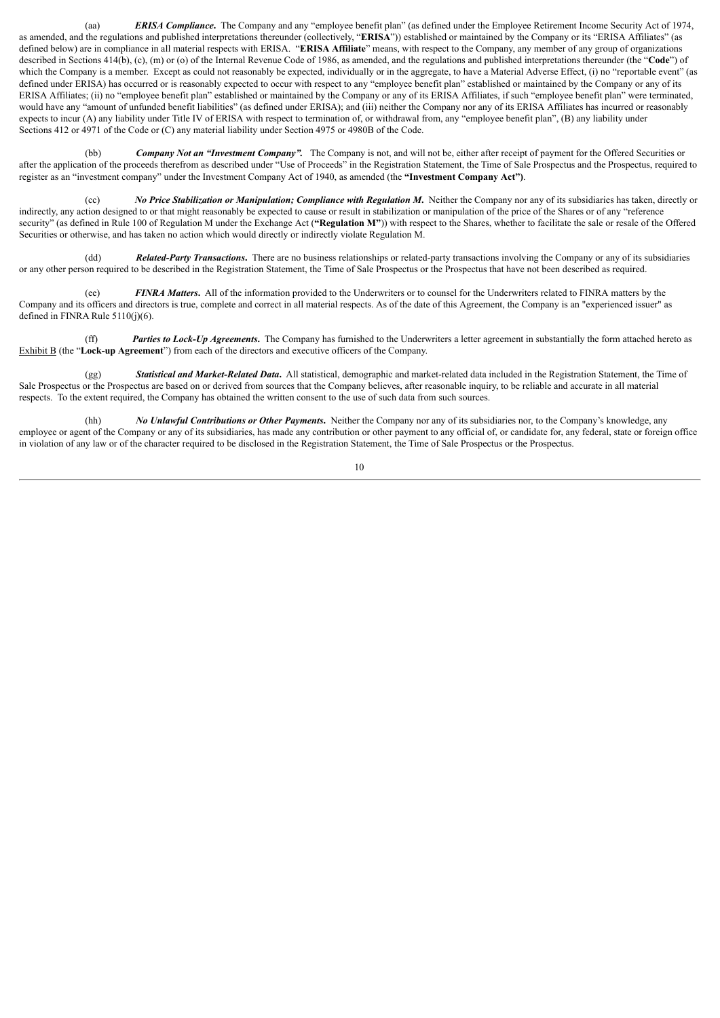(aa) *ERISA Compliance***.** The Company and any "employee benefit plan" (as defined under the Employee Retirement Income Security Act of 1974, as amended, and the regulations and published interpretations thereunder (collectively, "**ERISA**")) established or maintained by the Company or its "ERISA Affiliates" (as defined below) are in compliance in all material respects with ERISA. "**ERISA Affiliate**" means, with respect to the Company, any member of any group of organizations described in Sections 414(b), (c), (m) or (o) of the Internal Revenue Code of 1986, as amended, and the regulations and published interpretations thereunder (the "Code") of which the Company is a member. Except as could not reasonably be expected, individually or in the aggregate, to have a Material Adverse Effect, (i) no "reportable event" (as defined under ERISA) has occurred or is reasonably expected to occur with respect to any "employee benefit plan" established or maintained by the Company or any of its ERISA Affiliates; (ii) no "employee benefit plan" established or maintained by the Company or any of its ERISA Affiliates, if such "employee benefit plan" were terminated, would have any "amount of unfunded benefit liabilities" (as defined under ERISA); and (iii) neither the Company nor any of its ERISA Affiliates has incurred or reasonably expects to incur (A) any liability under Title IV of ERISA with respect to termination of, or withdrawal from, any "employee benefit plan", (B) any liability under Sections 412 or 4971 of the Code or (C) any material liability under Section 4975 or 4980B of the Code.

(bb) *Company Not an "Investment Company".* The Company is not, and will not be, either after receipt of payment for the Offered Securities or after the application of the proceeds therefrom as described under "Use of Proceeds" in the Registration Statement, the Time of Sale Prospectus and the Prospectus, required to register as an "investment company" under the Investment Company Act of 1940, as amended (the **"Investment Company Act")**.

(cc) *No Price Stabilization or Manipulation; Compliance with Regulation M***.** Neither the Company nor any of its subsidiaries has taken, directly or indirectly, any action designed to or that might reasonably be expected to cause or result in stabilization or manipulation of the price of the Shares or of any "reference security" (as defined in Rule 100 of Regulation M under the Exchange Act (**"Regulation M"**)) with respect to the Shares, whether to facilitate the sale or resale of the Offered Securities or otherwise, and has taken no action which would directly or indirectly violate Regulation M.

(dd) *Related-Party Transactions***.** There are no business relationships or related-party transactions involving the Company or any of its subsidiaries or any other person required to be described in the Registration Statement, the Time of Sale Prospectus or the Prospectus that have not been described as required.

(ee) *FINRA Matters***.** All of the information provided to the Underwriters or to counsel for the Underwriters related to FINRA matters by the Company and its officers and directors is true, complete and correct in all material respects. As of the date of this Agreement, the Company is an "experienced issuer" as defined in FINRA Rule 5110(j)(6).

(ff) *Parties to Lock-Up Agreements***.** The Company has furnished to the Underwriters a letter agreement in substantially the form attached hereto as Exhibit B (the "**Lock-up Agreement**") from each of the directors and executive officers of the Company.

(gg) *Statistical and Market-Related Data***.** All statistical, demographic and market-related data included in the Registration Statement, the Time of Sale Prospectus or the Prospectus are based on or derived from sources that the Company believes, after reasonable inquiry, to be reliable and accurate in all material respects. To the extent required, the Company has obtained the written consent to the use of such data from such sources.

(hh) *No Unlawful Contributions or Other Payments***.** Neither the Company nor any of its subsidiaries nor, to the Company's knowledge, any employee or agent of the Company or any of its subsidiaries, has made any contribution or other payment to any official of, or candidate for, any federal, state or foreign office in violation of any law or of the character required to be disclosed in the Registration Statement, the Time of Sale Prospectus or the Prospectus.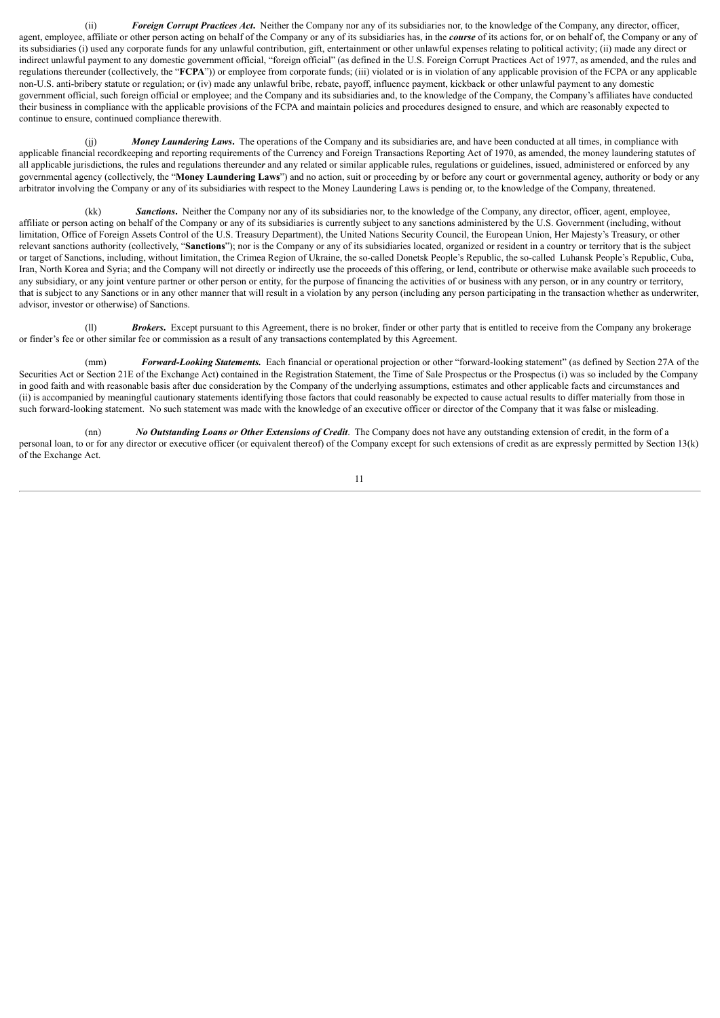(ii) *Foreign Corrupt Practices Act***.** Neither the Company nor any of its subsidiaries nor, to the knowledge of the Company, any director, officer, agent, employee, affiliate or other person acting on behalf of the Company or any of its subsidiaries has, in the *course* of its actions for, or on behalf of, the Company or any of its subsidiaries (i) used any corporate funds for any unlawful contribution, gift, entertainment or other unlawful expenses relating to political activity; (ii) made any direct or indirect unlawful payment to any domestic government official, "foreign official" (as defined in the U.S. Foreign Corrupt Practices Act of 1977, as amended, and the rules and regulations thereunder (collectively, the "**FCPA**")) or employee from corporate funds; (iii) violated or is in violation of any applicable provision of the FCPA or any applicable non-U.S. anti-bribery statute or regulation; or (iv) made any unlawful bribe, rebate, payoff, influence payment, kickback or other unlawful payment to any domestic government official, such foreign official or employee; and the Company and its subsidiaries and, to the knowledge of the Company, the Company's affiliates have conducted their business in compliance with the applicable provisions of the FCPA and maintain policies and procedures designed to ensure, and which are reasonably expected to continue to ensure, continued compliance therewith.

(jj) *Money Laundering Laws***.** The operations of the Company and its subsidiaries are, and have been conducted at all times, in compliance with applicable financial recordkeeping and reporting requirements of the Currency and Foreign Transactions Reporting Act of 1970, as amended, the money laundering statutes of all applicable jurisdictions, the rules and regulations thereunde*r* and any related or similar applicable rules, regulations or guidelines, issued, administered or enforced by any governmental agency (collectively, the "**Money Laundering Laws**") and no action, suit or proceeding by or before any court or governmental agency, authority or body or any arbitrator involving the Company or any of its subsidiaries with respect to the Money Laundering Laws is pending or, to the knowledge of the Company, threatened.

(kk) *Sanctions***.** Neither the Company nor any of its subsidiaries nor, to the knowledge of the Company, any director, officer, agent, employee, affiliate or person acting on behalf of the Company or any of its subsidiaries is currently subject to any sanctions administered by the U.S. Government (including, without limitation, Office of Foreign Assets Control of the U.S. Treasury Department), the United Nations Security Council, the European Union, Her Majesty's Treasury, or other relevant sanctions authority (collectively, "**Sanctions**"); nor is the Company or any of its subsidiaries located, organized or resident in a country or territory that is the subject or target of Sanctions, including, without limitation, the Crimea Region of Ukraine, the so-called Donetsk People's Republic, the so-called Luhansk People's Republic, Cuba, Iran, North Korea and Syria; and the Company will not directly or indirectly use the proceeds of this offering, or lend, contribute or otherwise make available such proceeds to any subsidiary, or any joint venture partner or other person or entity, for the purpose of financing the activities of or business with any person, or in any country or territory, that is subject to any Sanctions or in any other manner that will result in a violation by any person (including any person participating in the transaction whether as underwriter, advisor, investor or otherwise) of Sanctions.

(ll) *Brokers***.** Except pursuant to this Agreement, there is no broker, finder or other party that is entitled to receive from the Company any brokerage or finder's fee or other similar fee or commission as a result of any transactions contemplated by this Agreement.

(mm) *Forward-Looking Statements.* Each financial or operational projection or other "forward-looking statement" (as defined by Section 27A of the Securities Act or Section 21E of the Exchange Act) contained in the Registration Statement, the Time of Sale Prospectus or the Prospectus (i) was so included by the Company in good faith and with reasonable basis after due consideration by the Company of the underlying assumptions, estimates and other applicable facts and circumstances and (ii) is accompanied by meaningful cautionary statements identifying those factors that could reasonably be expected to cause actual results to differ materially from those in such forward-looking statement. No such statement was made with the knowledge of an executive officer or director of the Company that it was false or misleading.

(nn) *No Outstanding Loans or Other Extensions of Credit*. The Company does not have any outstanding extension of credit, in the form of a personal loan, to or for any director or executive officer (or equivalent thereof) of the Company except for such extensions of credit as are expressly permitted by Section 13(k) of the Exchange Act.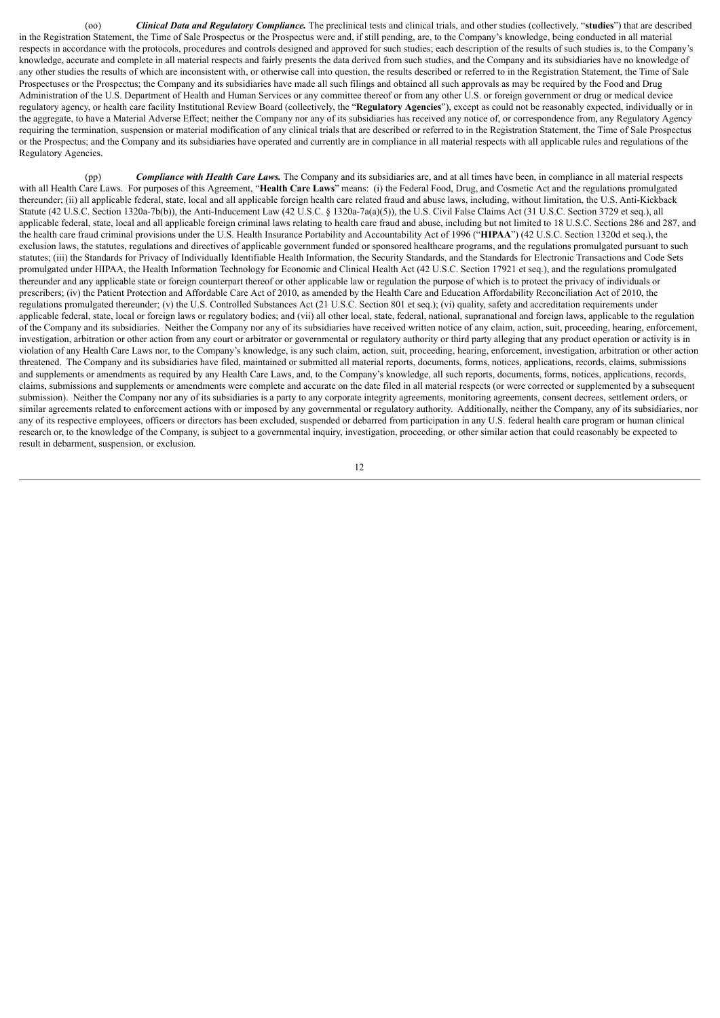(oo) *Clinical Data and Regulatory Compliance.* The preclinical tests and clinical trials, and other studies (collectively, "**studies**") that are described in the Registration Statement, the Time of Sale Prospectus or the Prospectus were and, if still pending, are, to the Company's knowledge, being conducted in all material respects in accordance with the protocols, procedures and controls designed and approved for such studies; each description of the results of such studies is, to the Company's knowledge, accurate and complete in all material respects and fairly presents the data derived from such studies, and the Company and its subsidiaries have no knowledge of any other studies the results of which are inconsistent with, or otherwise call into question, the results described or referred to in the Registration Statement, the Time of Sale Prospectuses or the Prospectus; the Company and its subsidiaries have made all such filings and obtained all such approvals as may be required by the Food and Drug Administration of the U.S. Department of Health and Human Services or any committee thereof or from any other U.S. or foreign government or drug or medical device regulatory agency, or health care facility Institutional Review Board (collectively, the "**Regulatory Agencies**"), except as could not be reasonably expected, individually or in the aggregate, to have a Material Adverse Effect; neither the Company nor any of its subsidiaries has received any notice of, or correspondence from, any Regulatory Agency requiring the termination, suspension or material modification of any clinical trials that are described or referred to in the Registration Statement, the Time of Sale Prospectus or the Prospectus; and the Company and its subsidiaries have operated and currently are in compliance in all material respects with all applicable rules and regulations of the Regulatory Agencies.

(pp) *Compliance with Health Care Laws.* The Company and its subsidiaries are, and at all times have been, in compliance in all material respects with all Health Care Laws. For purposes of this Agreement, "**Health Care Laws**" means: (i) the Federal Food, Drug, and Cosmetic Act and the regulations promulgated thereunder; (ii) all applicable federal, state, local and all applicable foreign health care related fraud and abuse laws, including, without limitation, the U.S. Anti-Kickback Statute (42 U.S.C. Section 1320a-7b(b)), the Anti-Inducement Law (42 U.S.C. § 1320a-7a(a)(5)), the U.S. Civil False Claims Act (31 U.S.C. Section 3729 et seq.), all applicable federal, state, local and all applicable foreign criminal laws relating to health care fraud and abuse, including but not limited to 18 U.S.C. Sections 286 and 287, and the health care fraud criminal provisions under the U.S. Health Insurance Portability and Accountability Act of 1996 ("**HIPAA**") (42 U.S.C. Section 1320d et seq.), the exclusion laws, the statutes, regulations and directives of applicable government funded or sponsored healthcare programs, and the regulations promulgated pursuant to such statutes; (iii) the Standards for Privacy of Individually Identifiable Health Information, the Security Standards, and the Standards for Electronic Transactions and Code Sets promulgated under HIPAA, the Health Information Technology for Economic and Clinical Health Act (42 U.S.C. Section 17921 et seq.), and the regulations promulgated thereunder and any applicable state or foreign counterpart thereof or other applicable law or regulation the purpose of which is to protect the privacy of individuals or prescribers; (iv) the Patient Protection and Affordable Care Act of 2010, as amended by the Health Care and Education Affordability Reconciliation Act of 2010, the regulations promulgated thereunder; (v) the U.S. Controlled Substances Act (21 U.S.C. Section 801 et seq.); (vi) quality, safety and accreditation requirements under applicable federal, state, local or foreign laws or regulatory bodies; and (vii) all other local, state, federal, national, supranational and foreign laws, applicable to the regulation of the Company and its subsidiaries. Neither the Company nor any of its subsidiaries have received written notice of any claim, action, suit, proceeding, hearing, enforcement, investigation, arbitration or other action from any court or arbitrator or governmental or regulatory authority or third party alleging that any product operation or activity is in violation of any Health Care Laws nor, to the Company's knowledge, is any such claim, action, suit, proceeding, hearing, enforcement, investigation, arbitration or other action threatened. The Company and its subsidiaries have filed, maintained or submitted all material reports, documents, forms, notices, applications, records, claims, submissions and supplements or amendments as required by any Health Care Laws, and, to the Company's knowledge, all such reports, documents, forms, notices, applications, records, claims, submissions and supplements or amendments were complete and accurate on the date filed in all material respects (or were corrected or supplemented by a subsequent submission). Neither the Company nor any of its subsidiaries is a party to any corporate integrity agreements, monitoring agreements, consent decrees, settlement orders, or similar agreements related to enforcement actions with or imposed by any governmental or regulatory authority. Additionally, neither the Company, any of its subsidiaries, nor any of its respective employees, officers or directors has been excluded, suspended or debarred from participation in any U.S. federal health care program or human clinical research or, to the knowledge of the Company, is subject to a governmental inquiry, investigation, proceeding, or other similar action that could reasonably be expected to result in debarment, suspension, or exclusion.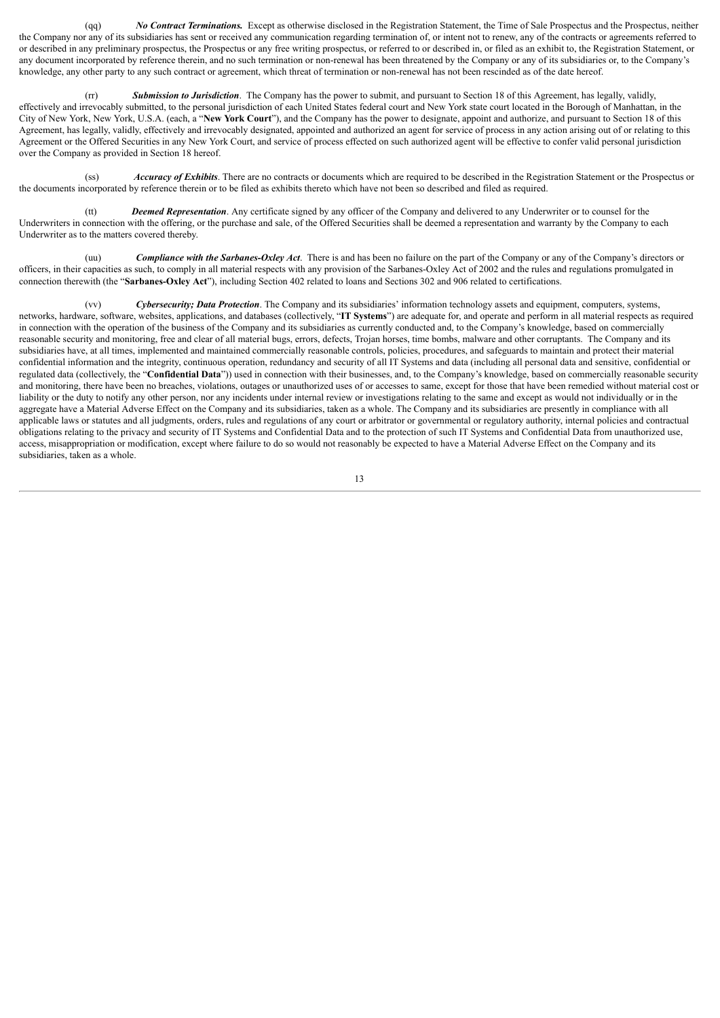(qq) *No Contract Terminations.* Except as otherwise disclosed in the Registration Statement, the Time of Sale Prospectus and the Prospectus, neither the Company nor any of its subsidiaries has sent or received any communication regarding termination of, or intent not to renew, any of the contracts or agreements referred to or described in any preliminary prospectus, the Prospectus or any free writing prospectus, or referred to or described in, or filed as an exhibit to, the Registration Statement, or any document incorporated by reference therein, and no such termination or non-renewal has been threatened by the Company or any of its subsidiaries or, to the Company's knowledge, any other party to any such contract or agreement, which threat of termination or non-renewal has not been rescinded as of the date hereof.

(rr) *Submission to Jurisdiction*. The Company has the power to submit, and pursuant to Section 18 of this Agreement, has legally, validly, effectively and irrevocably submitted, to the personal jurisdiction of each United States federal court and New York state court located in the Borough of Manhattan, in the City of New York, New York, U.S.A. (each, a "**New York Court**"), and the Company has the power to designate, appoint and authorize, and pursuant to Section 18 of this Agreement, has legally, validly, effectively and irrevocably designated, appointed and authorized an agent for service of process in any action arising out of or relating to this Agreement or the Offered Securities in any New York Court, and service of process effected on such authorized agent will be effective to confer valid personal jurisdiction over the Company as provided in Section 18 hereof.

(ss) *Accuracy of Exhibits*. There are no contracts or documents which are required to be described in the Registration Statement or the Prospectus or the documents incorporated by reference therein or to be filed as exhibits thereto which have not been so described and filed as required.

(tt) *Deemed Representation*. Any certificate signed by any officer of the Company and delivered to any Underwriter or to counsel for the Underwriters in connection with the offering, or the purchase and sale, of the Offered Securities shall be deemed a representation and warranty by the Company to each Underwriter as to the matters covered thereby.

(uu) *Compliance with the Sarbanes-Oxley Act*. There is and has been no failure on the part of the Company or any of the Company's directors or officers, in their capacities as such, to comply in all material respects with any provision of the Sarbanes-Oxley Act of 2002 and the rules and regulations promulgated in connection therewith (the "**Sarbanes-Oxley Act**"), including Section 402 related to loans and Sections 302 and 906 related to certifications.

(vv) *Cybersecurity; Data Protection*. The Company and its subsidiaries' information technology assets and equipment, computers, systems, networks, hardware, software, websites, applications, and databases (collectively, "**IT Systems**") are adequate for, and operate and perform in all material respects as required in connection with the operation of the business of the Company and its subsidiaries as currently conducted and, to the Company's knowledge, based on commercially reasonable security and monitoring, free and clear of all material bugs, errors, defects, Trojan horses, time bombs, malware and other corruptants. The Company and its subsidiaries have, at all times, implemented and maintained commercially reasonable controls, policies, procedures, and safeguards to maintain and protect their material confidential information and the integrity, continuous operation, redundancy and security of all IT Systems and data (including all personal data and sensitive, confidential or regulated data (collectively, the "**Confidential Data**")) used in connection with their businesses, and, to the Company's knowledge, based on commercially reasonable security and monitoring, there have been no breaches, violations, outages or unauthorized uses of or accesses to same, except for those that have been remedied without material cost or liability or the duty to notify any other person, nor any incidents under internal review or investigations relating to the same and except as would not individually or in the aggregate have a Material Adverse Effect on the Company and its subsidiaries, taken as a whole. The Company and its subsidiaries are presently in compliance with all applicable laws or statutes and all judgments, orders, rules and regulations of any court or arbitrator or governmental or regulatory authority, internal policies and contractual obligations relating to the privacy and security of IT Systems and Confidential Data and to the protection of such IT Systems and Confidential Data from unauthorized use, access, misappropriation or modification, except where failure to do so would not reasonably be expected to have a Material Adverse Effect on the Company and its subsidiaries, taken as a whole.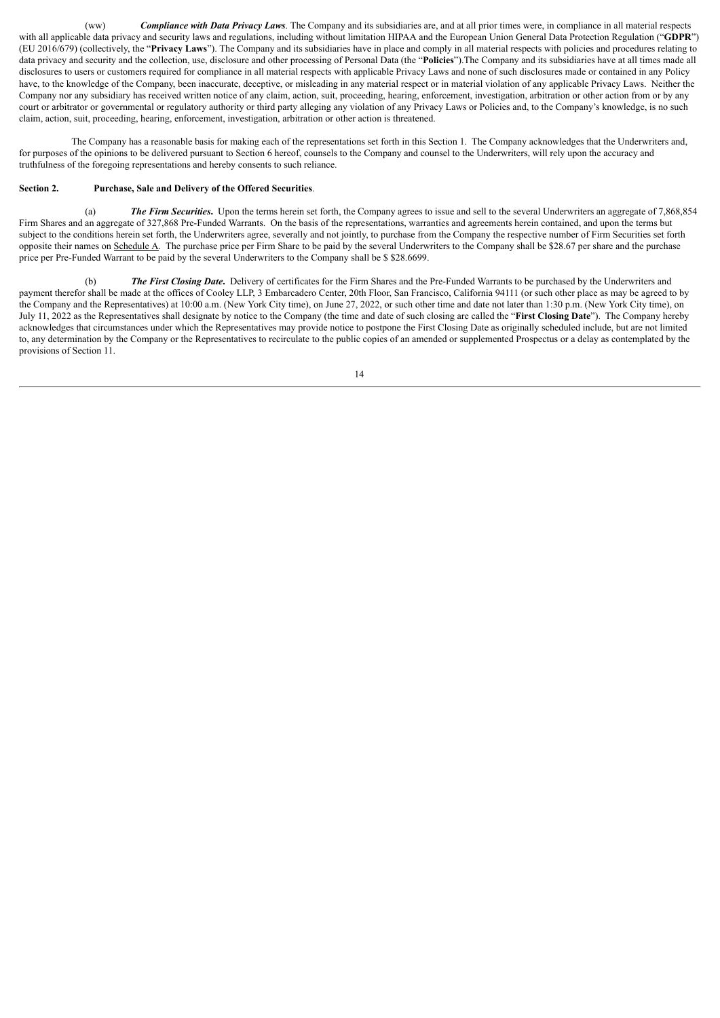(ww) *Compliance with Data Privacy Laws*. The Company and its subsidiaries are, and at all prior times were, in compliance in all material respects with all applicable data privacy and security laws and regulations, including without limitation HIPAA and the European Union General Data Protection Regulation ("GDPR") (EU 2016/679) (collectively, the "**Privacy Laws**"). The Company and its subsidiaries have in place and comply in all material respects with policies and procedures relating to data privacy and security and the collection, use, disclosure and other processing of Personal Data (the "**Policies**").The Company and its subsidiaries have at all times made all disclosures to users or customers required for compliance in all material respects with applicable Privacy Laws and none of such disclosures made or contained in any Policy have, to the knowledge of the Company, been inaccurate, deceptive, or misleading in any material respect or in material violation of any applicable Privacy Laws. Neither the Company nor any subsidiary has received written notice of any claim, action, suit, proceeding, hearing, enforcement, investigation, arbitration or other action from or by any court or arbitrator or governmental or regulatory authority or third party alleging any violation of any Privacy Laws or Policies and, to the Company's knowledge, is no such claim, action, suit, proceeding, hearing, enforcement, investigation, arbitration or other action is threatened.

The Company has a reasonable basis for making each of the representations set forth in this Section 1. The Company acknowledges that the Underwriters and, for purposes of the opinions to be delivered pursuant to Section 6 hereof, counsels to the Company and counsel to the Underwriters, will rely upon the accuracy and truthfulness of the foregoing representations and hereby consents to such reliance.

### **Section 2. Purchase, Sale and Delivery of the Offered Securities**.

(a) *The Firm Securities***.** Upon the terms herein set forth, the Company agrees to issue and sell to the several Underwriters an aggregate of 7,868,854 Firm Shares and an aggregate of 327,868 Pre-Funded Warrants. On the basis of the representations, warranties and agreements herein contained, and upon the terms but subject to the conditions herein set forth, the Underwriters agree, severally and not jointly, to purchase from the Company the respective number of Firm Securities set forth opposite their names on Schedule A. The purchase price per Firm Share to be paid by the several Underwriters to the Company shall be \$28.67 per share and the purchase price per Pre-Funded Warrant to be paid by the several Underwriters to the Company shall be \$ \$28.6699.

(b) *The First Closing Date***.** Delivery of certificates for the Firm Shares and the Pre-Funded Warrants to be purchased by the Underwriters and payment therefor shall be made at the offices of Cooley LLP, 3 Embarcadero Center, 20th Floor, San Francisco, California 94111 (or such other place as may be agreed to by the Company and the Representatives) at 10:00 a.m. (New York City time), on June 27, 2022, or such other time and date not later than 1:30 p.m. (New York City time), on July 11, 2022 as the Representatives shall designate by notice to the Company (the time and date of such closing are called the "**First Closing Date**"). The Company hereby acknowledges that circumstances under which the Representatives may provide notice to postpone the First Closing Date as originally scheduled include, but are not limited to, any determination by the Company or the Representatives to recirculate to the public copies of an amended or supplemented Prospectus or a delay as contemplated by the provisions of Section 11.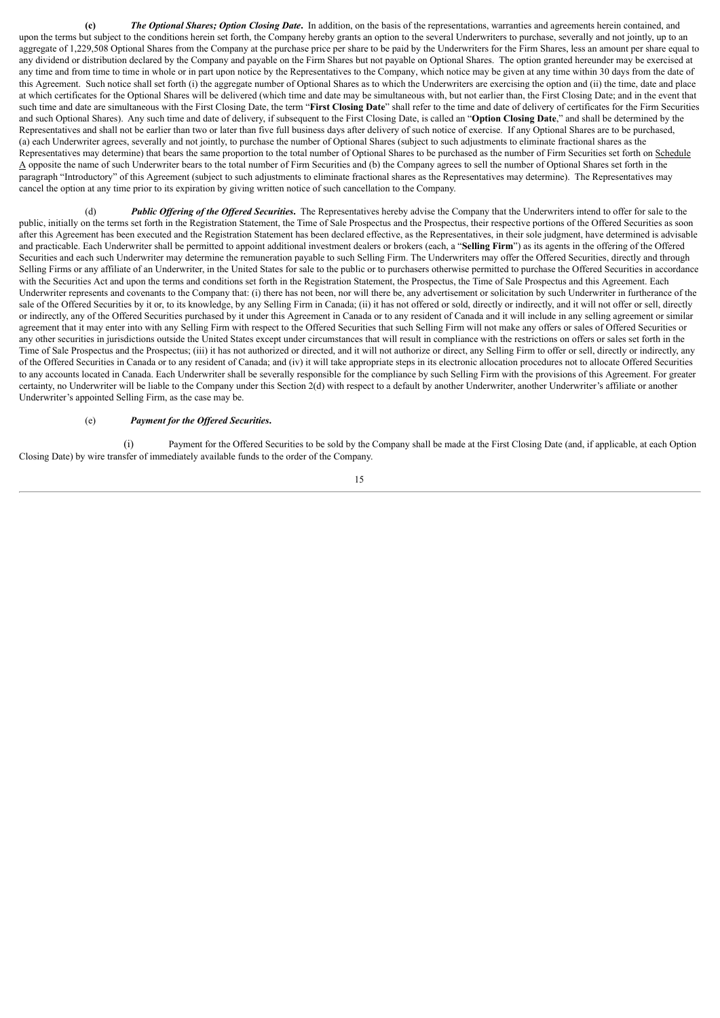**(c)** *The Optional Shares; Option Closing Date***.** In addition, on the basis of the representations, warranties and agreements herein contained, and upon the terms but subject to the conditions herein set forth, the Company hereby grants an option to the several Underwriters to purchase, severally and not jointly, up to an aggregate of 1,229,508 Optional Shares from the Company at the purchase price per share to be paid by the Underwriters for the Firm Shares, less an amount per share equal to any dividend or distribution declared by the Company and payable on the Firm Shares but not payable on Optional Shares. The option granted hereunder may be exercised at any time and from time to time in whole or in part upon notice by the Representatives to the Company, which notice may be given at any time within 30 days from the date of this Agreement. Such notice shall set forth (i) the aggregate number of Optional Shares as to which the Underwriters are exercising the option and (ii) the time, date and place at which certificates for the Optional Shares will be delivered (which time and date may be simultaneous with, but not earlier than, the First Closing Date; and in the event that such time and date are simultaneous with the First Closing Date, the term "**First Closing Date**" shall refer to the time and date of delivery of certificates for the Firm Securities and such Optional Shares). Any such time and date of delivery, if subsequent to the First Closing Date, is called an "**Option Closing Date**," and shall be determined by the Representatives and shall not be earlier than two or later than five full business days after delivery of such notice of exercise. If any Optional Shares are to be purchased, (a) each Underwriter agrees, severally and not jointly, to purchase the number of Optional Shares (subject to such adjustments to eliminate fractional shares as the Representatives may determine) that bears the same proportion to the total number of Optional Shares to be purchased as the number of Firm Securities set forth on Schedule  $\triangle$  opposite the name of such Underwriter bears to the total number of Firm Securities and (b) the Company agrees to sell the number of Optional Shares set forth in the paragraph "Introductory" of this Agreement (subject to such adjustments to eliminate fractional shares as the Representatives may determine). The Representatives may cancel the option at any time prior to its expiration by giving written notice of such cancellation to the Company.

(d) *Public Of ering of the Of ered Securities***.** The Representatives hereby advise the Company that the Underwriters intend to offer for sale to the public, initially on the terms set forth in the Registration Statement, the Time of Sale Prospectus and the Prospectus, their respective portions of the Offered Securities as soon after this Agreement has been executed and the Registration Statement has been declared effective, as the Representatives, in their sole judgment, have determined is advisable and practicable. Each Underwriter shall be permitted to appoint additional investment dealers or brokers (each, a "**Selling Firm**") as its agents in the offering of the Offered Securities and each such Underwriter may determine the remuneration payable to such Selling Firm. The Underwriters may offer the Offered Securities, directly and through Selling Firms or any affiliate of an Underwriter, in the United States for sale to the public or to purchasers otherwise permitted to purchase the Offered Securities in accordance with the Securities Act and upon the terms and conditions set forth in the Registration Statement, the Prospectus, the Time of Sale Prospectus and this Agreement. Each Underwriter represents and covenants to the Company that: (i) there has not been, nor will there be, any advertisement or solicitation by such Underwriter in furtherance of the sale of the Offered Securities by it or, to its knowledge, by any Selling Firm in Canada; (ii) it has not offered or sold, directly or indirectly, and it will not offer or sell, directly or indirectly, any of the Offered Securities purchased by it under this Agreement in Canada or to any resident of Canada and it will include in any selling agreement or similar agreement that it may enter into with any Selling Firm with respect to the Offered Securities that such Selling Firm will not make any offers or sales of Offered Securities or any other securities in jurisdictions outside the United States except under circumstances that will result in compliance with the restrictions on offers or sales set forth in the Time of Sale Prospectus and the Prospectus; (iii) it has not authorized or directed, and it will not authorize or direct, any Selling Firm to offer or sell, directly or indirectly, any of the Offered Securities in Canada or to any resident of Canada; and (iv) it will take appropriate steps in its electronic allocation procedures not to allocate Offered Securities to any accounts located in Canada. Each Underwriter shall be severally responsible for the compliance by such Selling Firm with the provisions of this Agreement. For greater certainty, no Underwriter will be liable to the Company under this Section 2(d) with respect to a default by another Underwriter, another Underwriter's affiliate or another Underwriter's appointed Selling Firm, as the case may be.

### (e) *Payment for the Of ered Securities***.**

(i) Payment for the Offered Securities to be sold by the Company shall be made at the First Closing Date (and, if applicable, at each Option Closing Date) by wire transfer of immediately available funds to the order of the Company.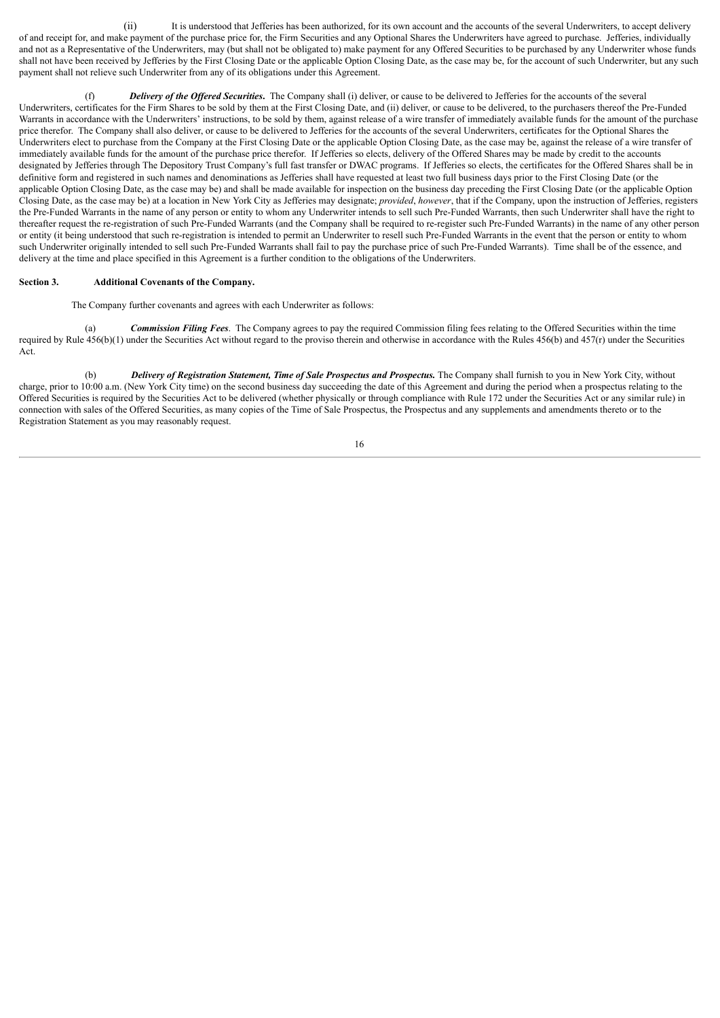(ii) It is understood that Jefferies has been authorized, for its own account and the accounts of the several Underwriters, to accept delivery of and receipt for, and make payment of the purchase price for, the Firm Securities and any Optional Shares the Underwriters have agreed to purchase. Jefferies, individually and not as a Representative of the Underwriters, may (but shall not be obligated to) make payment for any Offered Securities to be purchased by any Underwriter whose funds shall not have been received by Jefferies by the First Closing Date or the applicable Option Closing Date, as the case may be, for the account of such Underwriter, but any such payment shall not relieve such Underwriter from any of its obligations under this Agreement.

(f) *Delivery of the Of ered Securities***.** The Company shall (i) deliver, or cause to be delivered to Jefferies for the accounts of the several Underwriters, certificates for the Firm Shares to be sold by them at the First Closing Date, and (ii) deliver, or cause to be delivered, to the purchasers thereof the Pre-Funded Warrants in accordance with the Underwriters' instructions, to be sold by them, against release of a wire transfer of immediately available funds for the amount of the purchase price therefor. The Company shall also deliver, or cause to be delivered to Jefferies for the accounts of the several Underwriters, certificates for the Optional Shares the Underwriters elect to purchase from the Company at the First Closing Date or the applicable Option Closing Date, as the case may be, against the release of a wire transfer of immediately available funds for the amount of the purchase price therefor. If Jefferies so elects, delivery of the Offered Shares may be made by credit to the accounts designated by Jefferies through The Depository Trust Company's full fast transfer or DWAC programs. If Jefferies so elects, the certificates for the Offered Shares shall be in definitive form and registered in such names and denominations as Jefferies shall have requested at least two full business days prior to the First Closing Date (or the applicable Option Closing Date, as the case may be) and shall be made available for inspection on the business day preceding the First Closing Date (or the applicable Option Closing Date, as the case may be) at a location in New York City as Jefferies may designate; *provided*, *however*, that if the Company, upon the instruction of Jefferies, registers the Pre-Funded Warrants in the name of any person or entity to whom any Underwriter intends to sell such Pre-Funded Warrants, then such Underwriter shall have the right to thereafter request the re-registration of such Pre-Funded Warrants (and the Company shall be required to re-register such Pre-Funded Warrants) in the name of any other person or entity (it being understood that such re-registration is intended to permit an Underwriter to resell such Pre-Funded Warrants in the event that the person or entity to whom such Underwriter originally intended to sell such Pre-Funded Warrants shall fail to pay the purchase price of such Pre-Funded Warrants). Time shall be of the essence, and delivery at the time and place specified in this Agreement is a further condition to the obligations of the Underwriters.

#### **Section 3. Additional Covenants of the Company.**

The Company further covenants and agrees with each Underwriter as follows:

(a) *Commission Filing Fees*. The Company agrees to pay the required Commission filing fees relating to the Offered Securities within the time required by Rule  $456(b)(1)$  under the Securities Act without regard to the proviso therein and otherwise in accordance with the Rules  $456(b)$  and  $457(r)$  under the Securities Act.

(b) *Delivery of Registration Statement, Time of Sale Prospectus and Prospectus.* The Company shall furnish to you in New York City, without charge, prior to 10:00 a.m. (New York City time) on the second business day succeeding the date of this Agreement and during the period when a prospectus relating to the Offered Securities is required by the Securities Act to be delivered (whether physically or through compliance with Rule 172 under the Securities Act or any similar rule) in connection with sales of the Offered Securities, as many copies of the Time of Sale Prospectus, the Prospectus and any supplements and amendments thereto or to the Registration Statement as you may reasonably request.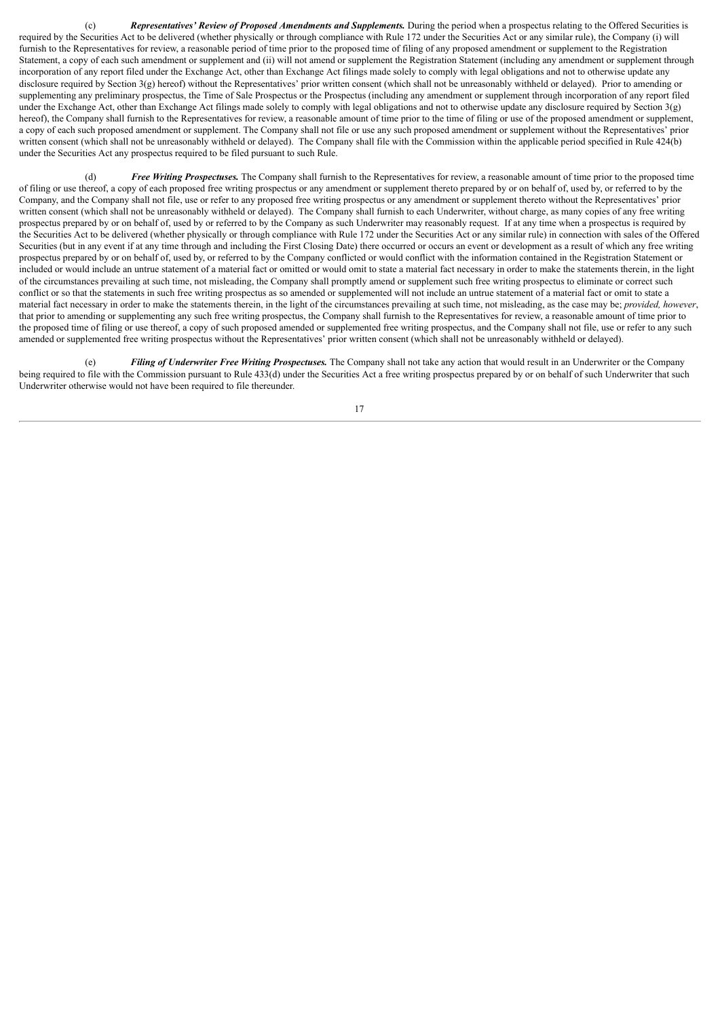(c) *Representatives' Review of Proposed Amendments and Supplements.* During the period when a prospectus relating to the Offered Securities is required by the Securities Act to be delivered (whether physically or through compliance with Rule 172 under the Securities Act or any similar rule), the Company (i) will furnish to the Representatives for review, a reasonable period of time prior to the proposed time of filing of any proposed amendment or supplement to the Registration Statement, a copy of each such amendment or supplement and (ii) will not amend or supplement the Registration Statement (including any amendment or supplement through incorporation of any report filed under the Exchange Act, other than Exchange Act filings made solely to comply with legal obligations and not to otherwise update any disclosure required by Section 3(g) hereof) without the Representatives' prior written consent (which shall not be unreasonably withheld or delayed). Prior to amending or supplementing any preliminary prospectus, the Time of Sale Prospectus or the Prospectus (including any amendment or supplement through incorporation of any report filed under the Exchange Act, other than Exchange Act filings made solely to comply with legal obligations and not to otherwise update any disclosure required by Section 3(g) hereof), the Company shall furnish to the Representatives for review, a reasonable amount of time prior to the time of filing or use of the proposed amendment or supplement, a copy of each such proposed amendment or supplement. The Company shall not file or use any such proposed amendment or supplement without the Representatives' prior written consent (which shall not be unreasonably withheld or delayed). The Company shall file with the Commission within the applicable period specified in Rule 424(b) under the Securities Act any prospectus required to be filed pursuant to such Rule.

(d) *Free Writing Prospectuses.* The Company shall furnish to the Representatives for review, a reasonable amount of time prior to the proposed time of filing or use thereof, a copy of each proposed free writing prospectus or any amendment or supplement thereto prepared by or on behalf of, used by, or referred to by the Company, and the Company shall not file, use or refer to any proposed free writing prospectus or any amendment or supplement thereto without the Representatives' prior written consent (which shall not be unreasonably withheld or delayed). The Company shall furnish to each Underwriter, without charge, as many copies of any free writing prospectus prepared by or on behalf of, used by or referred to by the Company as such Underwriter may reasonably request. If at any time when a prospectus is required by the Securities Act to be delivered (whether physically or through compliance with Rule 172 under the Securities Act or any similar rule) in connection with sales of the Offered Securities (but in any event if at any time through and including the First Closing Date) there occurred or occurs an event or development as a result of which any free writing prospectus prepared by or on behalf of, used by, or referred to by the Company conflicted or would conflict with the information contained in the Registration Statement or included or would include an untrue statement of a material fact or omitted or would omit to state a material fact necessary in order to make the statements therein, in the light of the circumstances prevailing at such time, not misleading, the Company shall promptly amend or supplement such free writing prospectus to eliminate or correct such conflict or so that the statements in such free writing prospectus as so amended or supplemented will not include an untrue statement of a material fact or omit to state a material fact necessary in order to make the statements therein, in the light of the circumstances prevailing at such time, not misleading, as the case may be; *provided, however*, that prior to amending or supplementing any such free writing prospectus, the Company shall furnish to the Representatives for review, a reasonable amount of time prior to the proposed time of filing or use thereof, a copy of such proposed amended or supplemented free writing prospectus, and the Company shall not file, use or refer to any such amended or supplemented free writing prospectus without the Representatives' prior written consent (which shall not be unreasonably withheld or delayed).

(e) *Filing of Underwriter Free Writing Prospectuses.* The Company shall not take any action that would result in an Underwriter or the Company being required to file with the Commission pursuant to Rule 433(d) under the Securities Act a free writing prospectus prepared by or on behalf of such Underwriter that such Underwriter otherwise would not have been required to file thereunder.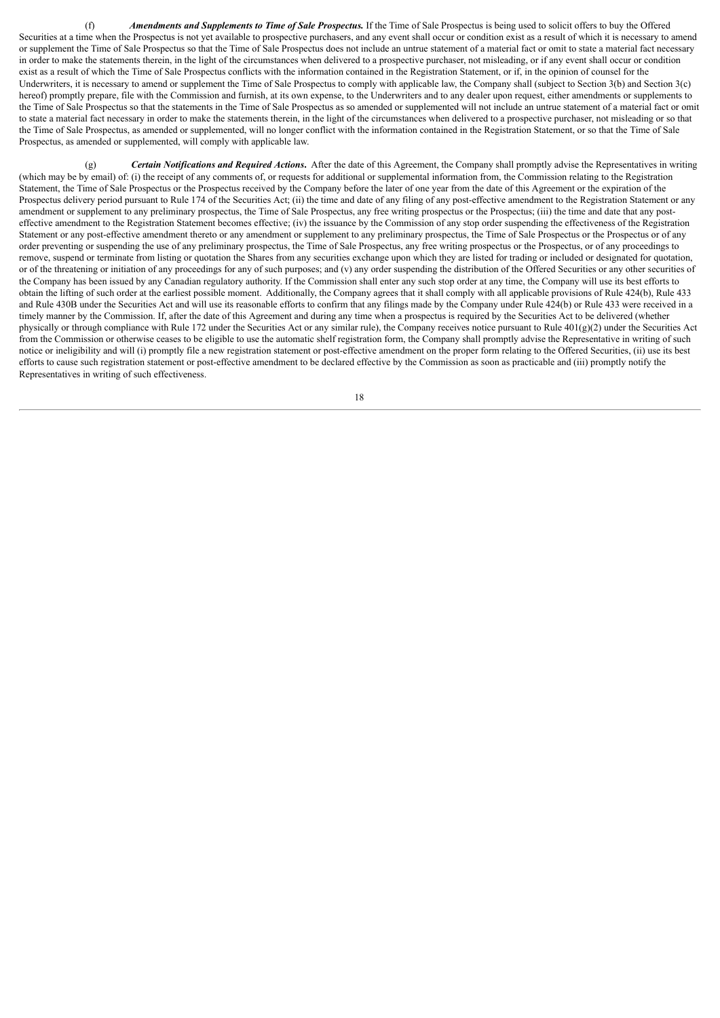(f) *Amendments and Supplements to Time of Sale Prospectus.* If the Time of Sale Prospectus is being used to solicit offers to buy the Offered Securities at a time when the Prospectus is not yet available to prospective purchasers, and any event shall occur or condition exist as a result of which it is necessary to amend or supplement the Time of Sale Prospectus so that the Time of Sale Prospectus does not include an untrue statement of a material fact or omit to state a material fact necessary in order to make the statements therein, in the light of the circumstances when delivered to a prospective purchaser, not misleading, or if any event shall occur or condition exist as a result of which the Time of Sale Prospectus conflicts with the information contained in the Registration Statement, or if, in the opinion of counsel for the Underwriters, it is necessary to amend or supplement the Time of Sale Prospectus to comply with applicable law, the Company shall (subject to Section 3(b) and Section 3(c) hereof) promptly prepare, file with the Commission and furnish, at its own expense, to the Underwriters and to any dealer upon request, either amendments or supplements to the Time of Sale Prospectus so that the statements in the Time of Sale Prospectus as so amended or supplemented will not include an untrue statement of a material fact or omit to state a material fact necessary in order to make the statements therein, in the light of the circumstances when delivered to a prospective purchaser, not misleading or so that the Time of Sale Prospectus, as amended or supplemented, will no longer conflict with the information contained in the Registration Statement, or so that the Time of Sale Prospectus, as amended or supplemented, will comply with applicable law.

(g) *Certain Notifications and Required Actions***.** After the date of this Agreement, the Company shall promptly advise the Representatives in writing (which may be by email) of: (i) the receipt of any comments of, or requests for additional or supplemental information from, the Commission relating to the Registration Statement, the Time of Sale Prospectus or the Prospectus received by the Company before the later of one year from the date of this Agreement or the expiration of the Prospectus delivery period pursuant to Rule 174 of the Securities Act; (ii) the time and date of any filing of any post-effective amendment to the Registration Statement or any amendment or supplement to any preliminary prospectus, the Time of Sale Prospectus, any free writing prospectus or the Prospectus; (iii) the time and date that any posteffective amendment to the Registration Statement becomes effective; (iv) the issuance by the Commission of any stop order suspending the effectiveness of the Registration Statement or any post-effective amendment thereto or any amendment or supplement to any preliminary prospectus, the Time of Sale Prospectus or the Prospectus or of any order preventing or suspending the use of any preliminary prospectus, the Time of Sale Prospectus, any free writing prospectus or the Prospectus, or of any proceedings to remove, suspend or terminate from listing or quotation the Shares from any securities exchange upon which they are listed for trading or included or designated for quotation, or of the threatening or initiation of any proceedings for any of such purposes; and (v) any order suspending the distribution of the Offered Securities or any other securities of the Company has been issued by any Canadian regulatory authority. If the Commission shall enter any such stop order at any time, the Company will use its best efforts to obtain the lifting of such order at the earliest possible moment. Additionally, the Company agrees that it shall comply with all applicable provisions of Rule 424(b), Rule 433 and Rule 430B under the Securities Act and will use its reasonable efforts to confirm that any filings made by the Company under Rule 424(b) or Rule 433 were received in a timely manner by the Commission. If, after the date of this Agreement and during any time when a prospectus is required by the Securities Act to be delivered (whether physically or through compliance with Rule 172 under the Securities Act or any similar rule), the Company receives notice pursuant to Rule 401(g)(2) under the Securities Act from the Commission or otherwise ceases to be eligible to use the automatic shelf registration form, the Company shall promptly advise the Representative in writing of such notice or ineligibility and will (i) promptly file a new registration statement or post-effective amendment on the proper form relating to the Offered Securities, (ii) use its best efforts to cause such registration statement or post-effective amendment to be declared effective by the Commission as soon as practicable and (iii) promptly notify the Representatives in writing of such effectiveness.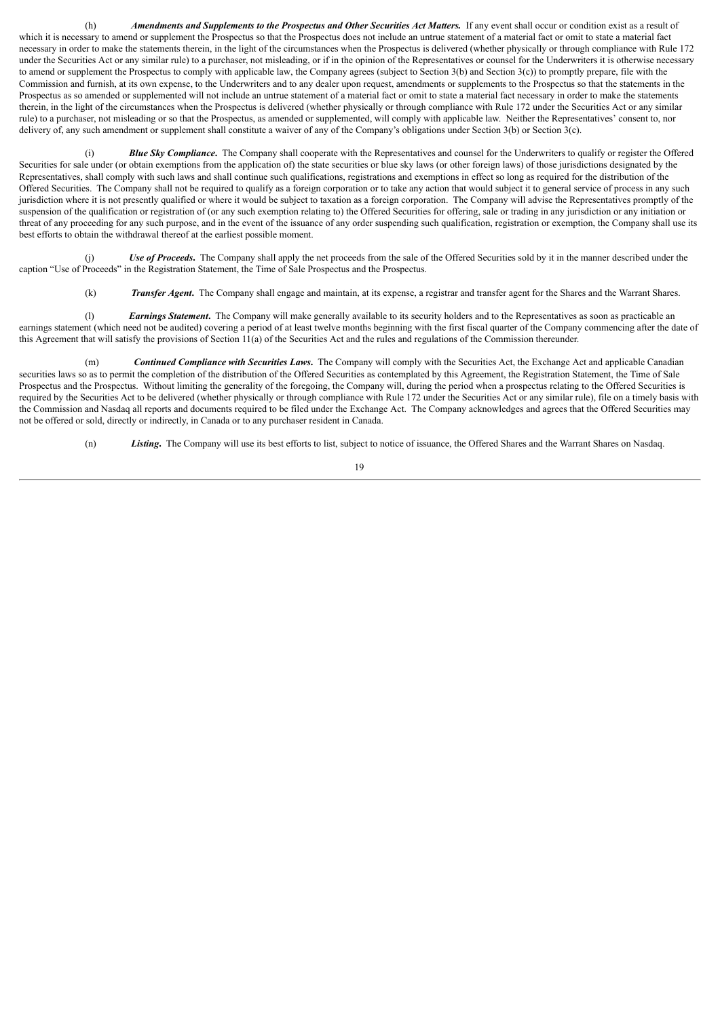(h) *Amendments and Supplements to the Prospectus and Other Securities Act Matters.* If any event shall occur or condition exist as a result of which it is necessary to amend or supplement the Prospectus so that the Prospectus does not include an untrue statement of a material fact or omit to state a material fact necessary in order to make the statements therein, in the light of the circumstances when the Prospectus is delivered (whether physically or through compliance with Rule 172 under the Securities Act or any similar rule) to a purchaser, not misleading, or if in the opinion of the Representatives or counsel for the Underwriters it is otherwise necessary to amend or supplement the Prospectus to comply with applicable law, the Company agrees (subject to Section 3(b) and Section  $3(c)$ ) to promptly prepare, file with the Commission and furnish, at its own expense, to the Underwriters and to any dealer upon request, amendments or supplements to the Prospectus so that the statements in the Prospectus as so amended or supplemented will not include an untrue statement of a material fact or omit to state a material fact necessary in order to make the statements therein, in the light of the circumstances when the Prospectus is delivered (whether physically or through compliance with Rule 172 under the Securities Act or any similar rule) to a purchaser, not misleading or so that the Prospectus, as amended or supplemented, will comply with applicable law. Neither the Representatives' consent to, nor delivery of, any such amendment or supplement shall constitute a waiver of any of the Company's obligations under Section 3(b) or Section 3(c).

(i) *Blue Sky Compliance***.** The Company shall cooperate with the Representatives and counsel for the Underwriters to qualify or register the Offered Securities for sale under (or obtain exemptions from the application of) the state securities or blue sky laws (or other foreign laws) of those jurisdictions designated by the Representatives, shall comply with such laws and shall continue such qualifications, registrations and exemptions in effect so long as required for the distribution of the Offered Securities. The Company shall not be required to qualify as a foreign corporation or to take any action that would subject it to general service of process in any such jurisdiction where it is not presently qualified or where it would be subject to taxation as a foreign corporation. The Company will advise the Representatives promptly of the suspension of the qualification or registration of (or any such exemption relating to) the Offered Securities for offering, sale or trading in any jurisdiction or any initiation or threat of any proceeding for any such purpose, and in the event of the issuance of any order suspending such qualification, registration or exemption, the Company shall use its best efforts to obtain the withdrawal thereof at the earliest possible moment.

(j) *Use of Proceeds*. The Company shall apply the net proceeds from the sale of the Offered Securities sold by it in the manner described under the caption "Use of Proceeds" in the Registration Statement, the Time of Sale Prospectus and the Prospectus.

(k) *Transfer Agent***.** The Company shall engage and maintain, at its expense, a registrar and transfer agent for the Shares and the Warrant Shares.

(l) *Earnings Statement***.** The Company will make generally available to its security holders and to the Representatives as soon as practicable an earnings statement (which need not be audited) covering a period of at least twelve months beginning with the first fiscal quarter of the Company commencing after the date of this Agreement that will satisfy the provisions of Section 11(a) of the Securities Act and the rules and regulations of the Commission thereunder.

(m) *Continued Compliance with Securities Laws***.** The Company will comply with the Securities Act, the Exchange Act and applicable Canadian securities laws so as to permit the completion of the distribution of the Offered Securities as contemplated by this Agreement, the Registration Statement, the Time of Sale Prospectus and the Prospectus. Without limiting the generality of the foregoing, the Company will, during the period when a prospectus relating to the Offered Securities is required by the Securities Act to be delivered (whether physically or through compliance with Rule 172 under the Securities Act or any similar rule), file on a timely basis with the Commission and Nasdaq all reports and documents required to be filed under the Exchange Act. The Company acknowledges and agrees that the Offered Securities may not be offered or sold, directly or indirectly, in Canada or to any purchaser resident in Canada.

(n) *Listing***.** The Company will use its best efforts to list, subject to notice of issuance, the Offered Shares and the Warrant Shares on Nasdaq.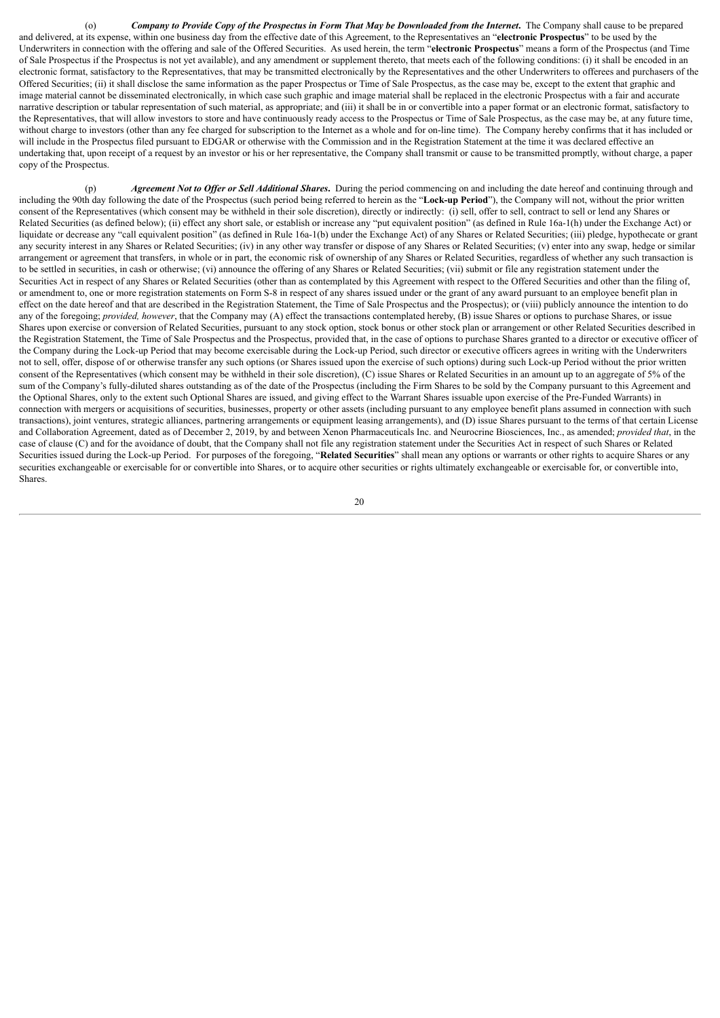(o) Company to Provide Copy of the Prospectus in Form That May be Downloaded from the Internet. The Company shall cause to be prepared and delivered, at its expense, within one business day from the effective date of this Agreement, to the Representatives an "**electronic Prospectus**" to be used by the Underwriters in connection with the offering and sale of the Offered Securities. As used herein, the term "**electronic Prospectus**" means a form of the Prospectus (and Time of Sale Prospectus if the Prospectus is not yet available), and any amendment or supplement thereto, that meets each of the following conditions: (i) it shall be encoded in an electronic format, satisfactory to the Representatives, that may be transmitted electronically by the Representatives and the other Underwriters to offerees and purchasers of the Offered Securities; (ii) it shall disclose the same information as the paper Prospectus or Time of Sale Prospectus, as the case may be, except to the extent that graphic and image material cannot be disseminated electronically, in which case such graphic and image material shall be replaced in the electronic Prospectus with a fair and accurate narrative description or tabular representation of such material, as appropriate; and (iii) it shall be in or convertible into a paper format or an electronic format, satisfactory to the Representatives, that will allow investors to store and have continuously ready access to the Prospectus or Time of Sale Prospectus, as the case may be, at any future time, without charge to investors (other than any fee charged for subscription to the Internet as a whole and for on-line time). The Company hereby confirms that it has included or will include in the Prospectus filed pursuant to EDGAR or otherwise with the Commission and in the Registration Statement at the time it was declared effective an undertaking that, upon receipt of a request by an investor or his or her representative, the Company shall transmit or cause to be transmitted promptly, without charge, a paper copy of the Prospectus.

(p) *Agreement Not to Of er or Sell Additional Shares***.** During the period commencing on and including the date hereof and continuing through and including the 90th day following the date of the Prospectus (such period being referred to herein as the "**Lock-up Period**"), the Company will not, without the prior written consent of the Representatives (which consent may be withheld in their sole discretion), directly or indirectly: (i) sell, offer to sell, contract to sell or lend any Shares or Related Securities (as defined below); (ii) effect any short sale, or establish or increase any "put equivalent position" (as defined in Rule 16a-1(h) under the Exchange Act) or liquidate or decrease any "call equivalent position" (as defined in Rule 16a-1(b) under the Exchange Act) of any Shares or Related Securities; (iii) pledge, hypothecate or grant any security interest in any Shares or Related Securities; (iv) in any other way transfer or dispose of any Shares or Related Securities; (v) enter into any swap, hedge or similar arrangement or agreement that transfers, in whole or in part, the economic risk of ownership of any Shares or Related Securities, regardless of whether any such transaction is to be settled in securities, in cash or otherwise; (vi) announce the offering of any Shares or Related Securities; (vii) submit or file any registration statement under the Securities Act in respect of any Shares or Related Securities (other than as contemplated by this Agreement with respect to the Offered Securities and other than the filing of, or amendment to, one or more registration statements on Form S-8 in respect of any shares issued under or the grant of any award pursuant to an employee benefit plan in effect on the date hereof and that are described in the Registration Statement, the Time of Sale Prospectus and the Prospectus); or (viii) publicly announce the intention to do any of the foregoing; *provided, however*, that the Company may (A) effect the transactions contemplated hereby, (B) issue Shares or options to purchase Shares, or issue Shares upon exercise or conversion of Related Securities, pursuant to any stock option, stock bonus or other stock plan or arrangement or other Related Securities described in the Registration Statement, the Time of Sale Prospectus and the Prospectus, provided that, in the case of options to purchase Shares granted to a director or executive officer of the Company during the Lock-up Period that may become exercisable during the Lock-up Period, such director or executive officers agrees in writing with the Underwriters not to sell, offer, dispose of or otherwise transfer any such options (or Shares issued upon the exercise of such options) during such Lock-up Period without the prior written consent of the Representatives (which consent may be withheld in their sole discretion), (C) issue Shares or Related Securities in an amount up to an aggregate of 5% of the sum of the Company's fully-diluted shares outstanding as of the date of the Prospectus (including the Firm Shares to be sold by the Company pursuant to this Agreement and the Optional Shares, only to the extent such Optional Shares are issued, and giving effect to the Warrant Shares issuable upon exercise of the Pre-Funded Warrants) in connection with mergers or acquisitions of securities, businesses, property or other assets (including pursuant to any employee benefit plans assumed in connection with such transactions), joint ventures, strategic alliances, partnering arrangements or equipment leasing arrangements), and (D) issue Shares pursuant to the terms of that certain License and Collaboration Agreement, dated as of December 2, 2019, by and between Xenon Pharmaceuticals Inc. and Neurocrine Biosciences, Inc., as amended; *provided that*, in the case of clause (C) and for the avoidance of doubt, that the Company shall not file any registration statement under the Securities Act in respect of such Shares or Related Securities issued during the Lock-up Period. For purposes of the foregoing, "**Related Securities**" shall mean any options or warrants or other rights to acquire Shares or any securities exchangeable or exercisable for or convertible into Shares, or to acquire other securities or rights ultimately exchangeable or exercisable for, or convertible into, Shares.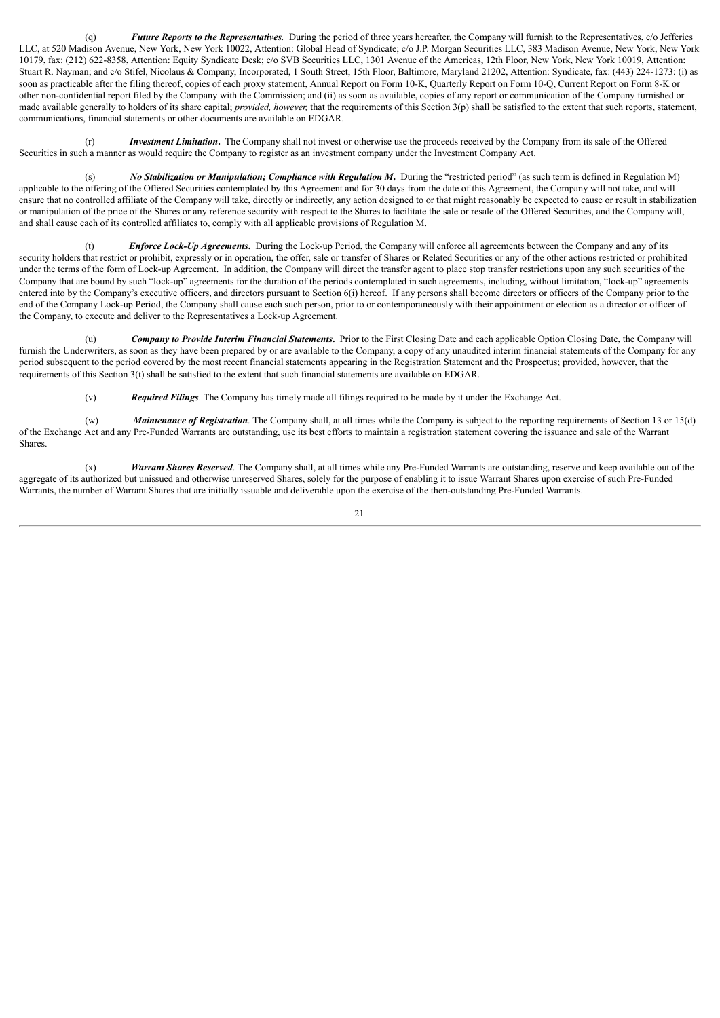(q) *Future Reports to the Representatives.* During the period of three years hereafter, the Company will furnish to the Representatives, c/o Jefferies LLC, at 520 Madison Avenue, New York, New York 10022, Attention: Global Head of Syndicate; c/o J.P. Morgan Securities LLC, 383 Madison Avenue, New York, New York 10179, fax: (212) 622-8358, Attention: Equity Syndicate Desk; c/o SVB Securities LLC, 1301 Avenue of the Americas, 12th Floor, New York, New York 10019, Attention: Stuart R. Nayman; and c/o Stifel, Nicolaus & Company, Incorporated, 1 South Street, 15th Floor, Baltimore, Maryland 21202, Attention: Syndicate, fax: (443) 224-1273: (i) as soon as practicable after the filing thereof, copies of each proxy statement, Annual Report on Form 10-K, Quarterly Report on Form 10-Q, Current Report on Form 8-K or other non-confidential report filed by the Company with the Commission; and (ii) as soon as available, copies of any report or communication of the Company furnished or made available generally to holders of its share capital; *provided, however*, that the requirements of this Section 3(p) shall be satisfied to the extent that such reports, statement, communications, financial statements or other documents are available on EDGAR.

(r) *Investment Limitation***.** The Company shall not invest or otherwise use the proceeds received by the Company from its sale of the Offered Securities in such a manner as would require the Company to register as an investment company under the Investment Company Act.

(s) *No Stabilization or Manipulation; Compliance with Regulation M***.** During the "restricted period" (as such term is defined in Regulation M) applicable to the offering of the Offered Securities contemplated by this Agreement and for 30 days from the date of this Agreement, the Company will not take, and will ensure that no controlled affiliate of the Company will take, directly or indirectly, any action designed to or that might reasonably be expected to cause or result in stabilization or manipulation of the price of the Shares or any reference security with respect to the Shares to facilitate the sale or resale of the Offered Securities, and the Company will, and shall cause each of its controlled affiliates to, comply with all applicable provisions of Regulation M.

(t) *Enforce Lock-Up Agreements***.** During the Lock-up Period, the Company will enforce all agreements between the Company and any of its security holders that restrict or prohibit, expressly or in operation, the offer, sale or transfer of Shares or Related Securities or any of the other actions restricted or prohibited under the terms of the form of Lock-up Agreement. In addition, the Company will direct the transfer agent to place stop transfer restrictions upon any such securities of the Company that are bound by such "lock-up" agreements for the duration of the periods contemplated in such agreements, including, without limitation, "lock-up" agreements entered into by the Company's executive officers, and directors pursuant to Section 6(i) hereof. If any persons shall become directors or officers of the Company prior to the end of the Company Lock-up Period, the Company shall cause each such person, prior to or contemporaneously with their appointment or election as a director or officer of the Company, to execute and deliver to the Representatives a Lock-up Agreement.

(u) *Company to Provide Interim Financial Statements***.** Prior to the First Closing Date and each applicable Option Closing Date, the Company will furnish the Underwriters, as soon as they have been prepared by or are available to the Company, a copy of any unaudited interim financial statements of the Company for any period subsequent to the period covered by the most recent financial statements appearing in the Registration Statement and the Prospectus; provided, however, that the requirements of this Section 3(t) shall be satisfied to the extent that such financial statements are available on EDGAR.

(v) *Required Filings*. The Company has timely made all filings required to be made by it under the Exchange Act.

(w) *Maintenance of Registration*. The Company shall, at all times while the Company is subject to the reporting requirements of Section 13 or 15(d) of the Exchange Act and any Pre-Funded Warrants are outstanding, use its best efforts to maintain a registration statement covering the issuance and sale of the Warrant **Shares**.

(x) *Warrant Shares Reserved*. The Company shall, at all times while any Pre-Funded Warrants are outstanding, reserve and keep available out of the aggregate of its authorized but unissued and otherwise unreserved Shares, solely for the purpose of enabling it to issue Warrant Shares upon exercise of such Pre-Funded Warrants, the number of Warrant Shares that are initially issuable and deliverable upon the exercise of the then-outstanding Pre-Funded Warrants.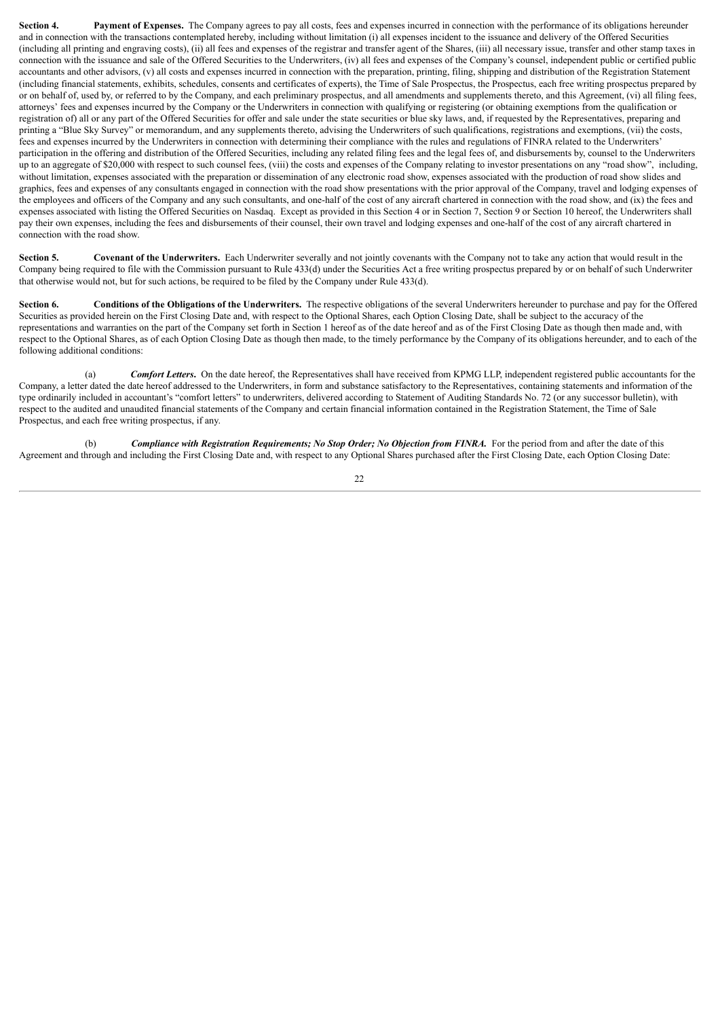**Section 4. Payment of Expenses.** The Company agrees to pay all costs, fees and expenses incurred in connection with the performance of its obligations hereunder and in connection with the transactions contemplated hereby, including without limitation (i) all expenses incident to the issuance and delivery of the Offered Securities (including all printing and engraving costs), (ii) all fees and expenses of the registrar and transfer agent of the Shares, (iii) all necessary issue, transfer and other stamp taxes in connection with the issuance and sale of the Offered Securities to the Underwriters, (iv) all fees and expenses of the Company's counsel, independent public or certified public accountants and other advisors, (v) all costs and expenses incurred in connection with the preparation, printing, filing, shipping and distribution of the Registration Statement (including financial statements, exhibits, schedules, consents and certificates of experts), the Time of Sale Prospectus, the Prospectus, each free writing prospectus prepared by or on behalf of, used by, or referred to by the Company, and each preliminary prospectus, and all amendments and supplements thereto, and this Agreement, (vi) all filing fees, attorneys' fees and expenses incurred by the Company or the Underwriters in connection with qualifying or registering (or obtaining exemptions from the qualification or registration of) all or any part of the Offered Securities for offer and sale under the state securities or blue sky laws, and, if requested by the Representatives, preparing and printing a "Blue Sky Survey" or memorandum, and any supplements thereto, advising the Underwriters of such qualifications, registrations and exemptions, (vii) the costs, fees and expenses incurred by the Underwriters in connection with determining their compliance with the rules and regulations of FINRA related to the Underwriters' participation in the offering and distribution of the Offered Securities, including any related filing fees and the legal fees of, and disbursements by, counsel to the Underwriters up to an aggregate of \$20,000 with respect to such counsel fees, (viii) the costs and expenses of the Company relating to investor presentations on any "road show", including, without limitation, expenses associated with the preparation or dissemination of any electronic road show, expenses associated with the production of road show slides and graphics, fees and expenses of any consultants engaged in connection with the road show presentations with the prior approval of the Company, travel and lodging expenses of the employees and officers of the Company and any such consultants, and one-half of the cost of any aircraft chartered in connection with the road show, and (ix) the fees and expenses associated with listing the Offered Securities on Nasdaq. Except as provided in this Section 4 or in Section 7, Section 9 or Section 10 hereof, the Underwriters shall pay their own expenses, including the fees and disbursements of their counsel, their own travel and lodging expenses and one-half of the cost of any aircraft chartered in connection with the road show.

**Section 5. Covenant of the Underwriters.** Each Underwriter severally and not jointly covenants with the Company not to take any action that would result in the Company being required to file with the Commission pursuant to Rule 433(d) under the Securities Act a free writing prospectus prepared by or on behalf of such Underwriter that otherwise would not, but for such actions, be required to be filed by the Company under Rule 433(d).

Section 6. Conditions of the Obligations of the Underwriters. The respective obligations of the several Underwriters hereunder to purchase and pay for the Offered Securities as provided herein on the First Closing Date and, with respect to the Optional Shares, each Option Closing Date, shall be subject to the accuracy of the representations and warranties on the part of the Company set forth in Section 1 hereof as of the date hereof and as of the First Closing Date as though then made and, with respect to the Optional Shares, as of each Option Closing Date as though then made, to the timely performance by the Company of its obligations hereunder, and to each of the following additional conditions:

(a) *Comfort Letters***.** On the date hereof, the Representatives shall have received from KPMG LLP, independent registered public accountants for the Company, a letter dated the date hereof addressed to the Underwriters, in form and substance satisfactory to the Representatives, containing statements and information of the type ordinarily included in accountant's "comfort letters" to underwriters, delivered according to Statement of Auditing Standards No. 72 (or any successor bulletin), with respect to the audited and unaudited financial statements of the Company and certain financial information contained in the Registration Statement, the Time of Sale Prospectus, and each free writing prospectus, if any.

(b) *Compliance with Registration Requirements; No Stop Order; No Objection from FINRA.* For the period from and after the date of this Agreement and through and including the First Closing Date and, with respect to any Optional Shares purchased after the First Closing Date, each Option Closing Date: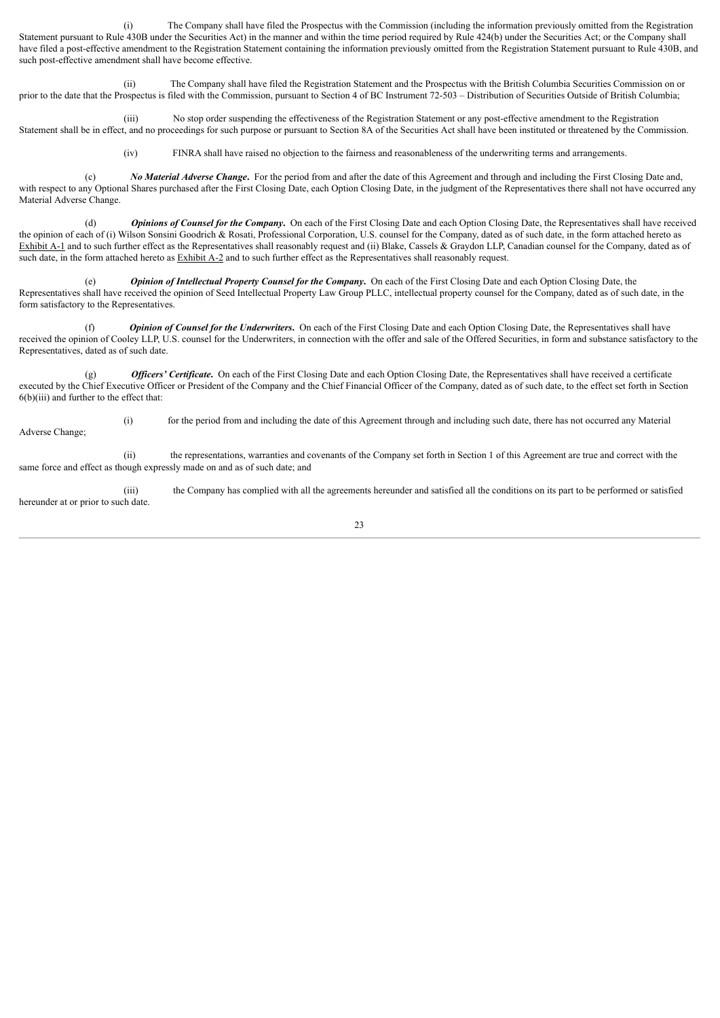(i) The Company shall have filed the Prospectus with the Commission (including the information previously omitted from the Registration Statement pursuant to Rule 430B under the Securities Act) in the manner and within the time period required by Rule 424(b) under the Securities Act; or the Company shall have filed a post-effective amendment to the Registration Statement containing the information previously omitted from the Registration Statement pursuant to Rule 430B, and such post-effective amendment shall have become effective.

(ii) The Company shall have filed the Registration Statement and the Prospectus with the British Columbia Securities Commission on or prior to the date that the Prospectus is filed with the Commission, pursuant to Section 4 of BC Instrument 72-503 – Distribution of Securities Outside of British Columbia;

(iii) No stop order suspending the effectiveness of the Registration Statement or any post-effective amendment to the Registration Statement shall be in effect, and no proceedings for such purpose or pursuant to Section 8A of the Securities Act shall have been instituted or threatened by the Commission.

(iv) FINRA shall have raised no objection to the fairness and reasonableness of the underwriting terms and arrangements.

(c) *No Material Adverse Change***.** For the period from and after the date of this Agreement and through and including the First Closing Date and, with respect to any Optional Shares purchased after the First Closing Date, each Option Closing Date, in the judgment of the Representatives there shall not have occurred any Material Adverse Change.

(d) *Opinions of Counsel for the Company***.** On each of the First Closing Date and each Option Closing Date, the Representatives shall have received the opinion of each of (i) Wilson Sonsini Goodrich & Rosati, Professional Corporation, U.S. counsel for the Company, dated as of such date, in the form attached hereto as Exhibit A-1 and to such further effect as the Representatives shall reasonably request and (ii) Blake, Cassels & Graydon LLP, Canadian counsel for the Company, dated as of such date, in the form attached hereto as Exhibit A-2 and to such further effect as the Representatives shall reasonably request.

(e) *Opinion of Intellectual Property Counsel for the Company***.** On each of the First Closing Date and each Option Closing Date, the Representatives shall have received the opinion of Seed Intellectual Property Law Group PLLC, intellectual property counsel for the Company, dated as of such date, in the form satisfactory to the Representatives.

(f) *Opinion of Counsel for the Underwriters***.** On each of the First Closing Date and each Option Closing Date, the Representatives shall have received the opinion of Cooley LLP, U.S. counsel for the Underwriters, in connection with the offer and sale of the Offered Securities, in form and substance satisfactory to the Representatives, dated as of such date.

(g) *Of icers' Certificate***.** On each of the First Closing Date and each Option Closing Date, the Representatives shall have received a certificate executed by the Chief Executive Officer or President of the Company and the Chief Financial Officer of the Company, dated as of such date, to the effect set forth in Section  $6(b)(iii)$  and further to the effect that:

(i) for the period from and including the date of this Agreement through and including such date, there has not occurred any Material Adverse Change;

(ii) the representations, warranties and covenants of the Company set forth in Section 1 of this Agreement are true and correct with the same force and effect as though expressly made on and as of such date; and

(iii) the Company has complied with all the agreements hereunder and satisfied all the conditions on its part to be performed or satisfied hereunder at or prior to such date.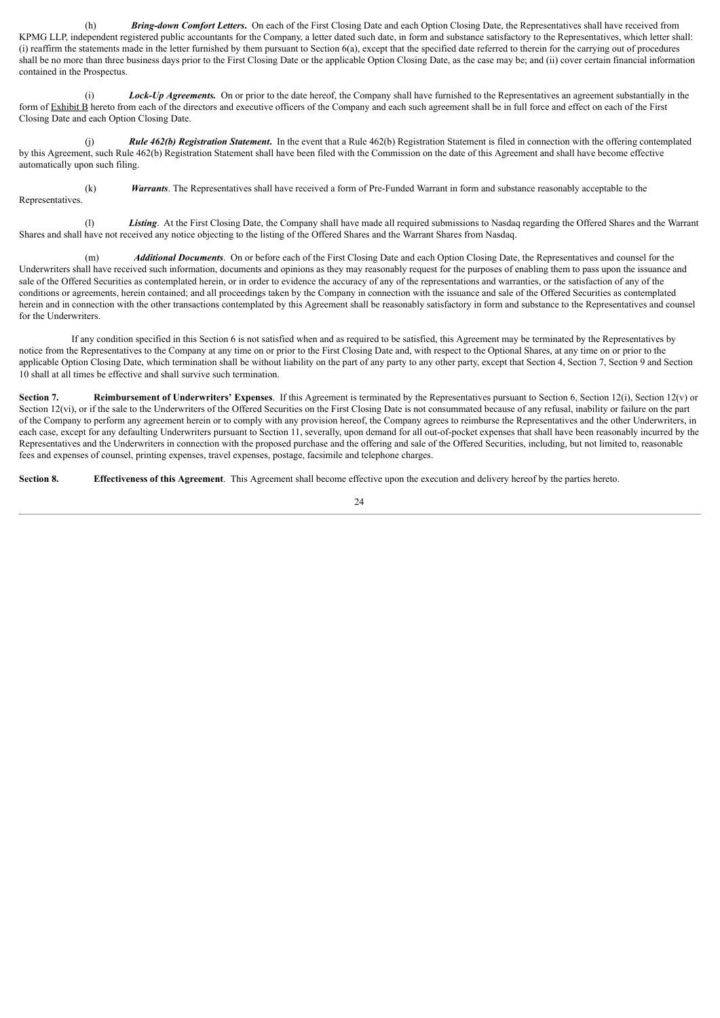(h) *Bring-down Comfort Letters***.** On each of the First Closing Date and each Option Closing Date, the Representatives shall have received from KPMG LLP, independent registered public accountants for the Company, a letter dated such date, in form and substance satisfactory to the Representatives, which letter shall: (i) reaffirm the statements made in the letter furnished by them pursuant to Section 6(a), except that the specified date referred to therein for the carrying out of procedures shall be no more than three business days prior to the First Closing Date or the applicable Option Closing Date, as the case may be; and (ii) cover certain financial information contained in the Prospectus.

(i) *Lock-Up Agreements.* On or prior to the date hereof, the Company shall have furnished to the Representatives an agreement substantially in the form of Exhibit B hereto from each of the directors and executive officers of the Company and each such agreement shall be in full force and effect on each of the First Closing Date and each Option Closing Date.

(j) *Rule 462(b) Registration Statement***.** In the event that a Rule 462(b) Registration Statement is filed in connection with the offering contemplated by this Agreement, such Rule 462(b) Registration Statement shall have been filed with the Commission on the date of this Agreement and shall have become effective automatically upon such filing.

(k) *Warrants*. The Representatives shall have received a form of Pre-Funded Warrant in form and substance reasonably acceptable to the

**Representatives** 

(l) *Listing*. At the First Closing Date, the Company shall have made all required submissions to Nasdaq regarding the Offered Shares and the Warrant Shares and shall have not received any notice objecting to the listing of the Offered Shares and the Warrant Shares from Nasdaq.

(m) *Additional Documents*. On or before each of the First Closing Date and each Option Closing Date, the Representatives and counsel for the Underwriters shall have received such information, documents and opinions as they may reasonably request for the purposes of enabling them to pass upon the issuance and sale of the Offered Securities as contemplated herein, or in order to evidence the accuracy of any of the representations and warranties, or the satisfaction of any of the conditions or agreements, herein contained; and all proceedings taken by the Company in connection with the issuance and sale of the Offered Securities as contemplated herein and in connection with the other transactions contemplated by this Agreement shall be reasonably satisfactory in form and substance to the Representatives and counsel for the Underwriters.

If any condition specified in this Section 6 is not satisfied when and as required to be satisfied, this Agreement may be terminated by the Representatives by notice from the Representatives to the Company at any time on or prior to the First Closing Date and, with respect to the Optional Shares, at any time on or prior to the applicable Option Closing Date, which termination shall be without liability on the part of any party to any other party, except that Section 4, Section 7, Section 9 and Section 10 shall at all times be effective and shall survive such termination.

**Section 7. Reimbursement of Underwriters' Expenses**. If this Agreement is terminated by the Representatives pursuant to Section 6, Section 12(i), Section 12(v) or Section 12(vi), or if the sale to the Underwriters of the Offered Securities on the First Closing Date is not consummated because of any refusal, inability or failure on the part of the Company to perform any agreement herein or to comply with any provision hereof, the Company agrees to reimburse the Representatives and the other Underwriters, in each case, except for any defaulting Underwriters pursuant to Section 11, severally, upon demand for all out-of-pocket expenses that shall have been reasonably incurred by the Representatives and the Underwriters in connection with the proposed purchase and the offering and sale of the Offered Securities, including, but not limited to, reasonable fees and expenses of counsel, printing expenses, travel expenses, postage, facsimile and telephone charges.

**Section 8. Effectiveness of this Agreement**. This Agreement shall become effective upon the execution and delivery hereof by the parties hereto.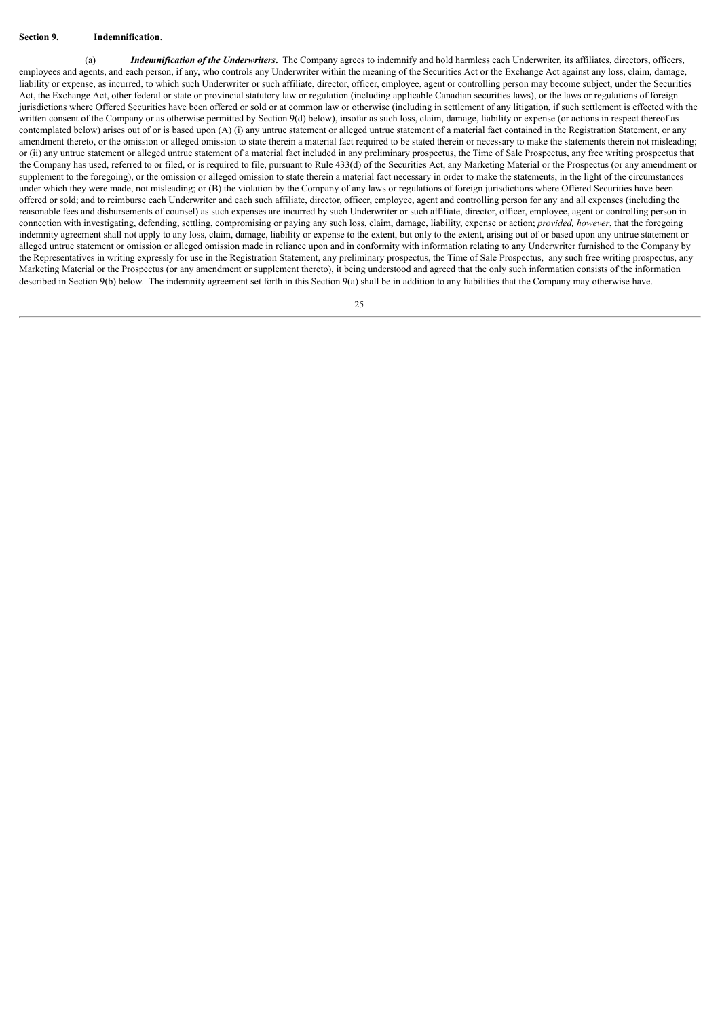#### **Section 9. Indemnification**.

(a) *Indemnification of the Underwriters***.** The Company agrees to indemnify and hold harmless each Underwriter, its affiliates, directors, officers, employees and agents, and each person, if any, who controls any Underwriter within the meaning of the Securities Act or the Exchange Act against any loss, claim, damage, liability or expense, as incurred, to which such Underwriter or such affiliate, director, officer, employee, agent or controlling person may become subject, under the Securities Act, the Exchange Act, other federal or state or provincial statutory law or regulation (including applicable Canadian securities laws), or the laws or regulations of foreign jurisdictions where Offered Securities have been offered or sold or at common law or otherwise (including in settlement of any litigation, if such settlement is effected with the written consent of the Company or as otherwise permitted by Section 9(d) below), insofar as such loss, claim, damage, liability or expense (or actions in respect thereof as contemplated below) arises out of or is based upon (A) (i) any untrue statement or alleged untrue statement of a material fact contained in the Registration Statement, or any amendment thereto, or the omission or alleged omission to state therein a material fact required to be stated therein or necessary to make the statements therein not misleading; or (ii) any untrue statement or alleged untrue statement of a material fact included in any preliminary prospectus, the Time of Sale Prospectus, any free writing prospectus that the Company has used, referred to or filed, or is required to file, pursuant to Rule 433(d) of the Securities Act, any Marketing Material or the Prospectus (or any amendment or supplement to the foregoing), or the omission or alleged omission to state therein a material fact necessary in order to make the statements, in the light of the circumstances under which they were made, not misleading; or (B) the violation by the Company of any laws or regulations of foreign jurisdictions where Offered Securities have been offered or sold; and to reimburse each Underwriter and each such affiliate, director, officer, employee, agent and controlling person for any and all expenses (including the reasonable fees and disbursements of counsel) as such expenses are incurred by such Underwriter or such affiliate, director, officer, employee, agent or controlling person in connection with investigating, defending, settling, compromising or paying any such loss, claim, damage, liability, expense or action; *provided, however*, that the foregoing indemnity agreement shall not apply to any loss, claim, damage, liability or expense to the extent, but only to the extent, arising out of or based upon any untrue statement or alleged untrue statement or omission or alleged omission made in reliance upon and in conformity with information relating to any Underwriter furnished to the Company by the Representatives in writing expressly for use in the Registration Statement, any preliminary prospectus, the Time of Sale Prospectus, any such free writing prospectus, any Marketing Material or the Prospectus (or any amendment or supplement thereto), it being understood and agreed that the only such information consists of the information described in Section 9(b) below. The indemnity agreement set forth in this Section 9(a) shall be in addition to any liabilities that the Company may otherwise have.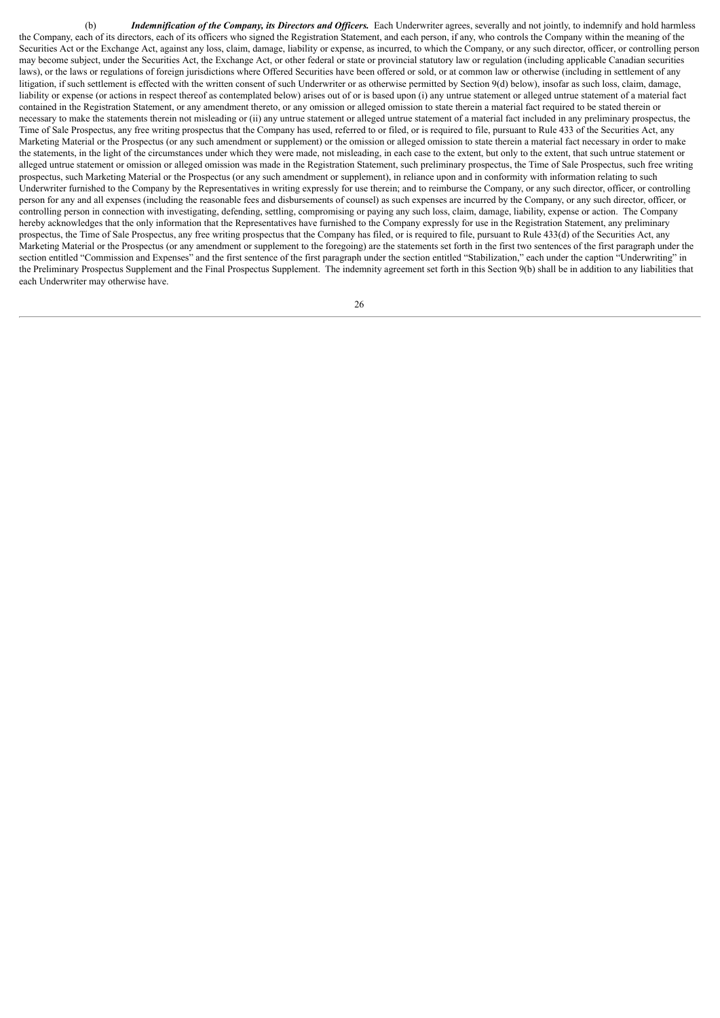(b) *Indemnification of the Company, its Directors and Of icers.* Each Underwriter agrees, severally and not jointly, to indemnify and hold harmless the Company, each of its directors, each of its officers who signed the Registration Statement, and each person, if any, who controls the Company within the meaning of the Securities Act or the Exchange Act, against any loss, claim, damage, liability or expense, as incurred, to which the Company, or any such director, officer, or controlling person may become subject, under the Securities Act, the Exchange Act, or other federal or state or provincial statutory law or regulation (including applicable Canadian securities laws), or the laws or regulations of foreign jurisdictions where Offered Securities have been offered or sold, or at common law or otherwise (including in settlement of any litigation, if such settlement is effected with the written consent of such Underwriter or as otherwise permitted by Section 9(d) below), insofar as such loss, claim, damage, liability or expense (or actions in respect thereof as contemplated below) arises out of or is based upon (i) any untrue statement or alleged untrue statement of a material fact contained in the Registration Statement, or any amendment thereto, or any omission or alleged omission to state therein a material fact required to be stated therein or necessary to make the statements therein not misleading or (ii) any untrue statement or alleged untrue statement of a material fact included in any preliminary prospectus, the Time of Sale Prospectus, any free writing prospectus that the Company has used, referred to or filed, or is required to file, pursuant to Rule 433 of the Securities Act, any Marketing Material or the Prospectus (or any such amendment or supplement) or the omission or alleged omission to state therein a material fact necessary in order to make the statements, in the light of the circumstances under which they were made, not misleading, in each case to the extent, but only to the extent, that such untrue statement or alleged untrue statement or omission or alleged omission was made in the Registration Statement, such preliminary prospectus, the Time of Sale Prospectus, such free writing prospectus, such Marketing Material or the Prospectus (or any such amendment or supplement), in reliance upon and in conformity with information relating to such Underwriter furnished to the Company by the Representatives in writing expressly for use therein; and to reimburse the Company, or any such director, officer, or controlling person for any and all expenses (including the reasonable fees and disbursements of counsel) as such expenses are incurred by the Company, or any such director, officer, or controlling person in connection with investigating, defending, settling, compromising or paying any such loss, claim, damage, liability, expense or action. The Company hereby acknowledges that the only information that the Representatives have furnished to the Company expressly for use in the Registration Statement, any preliminary prospectus, the Time of Sale Prospectus, any free writing prospectus that the Company has filed, or is required to file, pursuant to Rule 433(d) of the Securities Act, any Marketing Material or the Prospectus (or any amendment or supplement to the foregoing) are the statements set forth in the first two sentences of the first paragraph under the section entitled "Commission and Expenses" and the first sentence of the first paragraph under the section entitled "Stabilization," each under the caption "Underwriting" in the Preliminary Prospectus Supplement and the Final Prospectus Supplement. The indemnity agreement set forth in this Section 9(b) shall be in addition to any liabilities that each Underwriter may otherwise have.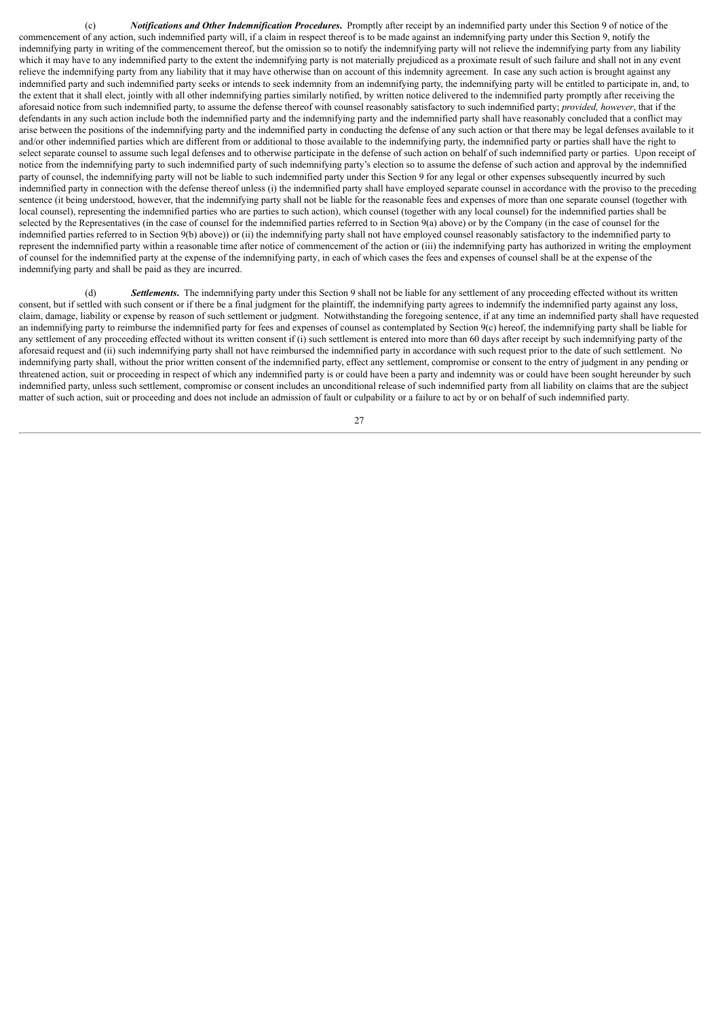(c) *Notifications and Other Indemnification Procedures***.** Promptly after receipt by an indemnified party under this Section 9 of notice of the commencement of any action, such indemnified party will, if a claim in respect thereof is to be made against an indemnifying party under this Section 9, notify the indemnifying party in writing of the commencement thereof, but the omission so to notify the indemnifying party will not relieve the indemnifying party from any liability which it may have to any indemnified party to the extent the indemnifying party is not materially prejudiced as a proximate result of such failure and shall not in any event relieve the indemnifying party from any liability that it may have otherwise than on account of this indemnity agreement. In case any such action is brought against any indemnified party and such indemnified party seeks or intends to seek indemnity from an indemnifying party, the indemnifying party will be entitled to participate in, and, to the extent that it shall elect, jointly with all other indemnifying parties similarly notified, by written notice delivered to the indemnified party promptly after receiving the aforesaid notice from such indemnified party, to assume the defense thereof with counsel reasonably satisfactory to such indemnified party; *provided, however*, that if the defendants in any such action include both the indemnified party and the indemnified party and the indemnified party shall have reasonably concluded that a conflict may arise between the positions of the indemnifying party and the indemnified party in conducting the defense of any such action or that there may be legal defenses available to it and/or other indemnified parties which are different from or additional to those available to the indemnifying party, the indemnified party or parties shall have the right to select separate counsel to assume such legal defenses and to otherwise participate in the defense of such action on behalf of such indemnified party or parties. Upon receipt of notice from the indemnifying party to such indemnified party of such indemnifying party's election so to assume the defense of such action and approval by the indemnified party of counsel, the indemnifying party will not be liable to such indemnified party under this Section 9 for any legal or other expenses subsequently incurred by such indemnified party in connection with the defense thereof unless (i) the indemnified party shall have employed separate counsel in accordance with the proviso to the preceding sentence (it being understood, however, that the indemnifying party shall not be liable for the reasonable fees and expenses of more than one separate counsel (together with local counsel), representing the indemnified parties who are parties to such action), which counsel (together with any local counsel) for the indemnified parties shall be selected by the Representatives (in the case of counsel for the indemnified parties referred to in Section 9(a) above) or by the Company (in the case of counsel for the indemnified parties referred to in Section 9(b) above)) or (ii) the indemnifying party shall not have employed counsel reasonably satisfactory to the indemnified party to represent the indemnified party within a reasonable time after notice of commencement of the action or (iii) the indemnifying party has authorized in writing the employment of counsel for the indemnified party at the expense of the indemnifying party, in each of which cases the fees and expenses of counsel shall be at the expense of the indemnifying party and shall be paid as they are incurred.

(d) *Settlements***.** The indemnifying party under this Section 9 shall not be liable for any settlement of any proceeding effected without its written consent, but if settled with such consent or if there be a final judgment for the plaintiff, the indemnifying party agrees to indemnify the indemnified party against any loss, claim, damage, liability or expense by reason of such settlement or judgment. Notwithstanding the foregoing sentence, if at any time an indemnified party shall have requested an indemnifying party to reimburse the indemnified party for fees and expenses of counsel as contemplated by Section 9(c) hereof, the indemnifying party shall be liable for any settlement of any proceeding effected without its written consent if (i) such settlement is entered into more than 60 days after receipt by such indemnifying party of the aforesaid request and (ii) such indemnifying party shall not have reimbursed the indemnified party in accordance with such request prior to the date of such settlement. No indemnifying party shall, without the prior written consent of the indemnified party, effect any settlement, compromise or consent to the entry of judgment in any pending or threatened action, suit or proceeding in respect of which any indemnified party is or could have been a party and indemnity was or could have been sought hereunder by such indemnified party, unless such settlement, compromise or consent includes an unconditional release of such indemnified party from all liability on claims that are the subject matter of such action, suit or proceeding and does not include an admission of fault or culpability or a failure to act by or on behalf of such indemnified party.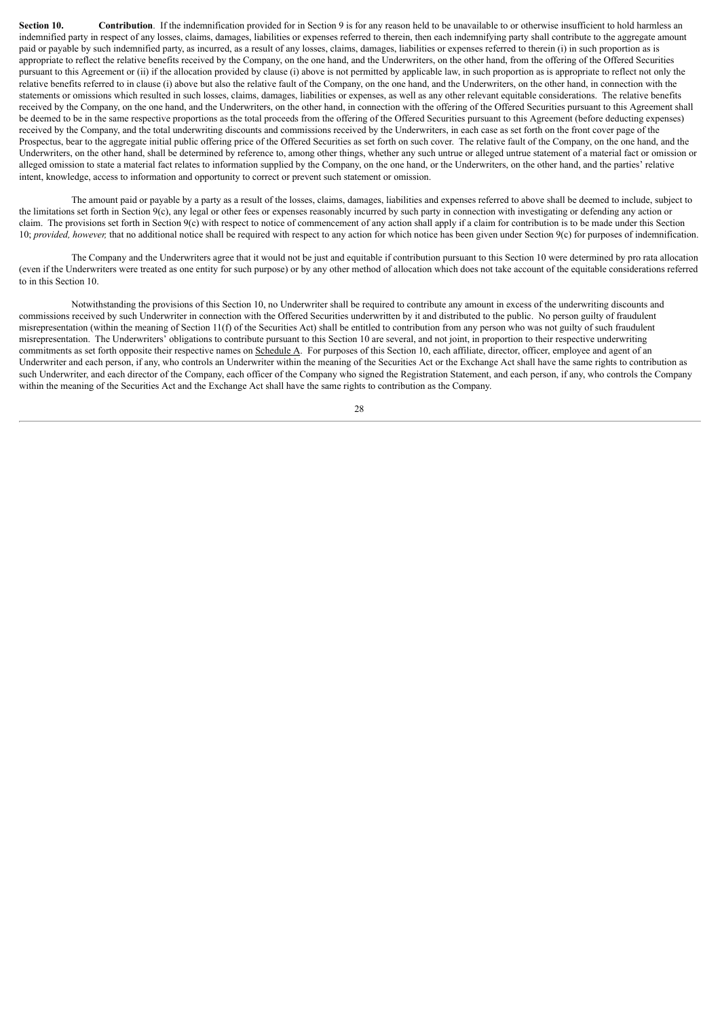**Section 10. Contribution**. If the indemnification provided for in Section 9 is for any reason held to be unavailable to or otherwise insufficient to hold harmless an indemnified party in respect of any losses, claims, damages, liabilities or expenses referred to therein, then each indemnifying party shall contribute to the aggregate amount paid or payable by such indemnified party, as incurred, as a result of any losses, claims, damages, liabilities or expenses referred to therein (i) in such proportion as is appropriate to reflect the relative benefits received by the Company, on the one hand, and the Underwriters, on the other hand, from the offering of the Offered Securities pursuant to this Agreement or (ii) if the allocation provided by clause (i) above is not permitted by applicable law, in such proportion as is appropriate to reflect not only the relative benefits referred to in clause (i) above but also the relative fault of the Company, on the one hand, and the Underwriters, on the other hand, in connection with the statements or omissions which resulted in such losses, claims, damages, liabilities or expenses, as well as any other relevant equitable considerations. The relative benefits received by the Company, on the one hand, and the Underwriters, on the other hand, in connection with the offering of the Offered Securities pursuant to this Agreement shall be deemed to be in the same respective proportions as the total proceeds from the offering of the Offered Securities pursuant to this Agreement (before deducting expenses) received by the Company, and the total underwriting discounts and commissions received by the Underwriters, in each case as set forth on the front cover page of the Prospectus, bear to the aggregate initial public offering price of the Offered Securities as set forth on such cover. The relative fault of the Company, on the one hand, and the Underwriters, on the other hand, shall be determined by reference to, among other things, whether any such untrue or alleged untrue statement of a material fact or omission or alleged omission to state a material fact relates to information supplied by the Company, on the one hand, or the Underwriters, on the other hand, and the parties' relative intent, knowledge, access to information and opportunity to correct or prevent such statement or omission.

The amount paid or payable by a party as a result of the losses, claims, damages, liabilities and expenses referred to above shall be deemed to include, subject to the limitations set forth in Section 9(c), any legal or other fees or expenses reasonably incurred by such party in connection with investigating or defending any action or claim. The provisions set forth in Section  $9(c)$  with respect to notice of commencement of any action shall apply if a claim for contribution is to be made under this Section 10; *provided, however*, that no additional notice shall be required with respect to any action for which notice has been given under Section 9(c) for purposes of indemnification.

The Company and the Underwriters agree that it would not be just and equitable if contribution pursuant to this Section 10 were determined by pro rata allocation (even if the Underwriters were treated as one entity for such purpose) or by any other method of allocation which does not take account of the equitable considerations referred to in this Section 10.

Notwithstanding the provisions of this Section 10, no Underwriter shall be required to contribute any amount in excess of the underwriting discounts and commissions received by such Underwriter in connection with the Offered Securities underwritten by it and distributed to the public. No person guilty of fraudulent misrepresentation (within the meaning of Section 11(f) of the Securities Act) shall be entitled to contribution from any person who was not guilty of such fraudulent misrepresentation. The Underwriters' obligations to contribute pursuant to this Section 10 are several, and not joint, in proportion to their respective underwriting commitments as set forth opposite their respective names on Schedule A. For purposes of this Section 10, each affiliate, director, officer, employee and agent of an Underwriter and each person, if any, who controls an Underwriter within the meaning of the Securities Act or the Exchange Act shall have the same rights to contribution as such Underwriter, and each director of the Company, each officer of the Company who signed the Registration Statement, and each person, if any, who controls the Company within the meaning of the Securities Act and the Exchange Act shall have the same rights to contribution as the Company.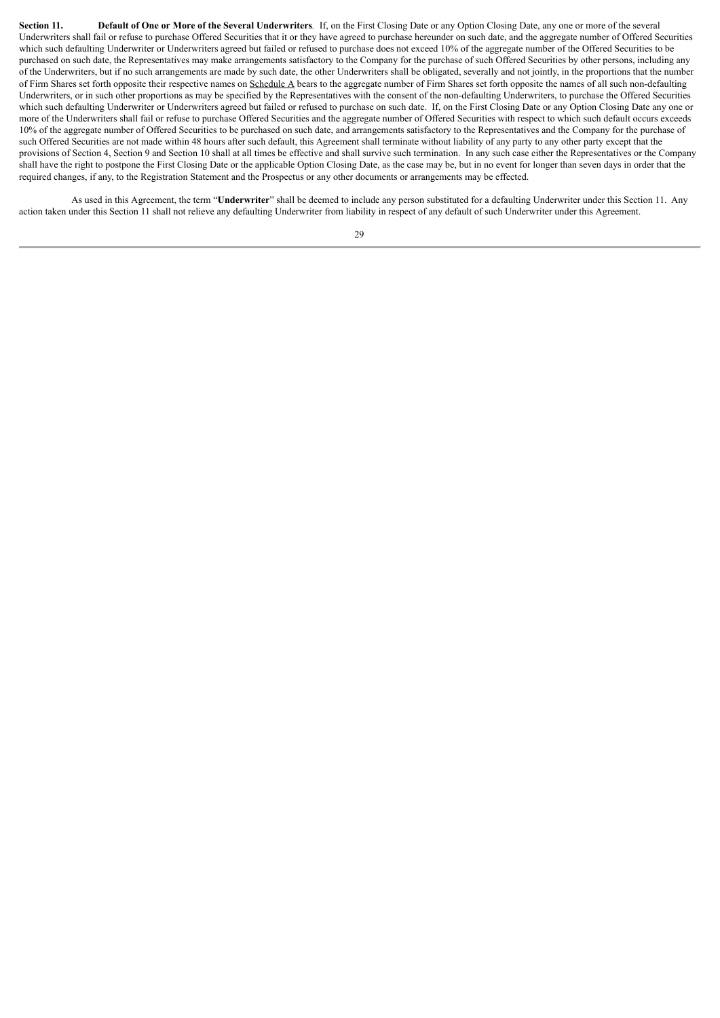Section 11. Default of One or More of the Several Underwriters. If, on the First Closing Date or any Option Closing Date, any one or more of the several Underwriters shall fail or refuse to purchase Offered Securities that it or they have agreed to purchase hereunder on such date, and the aggregate number of Offered Securities which such defaulting Underwriter or Underwriters agreed but failed or refused to purchase does not exceed 10% of the aggregate number of the Offered Securities to be purchased on such date, the Representatives may make arrangements satisfactory to the Company for the purchase of such Offered Securities by other persons, including any of the Underwriters, but if no such arrangements are made by such date, the other Underwriters shall be obligated, severally and not jointly, in the proportions that the number of Firm Shares set forth opposite their respective names on Schedule A bears to the aggregate number of Firm Shares set forth opposite the names of all such non-defaulting Underwriters, or in such other proportions as may be specified by the Representatives with the consent of the non-defaulting Underwriters, to purchase the Offered Securities which such defaulting Underwriter or Underwriters agreed but failed or refused to purchase on such date. If, on the First Closing Date or any Option Closing Date any one or more of the Underwriters shall fail or refuse to purchase Offered Securities and the aggregate number of Offered Securities with respect to which such default occurs exceeds 10% of the aggregate number of Offered Securities to be purchased on such date, and arrangements satisfactory to the Representatives and the Company for the purchase of such Offered Securities are not made within 48 hours after such default, this Agreement shall terminate without liability of any party to any other party except that the provisions of Section 4, Section 9 and Section 10 shall at all times be effective and shall survive such termination. In any such case either the Representatives or the Company shall have the right to postpone the First Closing Date or the applicable Option Closing Date, as the case may be, but in no event for longer than seven days in order that the required changes, if any, to the Registration Statement and the Prospectus or any other documents or arrangements may be effected.

As used in this Agreement, the term "**Underwriter**" shall be deemed to include any person substituted for a defaulting Underwriter under this Section 11. Any action taken under this Section 11 shall not relieve any defaulting Underwriter from liability in respect of any default of such Underwriter under this Agreement.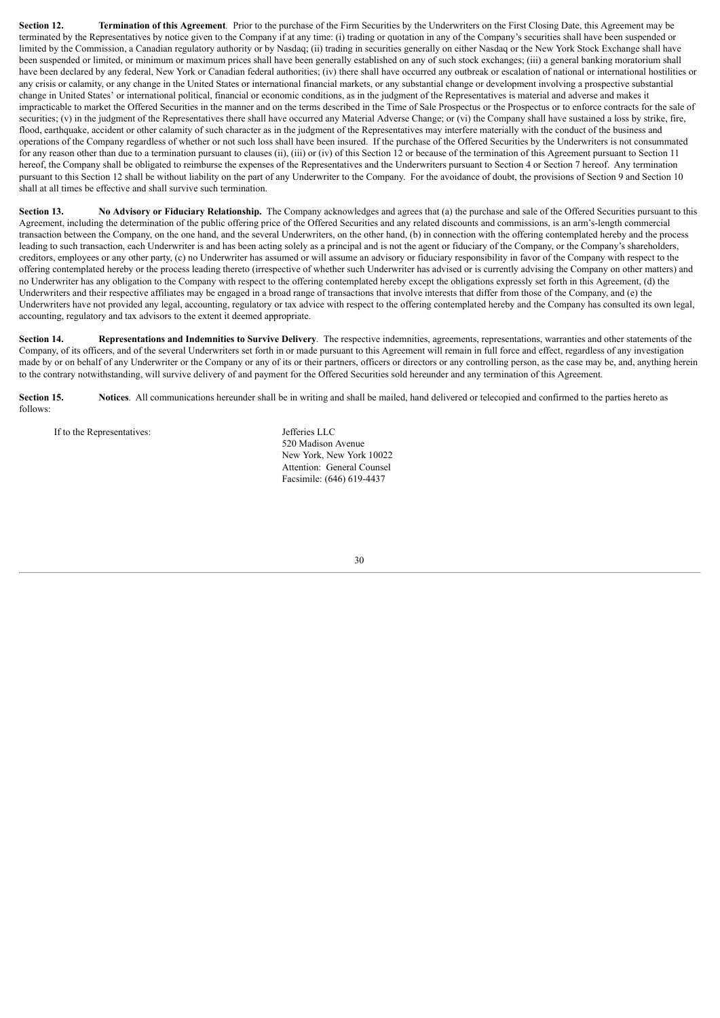**Section 12. Termination of this Agreement***.* Prior to the purchase of the Firm Securities by the Underwriters on the First Closing Date, this Agreement may be terminated by the Representatives by notice given to the Company if at any time: (i) trading or quotation in any of the Company's securities shall have been suspended or limited by the Commission, a Canadian regulatory authority or by Nasdaq; (ii) trading in securities generally on either Nasdaq or the New York Stock Exchange shall have been suspended or limited, or minimum or maximum prices shall have been generally established on any of such stock exchanges; (iii) a general banking moratorium shall have been declared by any federal, New York or Canadian federal authorities; (iv) there shall have occurred any outbreak or escalation of national or international hostilities or any crisis or calamity, or any change in the United States or international financial markets, or any substantial change or development involving a prospective substantial change in United States' or international political, financial or economic conditions, as in the judgment of the Representatives is material and adverse and makes it impracticable to market the Offered Securities in the manner and on the terms described in the Time of Sale Prospectus or the Prospectus or to enforce contracts for the sale of securities; (v) in the judgment of the Representatives there shall have occurred any Material Adverse Change; or (vi) the Company shall have sustained a loss by strike, fire, flood, earthquake, accident or other calamity of such character as in the judgment of the Representatives may interfere materially with the conduct of the business and operations of the Company regardless of whether or not such loss shall have been insured. If the purchase of the Offered Securities by the Underwriters is not consummated for any reason other than due to a termination pursuant to clauses (ii), (iii) or (iv) of this Section 12 or because of the termination of this Agreement pursuant to Section 11 hereof, the Company shall be obligated to reimburse the expenses of the Representatives and the Underwriters pursuant to Section 4 or Section 7 hereof. Any termination pursuant to this Section 12 shall be without liability on the part of any Underwriter to the Company. For the avoidance of doubt, the provisions of Section 9 and Section 10 shall at all times be effective and shall survive such termination.

**Section 13.** No Advisory or Fiduciary Relationship. The Company acknowledges and agrees that (a) the purchase and sale of the Offered Securities pursuant to this Agreement, including the determination of the public offering price of the Offered Securities and any related discounts and commissions, is an arm's-length commercial transaction between the Company, on the one hand, and the several Underwriters, on the other hand, (b) in connection with the offering contemplated hereby and the process leading to such transaction, each Underwriter is and has been acting solely as a principal and is not the agent or fiduciary of the Company, or the Company's shareholders, creditors, employees or any other party, (c) no Underwriter has assumed or will assume an advisory or fiduciary responsibility in favor of the Company with respect to the offering contemplated hereby or the process leading thereto (irrespective of whether such Underwriter has advised or is currently advising the Company on other matters) and no Underwriter has any obligation to the Company with respect to the offering contemplated hereby except the obligations expressly set forth in this Agreement, (d) the Underwriters and their respective affiliates may be engaged in a broad range of transactions that involve interests that differ from those of the Company, and (e) the Underwriters have not provided any legal, accounting, regulatory or tax advice with respect to the offering contemplated hereby and the Company has consulted its own legal, accounting, regulatory and tax advisors to the extent it deemed appropriate.

**Section 14. Representations and Indemnities to Survive Delivery***.* The respective indemnities, agreements, representations, warranties and other statements of the Company, of its officers, and of the several Underwriters set forth in or made pursuant to this Agreement will remain in full force and effect, regardless of any investigation made by or on behalf of any Underwriter or the Company or any of its or their partners, officers or directors or any controlling person, as the case may be, and, anything herein to the contrary notwithstanding, will survive delivery of and payment for the Offered Securities sold hereunder and any termination of this Agreement.

**Section 15.** Notices. All communications hereunder shall be in writing and shall be mailed, hand delivered or telecopied and confirmed to the parties hereto as follows:

If to the Representatives: Jefferies LLC

520 Madison Avenue New York, New York 10022 Attention: General Counsel Facsimile: (646) 619-4437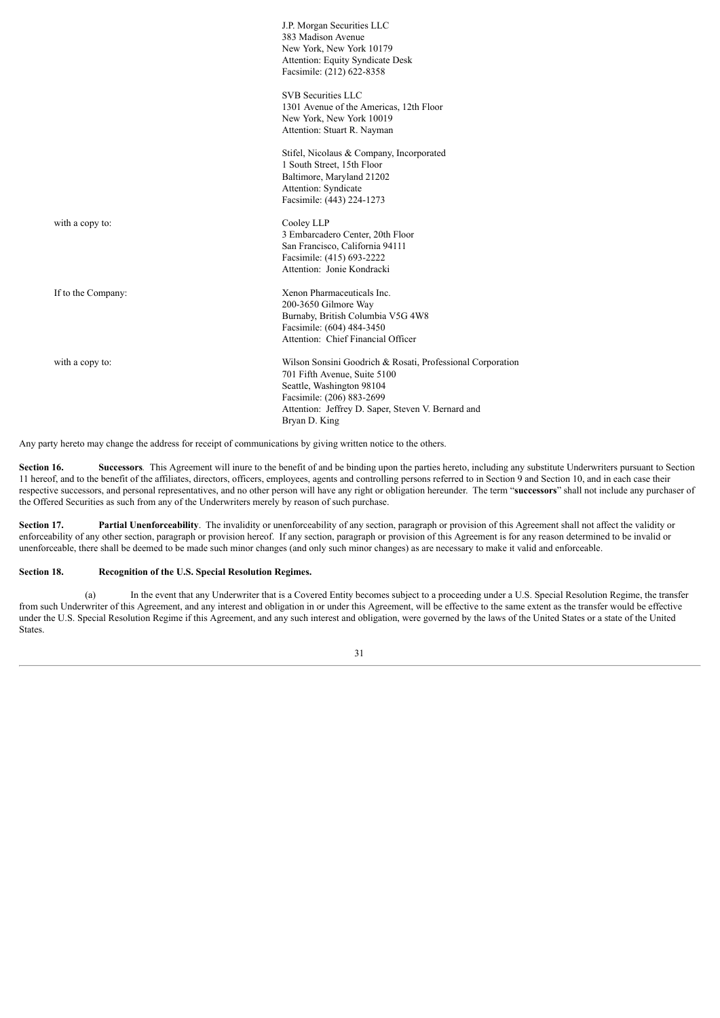|                    | J.P. Morgan Securities LLC<br>383 Madison Avenue<br>New York, New York 10179<br>Attention: Equity Syndicate Desk<br>Facsimile: (212) 622-8358                                                                               |
|--------------------|-----------------------------------------------------------------------------------------------------------------------------------------------------------------------------------------------------------------------------|
|                    | <b>SVB</b> Securities LLC<br>1301 Avenue of the Americas, 12th Floor<br>New York, New York 10019<br>Attention: Stuart R. Nayman                                                                                             |
|                    | Stifel, Nicolaus & Company, Incorporated<br>1 South Street, 15th Floor<br>Baltimore, Maryland 21202<br>Attention: Syndicate<br>Facsimile: (443) 224-1273                                                                    |
| with a copy to:    | Cooley LLP<br>3 Embarcadero Center, 20th Floor<br>San Francisco, California 94111<br>Facsimile: (415) 693-2222<br>Attention: Jonie Kondracki                                                                                |
| If to the Company: | Xenon Pharmaceuticals Inc.<br>200-3650 Gilmore Way<br>Burnaby, British Columbia V5G 4W8<br>Facsimile: (604) 484-3450<br>Attention: Chief Financial Officer                                                                  |
| with a copy to:    | Wilson Sonsini Goodrich & Rosati, Professional Corporation<br>701 Fifth Avenue, Suite 5100<br>Seattle, Washington 98104<br>Facsimile: (206) 883-2699<br>Attention: Jeffrey D. Saper, Steven V. Bernard and<br>Bryan D. King |

Any party hereto may change the address for receipt of communications by giving written notice to the others.

**Section 16. Successors***.* This Agreement will inure to the benefit of and be binding upon the parties hereto, including any substitute Underwriters pursuant to Section 11 hereof, and to the benefit of the affiliates, directors, officers, employees, agents and controlling persons referred to in Section 9 and Section 10, and in each case their respective successors, and personal representatives, and no other person will have any right or obligation hereunder. The term "**successors**" shall not include any purchaser of the Offered Securities as such from any of the Underwriters merely by reason of such purchase.

**Section 17. Partial Unenforceability**. The invalidity or unenforceability of any section, paragraph or provision of this Agreement shall not affect the validity or enforceability of any other section, paragraph or provision hereof. If any section, paragraph or provision of this Agreement is for any reason determined to be invalid or unenforceable, there shall be deemed to be made such minor changes (and only such minor changes) as are necessary to make it valid and enforceable.

# **Section 18. Recognition of the U.S. Special Resolution Regimes.**

(a) In the event that any Underwriter that is a Covered Entity becomes subject to a proceeding under a U.S. Special Resolution Regime, the transfer from such Underwriter of this Agreement, and any interest and obligation in or under this Agreement, will be effective to the same extent as the transfer would be effective under the U.S. Special Resolution Regime if this Agreement, and any such interest and obligation, were governed by the laws of the United States or a state of the United **States**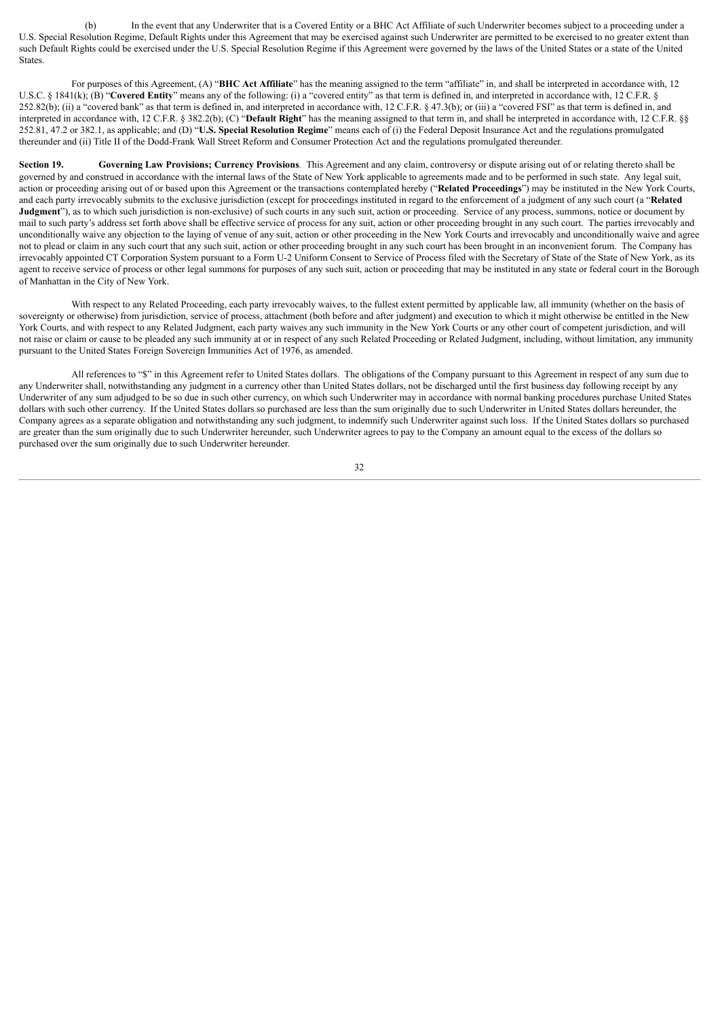(b) In the event that any Underwriter that is a Covered Entity or a BHC Act Affiliate of such Underwriter becomes subject to a proceeding under a U.S. Special Resolution Regime, Default Rights under this Agreement that may be exercised against such Underwriter are permitted to be exercised to no greater extent than such Default Rights could be exercised under the U.S. Special Resolution Regime if this Agreement were governed by the laws of the United States or a state of the United States.

For purposes of this Agreement, (A) "**BHC Act Affiliate**" has the meaning assigned to the term "affiliate" in, and shall be interpreted in accordance with, 12 U.S.C. § 1841(k); (B) "**Covered Entity**" means any of the following: (i) a "covered entity" as that term is defined in, and interpreted in accordance with, 12 C.F.R. § 252.82(b); (ii) a "covered bank" as that term is defined in, and interpreted in accordance with, 12 C.F.R. § 47.3(b); or (iii) a "covered FSI" as that term is defined in, and interpreted in accordance with, 12 C.F.R. § 382.2(b); (C) "**Default Right**" has the meaning assigned to that term in, and shall be interpreted in accordance with, 12 C.F.R. §§ 252.81, 47.2 or 382.1, as applicable; and (D) "**U.S. Special Resolution Regime**" means each of (i) the Federal Deposit Insurance Act and the regulations promulgated thereunder and (ii) Title II of the Dodd-Frank Wall Street Reform and Consumer Protection Act and the regulations promulgated thereunder.

**Section 19. Governing Law Provisions; Currency Provisions***.* This Agreement and any claim, controversy or dispute arising out of or relating thereto shall be governed by and construed in accordance with the internal laws of the State of New York applicable to agreements made and to be performed in such state. Any legal suit, action or proceeding arising out of or based upon this Agreement or the transactions contemplated hereby ("**Related Proceedings**") may be instituted in the New York Courts, and each party irrevocably submits to the exclusive jurisdiction (except for proceedings instituted in regard to the enforcement of a judgment of any such court (a "**Related Judgment**"), as to which such jurisdiction is non-exclusive) of such courts in any such suit, action or proceeding. Service of any process, summons, notice or document by mail to such party's address set forth above shall be effective service of process for any suit, action or other proceeding brought in any such court. The parties irrevocably and unconditionally waive any objection to the laying of venue of any suit, action or other proceeding in the New York Courts and irrevocably and unconditionally waive and agree not to plead or claim in any such court that any such suit, action or other proceeding brought in any such court has been brought in an inconvenient forum. The Company has irrevocably appointed CT Corporation System pursuant to a Form U-2 Uniform Consent to Service of Process filed with the Secretary of State of the State of New York, as its agent to receive service of process or other legal summons for purposes of any such suit, action or proceeding that may be instituted in any state or federal court in the Borough of Manhattan in the City of New York.

With respect to any Related Proceeding, each party irrevocably waives, to the fullest extent permitted by applicable law, all immunity (whether on the basis of sovereignty or otherwise) from jurisdiction, service of process, attachment (both before and after judgment) and execution to which it might otherwise be entitled in the New York Courts, and with respect to any Related Judgment, each party waives any such immunity in the New York Courts or any other court of competent jurisdiction, and will not raise or claim or cause to be pleaded any such immunity at or in respect of any such Related Proceeding or Related Judgment, including, without limitation, any immunity pursuant to the United States Foreign Sovereign Immunities Act of 1976, as amended.

All references to "\$" in this Agreement refer to United States dollars. The obligations of the Company pursuant to this Agreement in respect of any sum due to any Underwriter shall, notwithstanding any judgment in a currency other than United States dollars, not be discharged until the first business day following receipt by any Underwriter of any sum adjudged to be so due in such other currency, on which such Underwriter may in accordance with normal banking procedures purchase United States dollars with such other currency. If the United States dollars so purchased are less than the sum originally due to such Underwriter in United States dollars hereunder, the Company agrees as a separate obligation and notwithstanding any such judgment, to indemnify such Underwriter against such loss. If the United States dollars so purchased are greater than the sum originally due to such Underwriter hereunder, such Underwriter agrees to pay to the Company an amount equal to the excess of the dollars so purchased over the sum originally due to such Underwriter hereunder.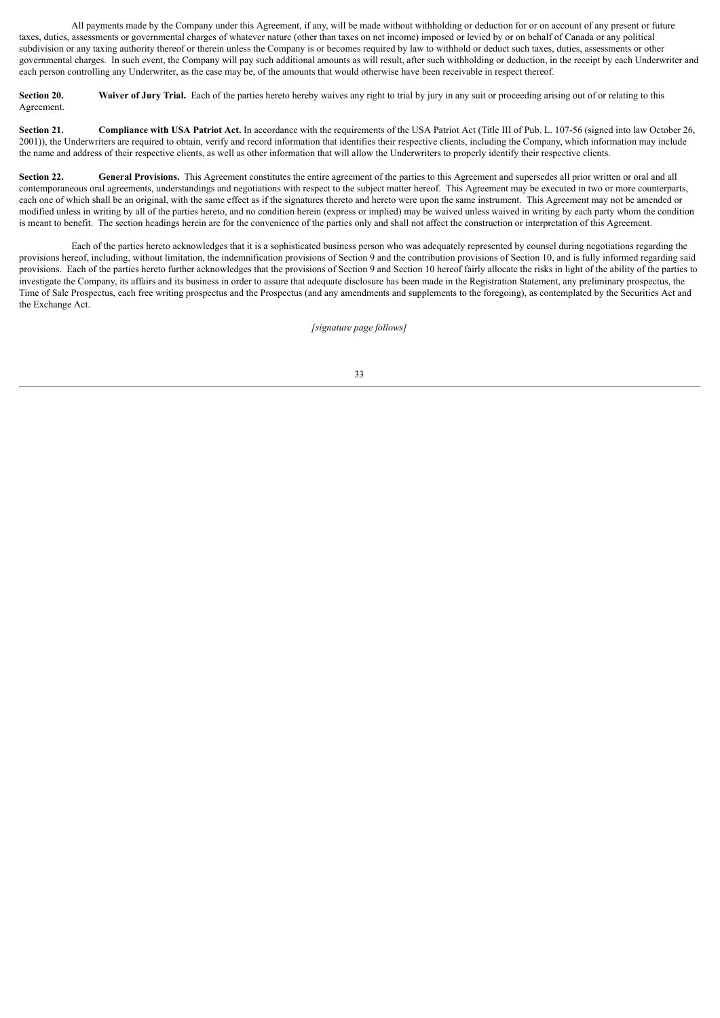All payments made by the Company under this Agreement, if any, will be made without withholding or deduction for or on account of any present or future taxes, duties, assessments or governmental charges of whatever nature (other than taxes on net income) imposed or levied by or on behalf of Canada or any political subdivision or any taxing authority thereof or therein unless the Company is or becomes required by law to withhold or deduct such taxes, duties, assessments or other governmental charges. In such event, the Company will pay such additional amounts as will result, after such withholding or deduction, in the receipt by each Underwriter and each person controlling any Underwriter, as the case may be, of the amounts that would otherwise have been receivable in respect thereof.

**Section 20.** Waiver of Jury Trial. Each of the parties hereto hereby waives any right to trial by jury in any suit or proceeding arising out of or relating to this Agreement.

Section 21. Compliance with USA Patriot Act. In accordance with the requirements of the USA Patriot Act (Title III of Pub. L. 107-56 (signed into law October 26, 2001)), the Underwriters are required to obtain, verify and record information that identifies their respective clients, including the Company, which information may include the name and address of their respective clients, as well as other information that will allow the Underwriters to properly identify their respective clients.

**Section 22. General Provisions.** This Agreement constitutes the entire agreement of the parties to this Agreement and supersedes all prior written or oral and all contemporaneous oral agreements, understandings and negotiations with respect to the subject matter hereof. This Agreement may be executed in two or more counterparts, each one of which shall be an original, with the same effect as if the signatures thereto and hereto were upon the same instrument. This Agreement may not be amended or modified unless in writing by all of the parties hereto, and no condition herein (express or implied) may be waived unless waived in writing by each party whom the condition is meant to benefit. The section headings herein are for the convenience of the parties only and shall not affect the construction or interpretation of this Agreement.

Each of the parties hereto acknowledges that it is a sophisticated business person who was adequately represented by counsel during negotiations regarding the provisions hereof, including, without limitation, the indemnification provisions of Section 9 and the contribution provisions of Section 10, and is fully informed regarding said provisions. Each of the parties hereto further acknowledges that the provisions of Section 9 and Section 10 hereof fairly allocate the risks in light of the ability of the parties to investigate the Company, its affairs and its business in order to assure that adequate disclosure has been made in the Registration Statement, any preliminary prospectus, the Time of Sale Prospectus, each free writing prospectus and the Prospectus (and any amendments and supplements to the foregoing), as contemplated by the Securities Act and the Exchange Act.

*[signature page follows]*

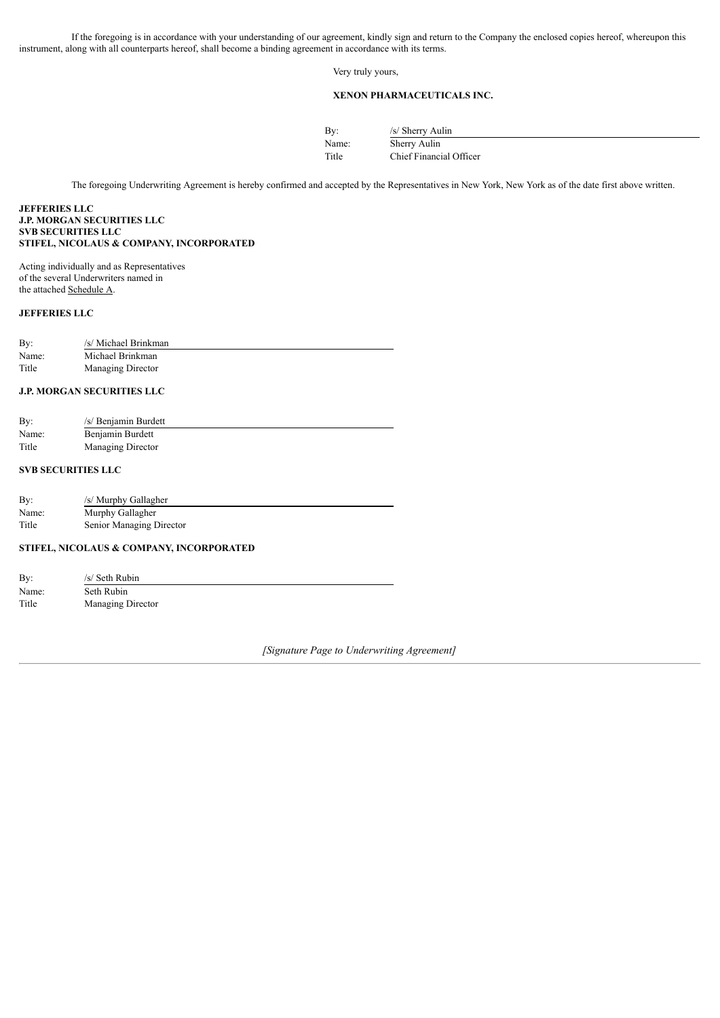If the foregoing is in accordance with your understanding of our agreement, kindly sign and return to the Company the enclosed copies hereof, whereupon this instrument, along with all counterparts hereof, shall become a binding agreement in accordance with its terms.

Very truly yours,

# **XENON PHARMACEUTICALS INC.**

| By:   | /s/ Sherry Aulin        |
|-------|-------------------------|
| Name: | Sherry Aulin            |
| Title | Chief Financial Officer |

The foregoing Underwriting Agreement is hereby confirmed and accepted by the Representatives in New York, New York as of the date first above written.

# **JEFFERIES LLC J.P. MORGAN SECURITIES LLC SVB SECURITIES LLC STIFEL, NICOLAUS & COMPANY, INCORPORATED**

Acting individually and as Representatives of the several Underwriters named in the attached Schedule A.

# **JEFFERIES LLC**

| By:   | /s/ Michael Brinkman |
|-------|----------------------|
| Name: | Michael Brinkman     |
| Title | Managing Director    |

# **J.P. MORGAN SECURITIES LLC**

| By:   | /s/ Benjamin Burdett |
|-------|----------------------|
| Name: | Benjamin Burdett     |
| Title | Managing Director    |

# **SVB SECURITIES LLC**

| By:   | /s/ Murphy Gallagher     |
|-------|--------------------------|
| Name: | Murphy Gallagher         |
| Title | Senior Managing Director |

# **STIFEL, NICOLAUS & COMPANY, INCORPORATED**

| By:   | /s/ Seth Rubin    |  |
|-------|-------------------|--|
| Name: | Seth Rubin        |  |
| Title | Managing Director |  |

*[Signature Page to Underwriting Agreement]*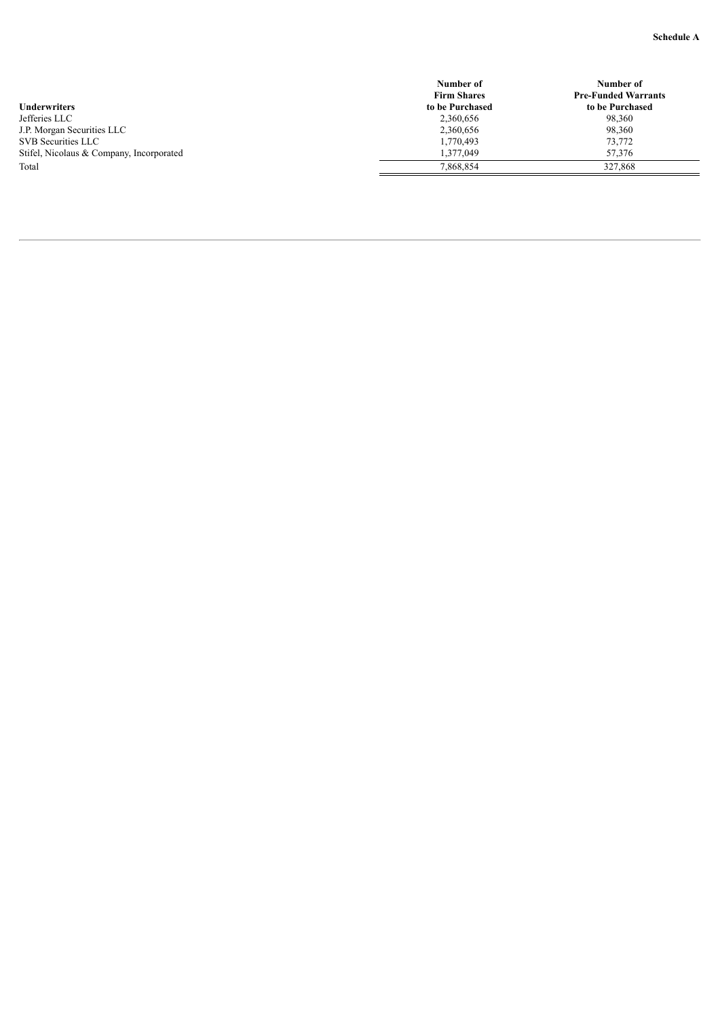|                                          | Number of          | Number of                  |
|------------------------------------------|--------------------|----------------------------|
|                                          | <b>Firm Shares</b> | <b>Pre-Funded Warrants</b> |
| <b>Underwriters</b>                      | to be Purchased    | to be Purchased            |
| Jefferies LLC                            | 2,360,656          | 98.360                     |
| J.P. Morgan Securities LLC               | 2,360,656          | 98,360                     |
| SVB Securities LLC                       | 1,770,493          | 73.772                     |
| Stifel, Nicolaus & Company, Incorporated | .377.049           | 57.376                     |
| Total                                    | 7,868,854          | 327.868                    |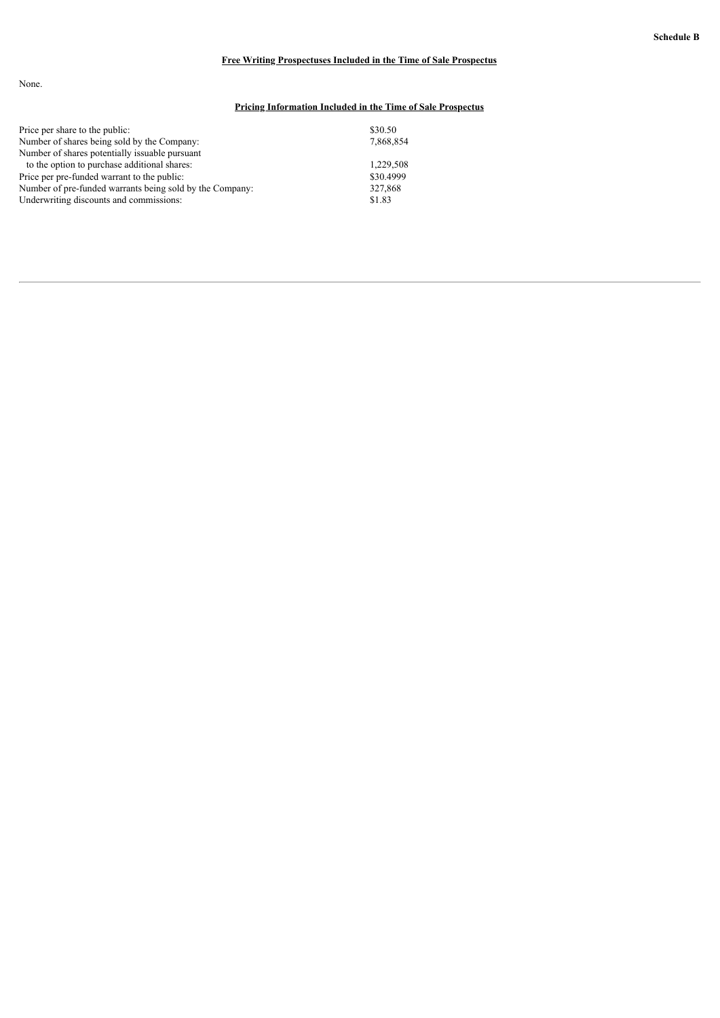# **Free Writing Prospectuses Included in the Time of Sale Prospectus**

None.

# **Pricing Information Included in the Time of Sale Prospectus**

| Price per share to the public:                           | \$30.50   |
|----------------------------------------------------------|-----------|
| Number of shares being sold by the Company:              | 7,868,854 |
| Number of shares potentially issuable pursuant           |           |
| to the option to purchase additional shares:             | 1.229.508 |
| Price per pre-funded warrant to the public:              | \$30,4999 |
| Number of pre-funded warrants being sold by the Company: | 327,868   |
| Underwriting discounts and commissions:                  | \$1.83    |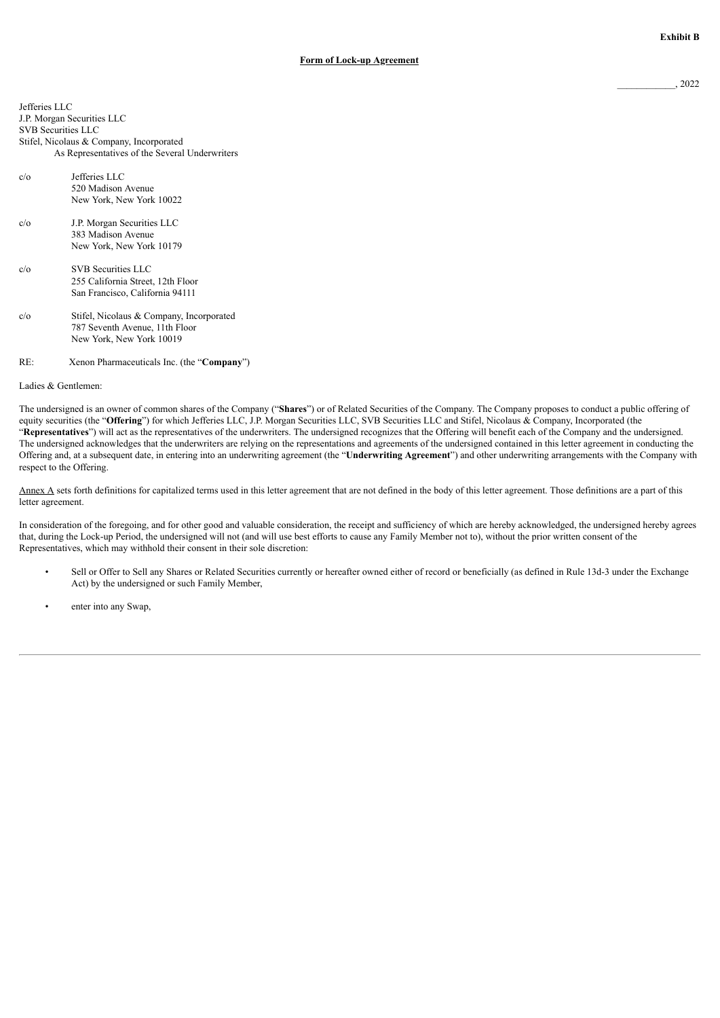Jefferies LLC J.P. Morgan Securities LLC SVB Securities LLC Stifel, Nicolaus & Company, Incorporated As Representatives of the Several Underwriters

- c/o Jefferies LLC 520 Madison Avenue New York, New York 10022 c/o J.P. Morgan Securities LLC 383 Madison Avenue New York, New York 10179 c/o SVB Securities LLC 255 California Street, 12th Floor San Francisco, California 94111 c/o Stifel, Nicolaus & Company, Incorporated
- 787 Seventh Avenue, 11th Floor New York, New York 10019

# RE: Xenon Pharmaceuticals Inc. (the "**Company**")

Ladies & Gentlemen:

The undersigned is an owner of common shares of the Company ("**Shares**") or of Related Securities of the Company. The Company proposes to conduct a public offering of equity securities (the "**Offering**") for which Jefferies LLC, J.P. Morgan Securities LLC, SVB Securities LLC and Stifel, Nicolaus & Company, Incorporated (the "**Representatives**") will act as the representatives of the underwriters. The undersigned recognizes that the Offering will benefit each of the Company and the undersigned. The undersigned acknowledges that the underwriters are relying on the representations and agreements of the undersigned contained in this letter agreement in conducting the Offering and, at a subsequent date, in entering into an underwriting agreement (the "**Underwriting Agreement**") and other underwriting arrangements with the Company with respect to the Offering.

Annex A sets forth definitions for capitalized terms used in this letter agreement that are not defined in the body of this letter agreement. Those definitions are a part of this letter agreement.

In consideration of the foregoing, and for other good and valuable consideration, the receipt and sufficiency of which are hereby acknowledged, the undersigned hereby agrees that, during the Lock-up Period, the undersigned will not (and will use best efforts to cause any Family Member not to), without the prior written consent of the Representatives, which may withhold their consent in their sole discretion:

- Sell or Offer to Sell any Shares or Related Securities currently or hereafter owned either of record or beneficially (as defined in Rule 13d-3 under the Exchange Act) by the undersigned or such Family Member,
- enter into any Swap,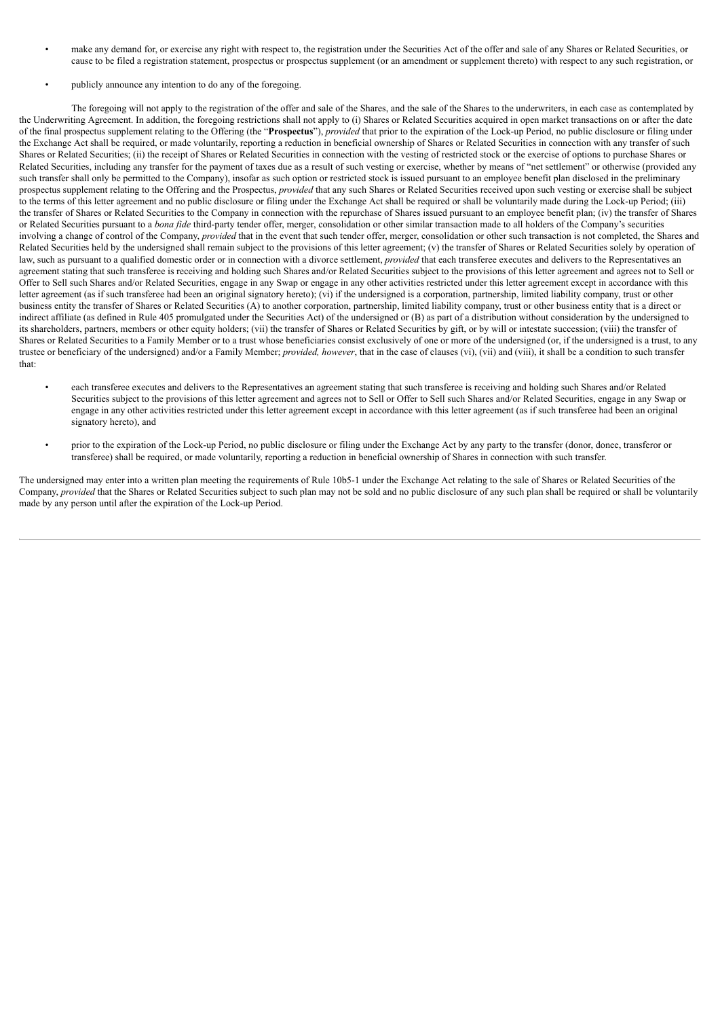- make any demand for, or exercise any right with respect to, the registration under the Securities Act of the offer and sale of any Shares or Related Securities, or cause to be filed a registration statement, prospectus or prospectus supplement (or an amendment or supplement thereto) with respect to any such registration, or
- publicly announce any intention to do any of the foregoing.

The foregoing will not apply to the registration of the offer and sale of the Shares, and the sale of the Shares to the underwriters, in each case as contemplated by the Underwriting Agreement. In addition, the foregoing restrictions shall not apply to (i) Shares or Related Securities acquired in open market transactions on or after the date of the final prospectus supplement relating to the Offering (the "**Prospectus**"), *provided* that prior to the expiration of the Lock-up Period, no public disclosure or filing under the Exchange Act shall be required, or made voluntarily, reporting a reduction in beneficial ownership of Shares or Related Securities in connection with any transfer of such Shares or Related Securities; (ii) the receipt of Shares or Related Securities in connection with the vesting of restricted stock or the exercise of options to purchase Shares or Related Securities, including any transfer for the payment of taxes due as a result of such vesting or exercise, whether by means of "net settlement" or otherwise (provided any such transfer shall only be permitted to the Company), insofar as such option or restricted stock is issued pursuant to an employee benefit plan disclosed in the preliminary prospectus supplement relating to the Offering and the Prospectus, *provided* that any such Shares or Related Securities received upon such vesting or exercise shall be subject to the terms of this letter agreement and no public disclosure or filing under the Exchange Act shall be required or shall be voluntarily made during the Lock-up Period; (iii) the transfer of Shares or Related Securities to the Company in connection with the repurchase of Shares issued pursuant to an employee benefit plan; (iv) the transfer of Shares or Related Securities pursuant to a *bona fide* third-party tender offer, merger, consolidation or other similar transaction made to all holders of the Company's securities involving a change of control of the Company, *provided* that in the event that such tender offer, merger, consolidation or other such transaction is not completed, the Shares and Related Securities held by the undersigned shall remain subject to the provisions of this letter agreement; (v) the transfer of Shares or Related Securities solely by operation of law, such as pursuant to a qualified domestic order or in connection with a divorce settlement, *provided* that each transferee executes and delivers to the Representatives an agreement stating that such transferee is receiving and holding such Shares and/or Related Securities subject to the provisions of this letter agreement and agrees not to Sell or Offer to Sell such Shares and/or Related Securities, engage in any Swap or engage in any other activities restricted under this letter agreement except in accordance with this letter agreement (as if such transferee had been an original signatory hereto); (vi) if the undersigned is a corporation, partnership, limited liability company, trust or other business entity the transfer of Shares or Related Securities (A) to another corporation, partnership, limited liability company, trust or other business entity that is a direct or indirect affiliate (as defined in Rule 405 promulgated under the Securities Act) of the undersigned or (B) as part of a distribution without consideration by the undersigned to its shareholders, partners, members or other equity holders; (vii) the transfer of Shares or Related Securities by gift, or by will or intestate succession; (viii) the transfer of Shares or Related Securities to a Family Member or to a trust whose beneficiaries consist exclusively of one or more of the undersigned (or, if the undersigned is a trust, to any trustee or beneficiary of the undersigned) and/or a Family Member; *provided, however*, that in the case of clauses (vi), (vii) and (viii), it shall be a condition to such transfer that:

- each transferee executes and delivers to the Representatives an agreement stating that such transferee is receiving and holding such Shares and/or Related Securities subject to the provisions of this letter agreement and agrees not to Sell or Offer to Sell such Shares and/or Related Securities, engage in any Swap or engage in any other activities restricted under this letter agreement except in accordance with this letter agreement (as if such transferee had been an original signatory hereto), and
- prior to the expiration of the Lock-up Period, no public disclosure or filing under the Exchange Act by any party to the transfer (donor, donee, transferor or transferee) shall be required, or made voluntarily, reporting a reduction in beneficial ownership of Shares in connection with such transfer.

The undersigned may enter into a written plan meeting the requirements of Rule 10b5-1 under the Exchange Act relating to the sale of Shares or Related Securities of the Company, *provided* that the Shares or Related Securities subject to such plan may not be sold and no public disclosure of any such plan shall be required or shall be voluntarily made by any person until after the expiration of the Lock-up Period.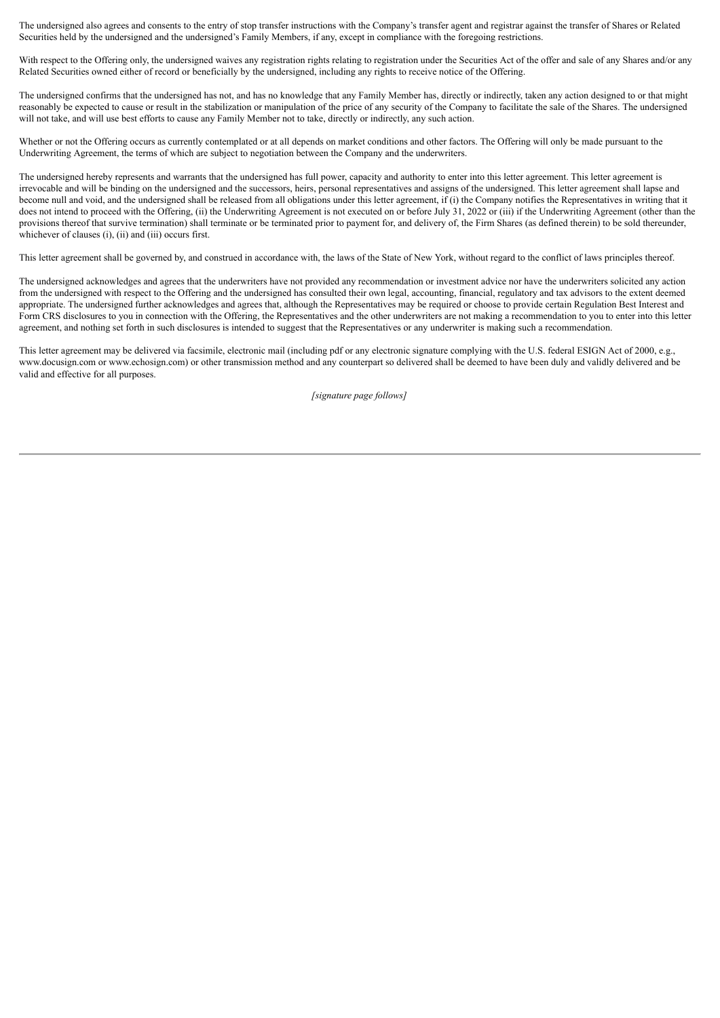The undersigned also agrees and consents to the entry of stop transfer instructions with the Company's transfer agent and registrar against the transfer of Shares or Related Securities held by the undersigned and the undersigned's Family Members, if any, except in compliance with the foregoing restrictions.

With respect to the Offering only, the undersigned waives any registration rights relating to registration under the Securities Act of the offer and sale of any Shares and/or any Related Securities owned either of record or beneficially by the undersigned, including any rights to receive notice of the Offering.

The undersigned confirms that the undersigned has not, and has no knowledge that any Family Member has, directly or indirectly, taken any action designed to or that might reasonably be expected to cause or result in the stabilization or manipulation of the price of any security of the Company to facilitate the sale of the Shares. The undersigned will not take, and will use best efforts to cause any Family Member not to take, directly or indirectly, any such action.

Whether or not the Offering occurs as currently contemplated or at all depends on market conditions and other factors. The Offering will only be made pursuant to the Underwriting Agreement, the terms of which are subject to negotiation between the Company and the underwriters.

The undersigned hereby represents and warrants that the undersigned has full power, capacity and authority to enter into this letter agreement. This letter agreement is irrevocable and will be binding on the undersigned and the successors, heirs, personal representatives and assigns of the undersigned. This letter agreement shall lapse and become null and void, and the undersigned shall be released from all obligations under this letter agreement, if (i) the Company notifies the Representatives in writing that it does not intend to proceed with the Offering, (ii) the Underwriting Agreement is not executed on or before July 31, 2022 or (iii) if the Underwriting Agreement (other than the provisions thereof that survive termination) shall terminate or be terminated prior to payment for, and delivery of, the Firm Shares (as defined therein) to be sold thereunder, whichever of clauses (i), (ii) and (iii) occurs first.

This letter agreement shall be governed by, and construed in accordance with, the laws of the State of New York, without regard to the conflict of laws principles thereof.

The undersigned acknowledges and agrees that the underwriters have not provided any recommendation or investment advice nor have the underwriters solicited any action from the undersigned with respect to the Offering and the undersigned has consulted their own legal, accounting, financial, regulatory and tax advisors to the extent deemed appropriate. The undersigned further acknowledges and agrees that, although the Representatives may be required or choose to provide certain Regulation Best Interest and Form CRS disclosures to you in connection with the Offering, the Representatives and the other underwriters are not making a recommendation to you to enter into this letter agreement, and nothing set forth in such disclosures is intended to suggest that the Representatives or any underwriter is making such a recommendation.

This letter agreement may be delivered via facsimile, electronic mail (including pdf or any electronic signature complying with the U.S. federal ESIGN Act of 2000, e.g., www.docusign.com or www.echosign.com) or other transmission method and any counterpart so delivered shall be deemed to have been duly and validly delivered and be valid and effective for all purposes.

*[signature page follows]*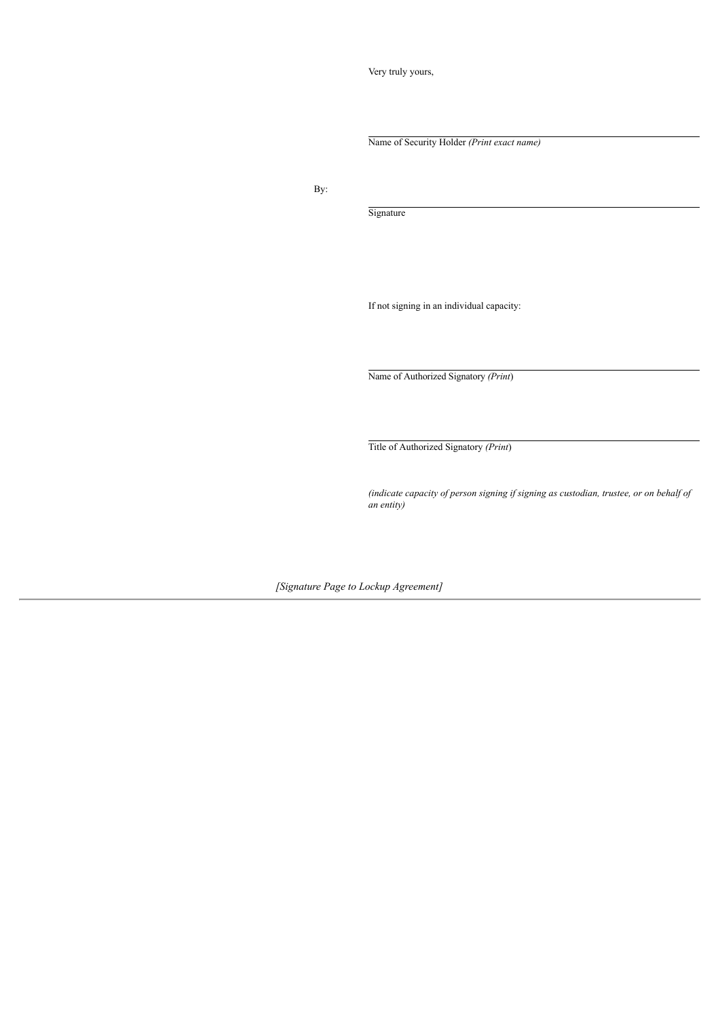Very truly yours,

Name of Security Holder *(Print exact name)*

By:

Signature

If not signing in an individual capacity:

Name of Authorized Signatory *(Print*)

Title of Authorized Signatory *(Print*)

*(indicate capacity of person signing if signing as custodian, trustee, or on behalf of an entity)*

*[Signature Page to Lockup Agreement]*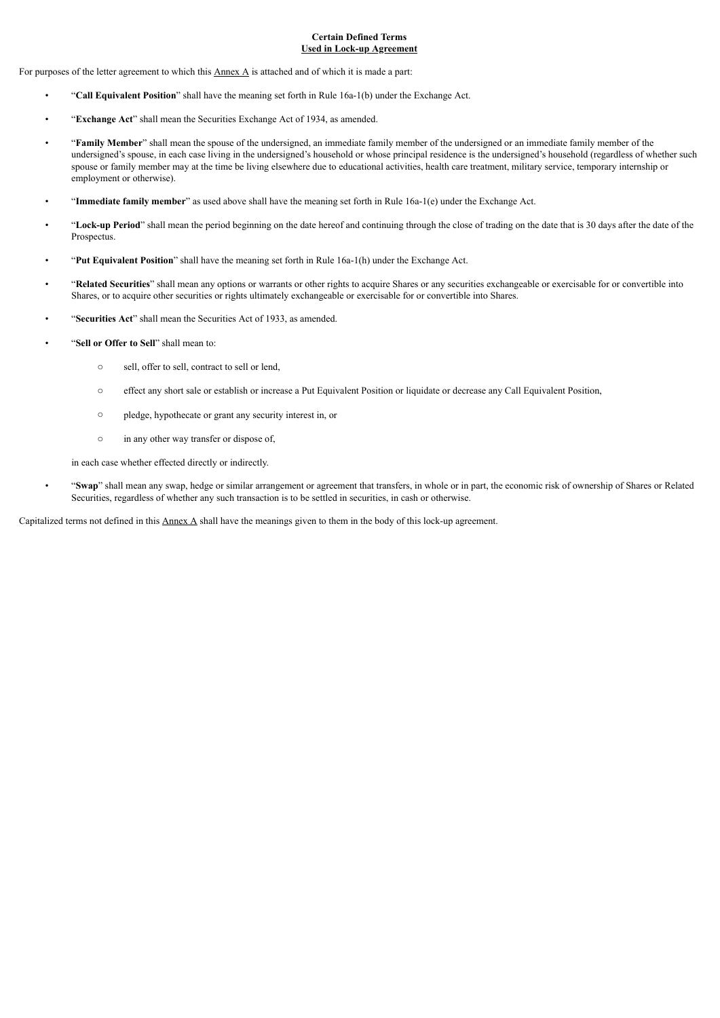# **Certain Defined Terms Used in Lock-up Agreement**

For purposes of the letter agreement to which this  $\Delta$ nnex  $\Delta$  is attached and of which it is made a part:

- "**Call Equivalent Position**" shall have the meaning set forth in Rule 16a-1(b) under the Exchange Act.
- "**Exchange Act**" shall mean the Securities Exchange Act of 1934, as amended.
- "**Family Member**" shall mean the spouse of the undersigned, an immediate family member of the undersigned or an immediate family member of the undersigned's spouse, in each case living in the undersigned's household or whose principal residence is the undersigned's household (regardless of whether such spouse or family member may at the time be living elsewhere due to educational activities, health care treatment, military service, temporary internship or employment or otherwise).
- "**Immediate family member**" as used above shall have the meaning set forth in Rule 16a-1(e) under the Exchange Act.
- "**Lock-up Period**" shall mean the period beginning on the date hereof and continuing through the close of trading on the date that is 30 days after the date of the Prospectus.
- "**Put Equivalent Position**" shall have the meaning set forth in Rule 16a-1(h) under the Exchange Act.
- "**Related Securities**" shall mean any options or warrants or other rights to acquire Shares or any securities exchangeable or exercisable for or convertible into Shares, or to acquire other securities or rights ultimately exchangeable or exercisable for or convertible into Shares.
- "**Securities Act**" shall mean the Securities Act of 1933, as amended.
- "**Sell or Offer to Sell**" shall mean to:
	- o sell, offer to sell, contract to sell or lend,
	- o effect any short sale or establish or increase a Put Equivalent Position or liquidate or decrease any Call Equivalent Position,
	- o pledge, hypothecate or grant any security interest in, or
	- o in any other way transfer or dispose of,

in each case whether effected directly or indirectly.

• "**Swap**" shall mean any swap, hedge or similar arrangement or agreement that transfers, in whole or in part, the economic risk of ownership of Shares or Related Securities, regardless of whether any such transaction is to be settled in securities, in cash or otherwise.

Capitalized terms not defined in this  $\Delta$ nnex  $\Delta$  shall have the meanings given to them in the body of this lock-up agreement.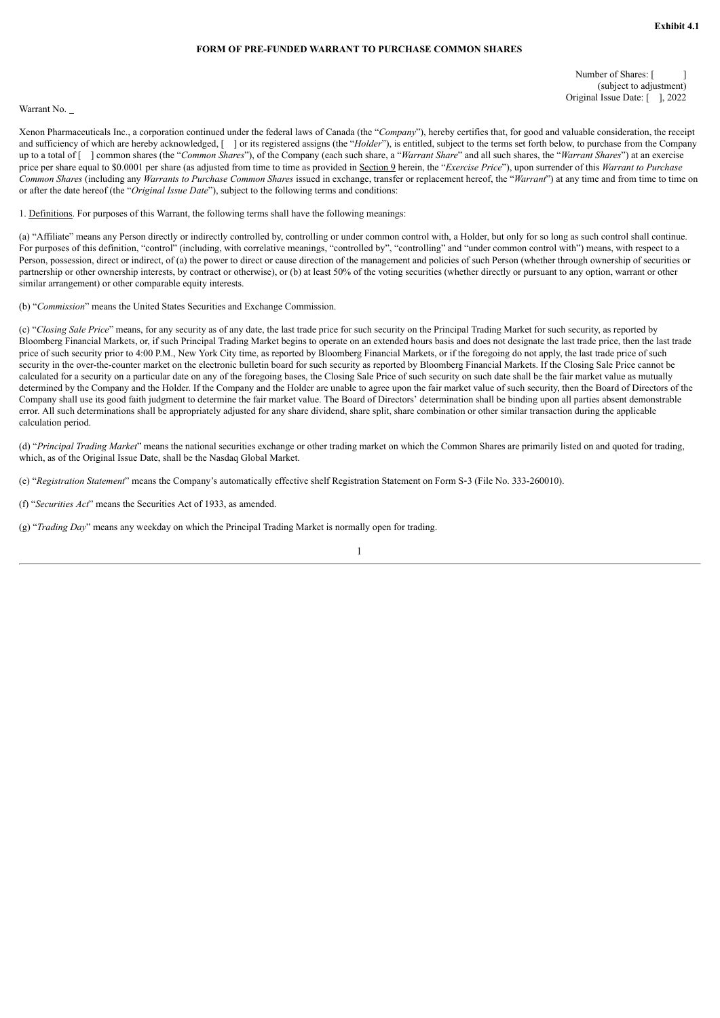# **FORM OF PRE-FUNDED WARRANT TO PURCHASE COMMON SHARES**

Number of Shares: [ (subject to adjustment) Original Issue Date: [ ], 2022

#### <span id="page-47-0"></span>Warrant No.

Xenon Pharmaceuticals Inc., a corporation continued under the federal laws of Canada (the "*Company*"), hereby certifies that, for good and valuable consideration, the receipt and sufficiency of which are hereby acknowledged, [ ] or its registered assigns (the "*Holder*"), is entitled, subject to the terms set forth below, to purchase from the Company up to a total of [ ] common shares (the "*Common Shares*"), of the Company (each such share, a "*Warrant Share*" and all such shares, the "*Warrant Shares*") at an exercise price per share equal to \$0.0001 per share (as adjusted from time to time as provided in Section 9 herein, the "*Exercise Price*"), upon surrender of this *Warrant to Purchase Common Shares* (including any *Warrants to Purchase Common Shares* issued in exchange, transfer or replacement hereof, the "*Warrant*") at any time and from time to time on or after the date hereof (the "*Original Issue Date*"), subject to the following terms and conditions:

1. Definitions. For purposes of this Warrant, the following terms shall have the following meanings:

(a) "Affiliate" means any Person directly or indirectly controlled by, controlling or under common control with, a Holder, but only for so long as such control shall continue. For purposes of this definition, "control" (including, with correlative meanings, "controlled by", "controlling" and "under common control with") means, with respect to a Person, possession, direct or indirect, of (a) the power to direct or cause direction of the management and policies of such Person (whether through ownership of securities or partnership or other ownership interests, by contract or otherwise), or (b) at least 50% of the voting securities (whether directly or pursuant to any option, warrant or other similar arrangement) or other comparable equity interests.

(b) "*Commission*" means the United States Securities and Exchange Commission.

(c) "*Closing Sale Price*" means, for any security as of any date, the last trade price for such security on the Principal Trading Market for such security, as reported by Bloomberg Financial Markets, or, if such Principal Trading Market begins to operate on an extended hours basis and does not designate the last trade price, then the last trade price of such security prior to 4:00 P.M., New York City time, as reported by Bloomberg Financial Markets, or if the foregoing do not apply, the last trade price of such security in the over-the-counter market on the electronic bulletin board for such security as reported by Bloomberg Financial Markets. If the Closing Sale Price cannot be calculated for a security on a particular date on any of the foregoing bases, the Closing Sale Price of such security on such date shall be the fair market value as mutually determined by the Company and the Holder. If the Company and the Holder are unable to agree upon the fair market value of such security, then the Board of Directors of the Company shall use its good faith judgment to determine the fair market value. The Board of Directors' determination shall be binding upon all parties absent demonstrable error. All such determinations shall be appropriately adjusted for any share dividend, share split, share combination or other similar transaction during the applicable calculation period.

(d) "*Principal Trading Market*" means the national securities exchange or other trading market on which the Common Shares are primarily listed on and quoted for trading, which, as of the Original Issue Date, shall be the Nasdaq Global Market.

(e) "*Registration Statement*" means the Company's automatically effective shelf Registration Statement on Form S‑3 (File No. 333-260010).

(f) "*Securities Act*" means the Securities Act of 1933, as amended.

(g) "*Trading Day*" means any weekday on which the Principal Trading Market is normally open for trading.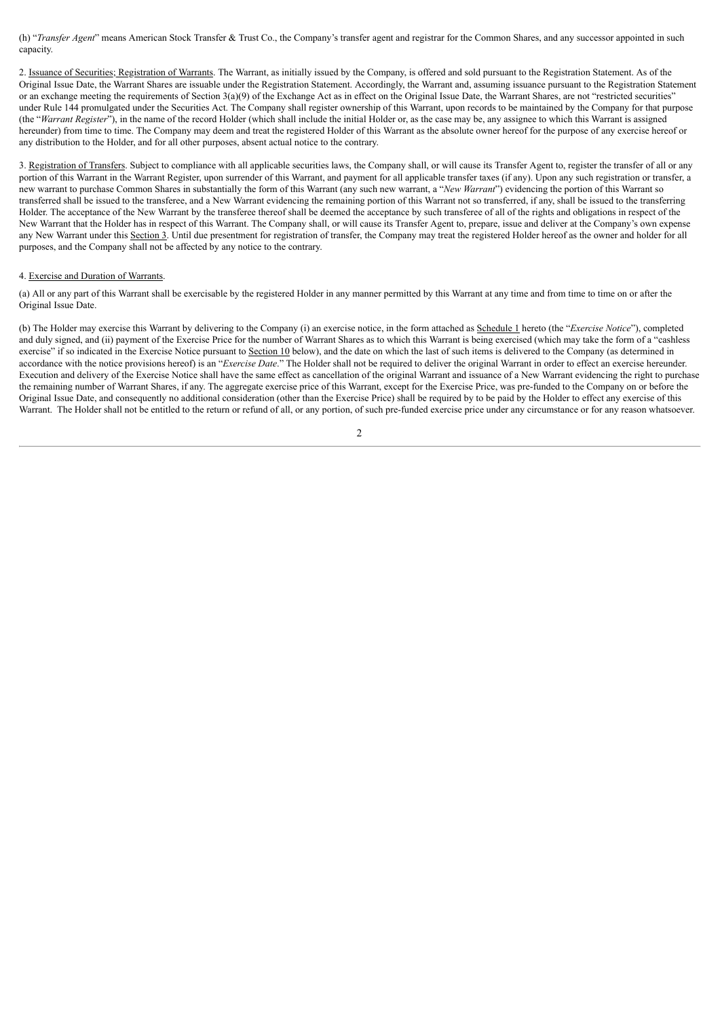(h) "*Transfer Agent*" means American Stock Transfer & Trust Co., the Company's transfer agent and registrar for the Common Shares, and any successor appointed in such capacity.

2. Issuance of Securities; Registration of Warrants. The Warrant, as initially issued by the Company, is offered and sold pursuant to the Registration Statement. As of the Original Issue Date, the Warrant Shares are issuable under the Registration Statement. Accordingly, the Warrant and, assuming issuance pursuant to the Registration Statement or an exchange meeting the requirements of Section 3(a)(9) of the Exchange Act as in effect on the Original Issue Date, the Warrant Shares, are not "restricted securities" under Rule 144 promulgated under the Securities Act. The Company shall register ownership of this Warrant, upon records to be maintained by the Company for that purpose (the "*Warrant Register*"), in the name of the record Holder (which shall include the initial Holder or, as the case may be, any assignee to which this Warrant is assigned hereunder) from time to time. The Company may deem and treat the registered Holder of this Warrant as the absolute owner hereof for the purpose of any exercise hereof or any distribution to the Holder, and for all other purposes, absent actual notice to the contrary.

3. Registration of Transfers. Subject to compliance with all applicable securities laws, the Company shall, or will cause its Transfer Agent to, register the transfer of all or any portion of this Warrant in the Warrant Register, upon surrender of this Warrant, and payment for all applicable transfer taxes (if any). Upon any such registration or transfer, a new warrant to purchase Common Shares in substantially the form of this Warrant (any such new warrant, a "*New Warrant*") evidencing the portion of this Warrant so transferred shall be issued to the transferee, and a New Warrant evidencing the remaining portion of this Warrant not so transferred, if any, shall be issued to the transferring Holder. The acceptance of the New Warrant by the transferee thereof shall be deemed the acceptance by such transferee of all of the rights and obligations in respect of the New Warrant that the Holder has in respect of this Warrant. The Company shall, or will cause its Transfer Agent to, prepare, issue and deliver at the Company's own expense any New Warrant under this Section 3. Until due presentment for registration of transfer, the Company may treat the registered Holder hereof as the owner and holder for all purposes, and the Company shall not be affected by any notice to the contrary.

#### 4. Exercise and Duration of Warrants.

(a) All or any part of this Warrant shall be exercisable by the registered Holder in any manner permitted by this Warrant at any time and from time to time on or after the Original Issue Date.

(b) The Holder may exercise this Warrant by delivering to the Company (i) an exercise notice, in the form attached as Schedule 1 hereto (the "*Exercise Notice*"), completed and duly signed, and (ii) payment of the Exercise Price for the number of Warrant Shares as to which this Warrant is being exercised (which may take the form of a "cashless exercise" if so indicated in the Exercise Notice pursuant to Section 10 below), and the date on which the last of such items is delivered to the Company (as determined in accordance with the notice provisions hereof) is an "*Exercise Date*." The Holder shall not be required to deliver the original Warrant in order to effect an exercise hereunder. Execution and delivery of the Exercise Notice shall have the same effect as cancellation of the original Warrant and issuance of a New Warrant evidencing the right to purchase the remaining number of Warrant Shares, if any. The aggregate exercise price of this Warrant, except for the Exercise Price, was pre-funded to the Company on or before the Original Issue Date, and consequently no additional consideration (other than the Exercise Price) shall be required by to be paid by the Holder to effect any exercise of this Warrant. The Holder shall not be entitled to the return or refund of all, or any portion, of such pre-funded exercise price under any circumstance or for any reason whatsoever.

 $\overline{2}$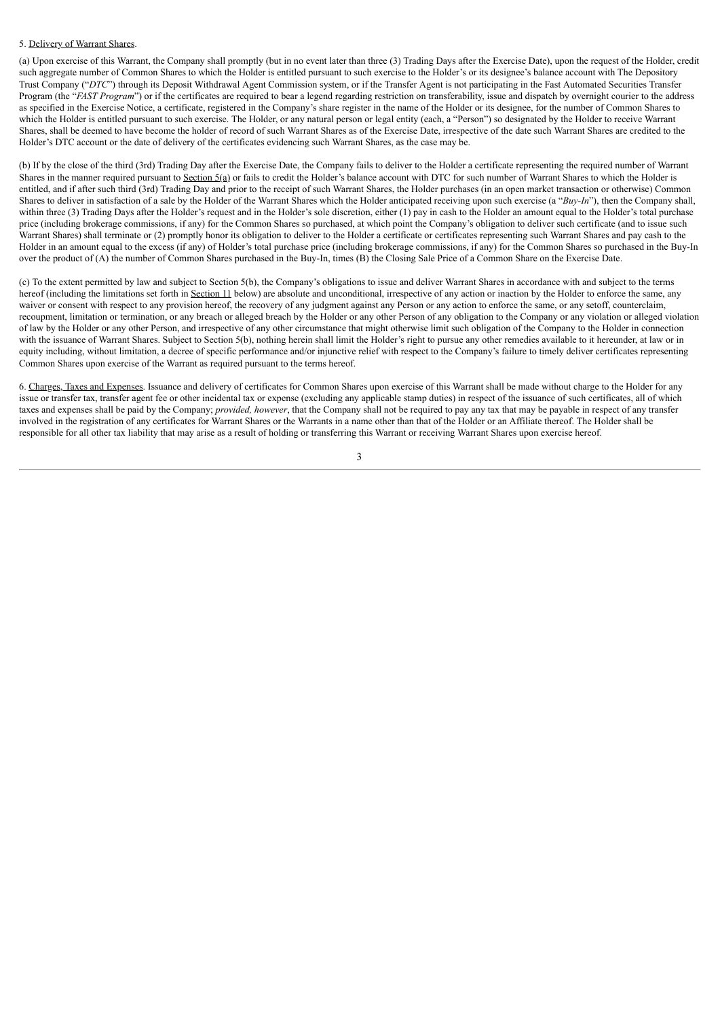# 5. Delivery of Warrant Shares.

(a) Upon exercise of this Warrant, the Company shall promptly (but in no event later than three (3) Trading Days after the Exercise Date), upon the request of the Holder, credit such aggregate number of Common Shares to which the Holder is entitled pursuant to such exercise to the Holder's or its designee's balance account with The Depository Trust Company ("DTC") through its Deposit Withdrawal Agent Commission system, or if the Transfer Agent is not participating in the Fast Automated Securities Transfer Program (the "*FAST Program*") or if the certificates are required to bear a legend regarding restriction on transferability, issue and dispatch by overnight courier to the address as specified in the Exercise Notice, a certificate, registered in the Company's share register in the name of the Holder or its designee, for the number of Common Shares to which the Holder is entitled pursuant to such exercise. The Holder, or any natural person or legal entity (each, a "Person") so designated by the Holder to receive Warrant Shares, shall be deemed to have become the holder of record of such Warrant Shares as of the Exercise Date, irrespective of the date such Warrant Shares are credited to the Holder's DTC account or the date of delivery of the certificates evidencing such Warrant Shares, as the case may be.

(b) If by the close of the third (3rd) Trading Day after the Exercise Date, the Company fails to deliver to the Holder a certificate representing the required number of Warrant Shares in the manner required pursuant to Section 5(a) or fails to credit the Holder's balance account with DTC for such number of Warrant Shares to which the Holder is entitled, and if after such third (3rd) Trading Day and prior to the receipt of such Warrant Shares, the Holder purchases (in an open market transaction or otherwise) Common Shares to deliver in satisfaction of a sale by the Holder of the Warrant Shares which the Holder anticipated receiving upon such exercise (a "*Buy-In*"), then the Company shall, within three (3) Trading Days after the Holder's request and in the Holder's sole discretion, either (1) pay in cash to the Holder an amount equal to the Holder's total purchase price (including brokerage commissions, if any) for the Common Shares so purchased, at which point the Company's obligation to deliver such certificate (and to issue such Warrant Shares) shall terminate or (2) promptly honor its obligation to deliver to the Holder a certificate or certificates representing such Warrant Shares and pay cash to the Holder in an amount equal to the excess (if any) of Holder's total purchase price (including brokerage commissions, if any) for the Common Shares so purchased in the Buy-In over the product of (A) the number of Common Shares purchased in the Buy-In, times (B) the Closing Sale Price of a Common Share on the Exercise Date.

(c) To the extent permitted by law and subject to Section 5(b), the Company's obligations to issue and deliver Warrant Shares in accordance with and subject to the terms hereof (including the limitations set forth in Section 11 below) are absolute and unconditional, irrespective of any action or inaction by the Holder to enforce the same, any waiver or consent with respect to any provision hereof, the recovery of any judgment against any Person or any action to enforce the same, or any setoff, counterclaim, recoupment, limitation or termination, or any breach or alleged breach by the Holder or any other Person of any obligation to the Company or any violation or alleged violation of law by the Holder or any other Person, and irrespective of any other circumstance that might otherwise limit such obligation of the Company to the Holder in connection with the issuance of Warrant Shares. Subject to Section 5(b), nothing herein shall limit the Holder's right to pursue any other remedies available to it hereunder, at law or in equity including, without limitation, a decree of specific performance and/or injunctive relief with respect to the Company's failure to timely deliver certificates representing Common Shares upon exercise of the Warrant as required pursuant to the terms hereof.

6. Charges, Taxes and Expenses. Issuance and delivery of certificates for Common Shares upon exercise of this Warrant shall be made without charge to the Holder for any issue or transfer tax, transfer agent fee or other incidental tax or expense (excluding any applicable stamp duties) in respect of the issuance of such certificates, all of which taxes and expenses shall be paid by the Company; *provided, however*, that the Company shall not be required to pay any tax that may be payable in respect of any transfer involved in the registration of any certificates for Warrant Shares or the Warrants in a name other than that of the Holder or an Affiliate thereof. The Holder shall be responsible for all other tax liability that may arise as a result of holding or transferring this Warrant or receiving Warrant Shares upon exercise hereof.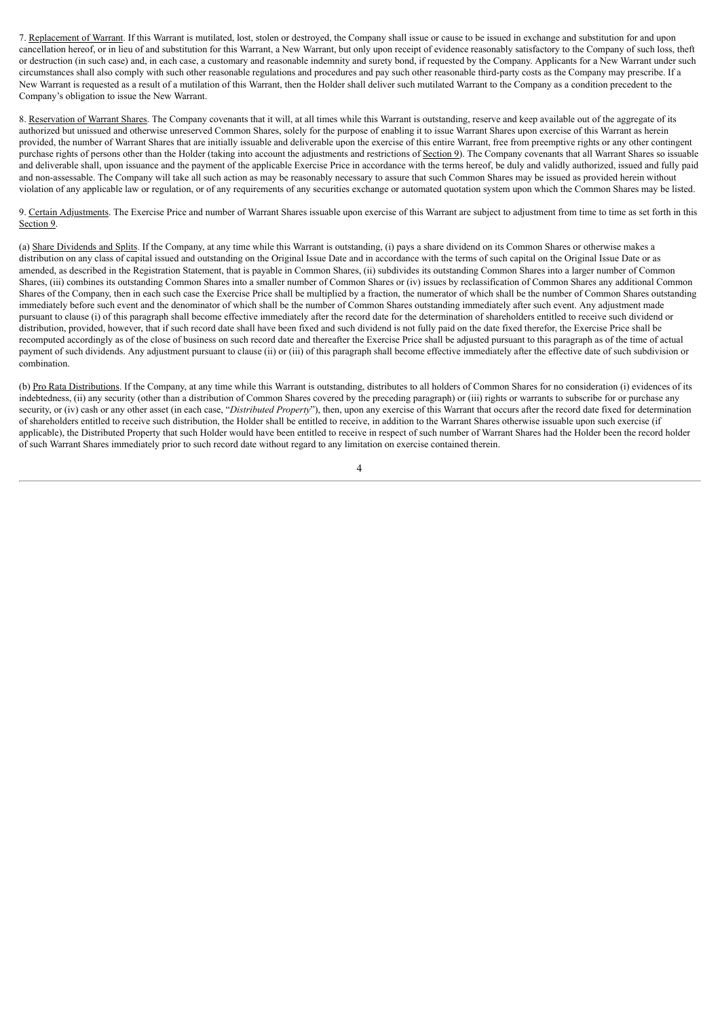7. Replacement of Warrant. If this Warrant is mutilated, lost, stolen or destroyed, the Company shall issue or cause to be issued in exchange and substitution for and upon cancellation hereof, or in lieu of and substitution for this Warrant, a New Warrant, but only upon receipt of evidence reasonably satisfactory to the Company of such loss, theft or destruction (in such case) and, in each case, a customary and reasonable indemnity and surety bond, if requested by the Company. Applicants for a New Warrant under such circumstances shall also comply with such other reasonable regulations and procedures and pay such other reasonable third-party costs as the Company may prescribe. If a New Warrant is requested as a result of a mutilation of this Warrant, then the Holder shall deliver such mutilated Warrant to the Company as a condition precedent to the Company's obligation to issue the New Warrant.

8. Reservation of Warrant Shares. The Company covenants that it will, at all times while this Warrant is outstanding, reserve and keep available out of the aggregate of its authorized but unissued and otherwise unreserved Common Shares, solely for the purpose of enabling it to issue Warrant Shares upon exercise of this Warrant as herein provided, the number of Warrant Shares that are initially issuable and deliverable upon the exercise of this entire Warrant, free from preemptive rights or any other contingent purchase rights of persons other than the Holder (taking into account the adjustments and restrictions of Section 9). The Company covenants that all Warrant Shares so issuable and deliverable shall, upon issuance and the payment of the applicable Exercise Price in accordance with the terms hereof, be duly and validly authorized, issued and fully paid and non-assessable. The Company will take all such action as may be reasonably necessary to assure that such Common Shares may be issued as provided herein without violation of any applicable law or regulation, or of any requirements of any securities exchange or automated quotation system upon which the Common Shares may be listed.

9. Certain Adjustments. The Exercise Price and number of Warrant Shares issuable upon exercise of this Warrant are subject to adjustment from time to time as set forth in this Section 9.

(a) Share Dividends and Splits. If the Company, at any time while this Warrant is outstanding, (i) pays a share dividend on its Common Shares or otherwise makes a distribution on any class of capital issued and outstanding on the Original Issue Date and in accordance with the terms of such capital on the Original Issue Date or as amended, as described in the Registration Statement, that is payable in Common Shares, (ii) subdivides its outstanding Common Shares into a larger number of Common Shares, (iii) combines its outstanding Common Shares into a smaller number of Common Shares or (iv) issues by reclassification of Common Shares any additional Common Shares of the Company, then in each such case the Exercise Price shall be multiplied by a fraction, the numerator of which shall be the number of Common Shares outstanding immediately before such event and the denominator of which shall be the number of Common Shares outstanding immediately after such event. Any adjustment made pursuant to clause (i) of this paragraph shall become effective immediately after the record date for the determination of shareholders entitled to receive such dividend or distribution, provided, however, that if such record date shall have been fixed and such dividend is not fully paid on the date fixed therefor, the Exercise Price shall be recomputed accordingly as of the close of business on such record date and thereafter the Exercise Price shall be adjusted pursuant to this paragraph as of the time of actual payment of such dividends. Any adjustment pursuant to clause (ii) or (iii) of this paragraph shall become effective immediately after the effective date of such subdivision or combination.

(b) Pro Rata Distributions. If the Company, at any time while this Warrant is outstanding, distributes to all holders of Common Shares for no consideration (i) evidences of its indebtedness, (ii) any security (other than a distribution of Common Shares covered by the preceding paragraph) or (iii) rights or warrants to subscribe for or purchase any security, or (iv) cash or any other asset (in each case, "Distributed Property"), then, upon any exercise of this Warrant that occurs after the record date fixed for determination of shareholders entitled to receive such distribution, the Holder shall be entitled to receive, in addition to the Warrant Shares otherwise issuable upon such exercise (if applicable), the Distributed Property that such Holder would have been entitled to receive in respect of such number of Warrant Shares had the Holder been the record holder of such Warrant Shares immediately prior to such record date without regard to any limitation on exercise contained therein.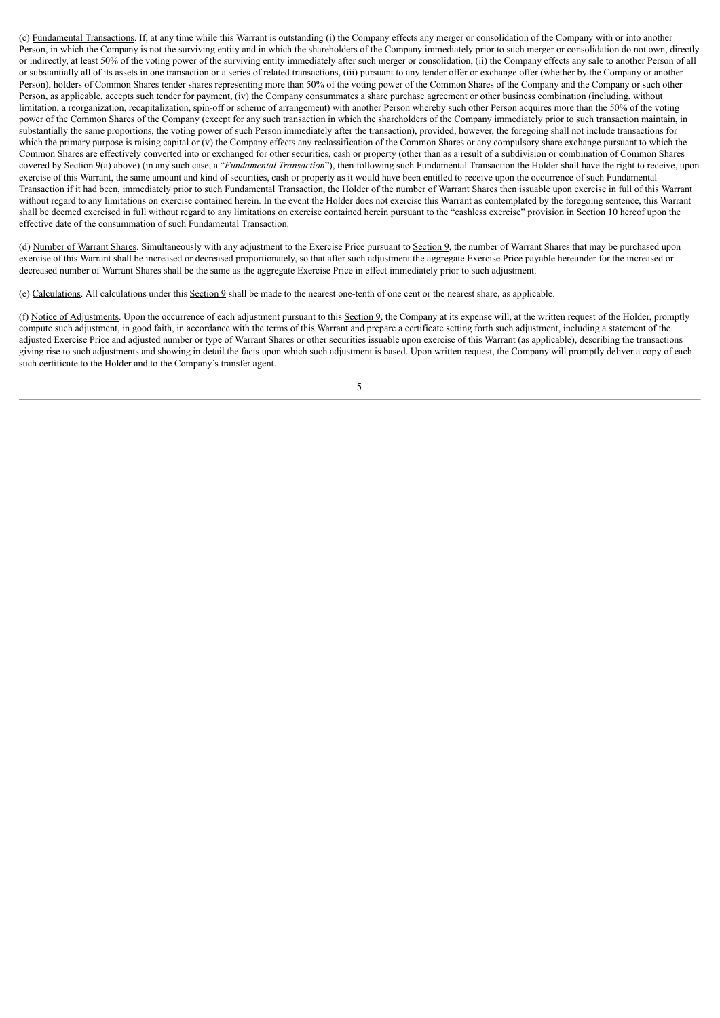(c) Fundamental Transactions. If, at any time while this Warrant is outstanding (i) the Company effects any merger or consolidation of the Company with or into another Person, in which the Company is not the surviving entity and in which the shareholders of the Company immediately prior to such merger or consolidation do not own, directly or indirectly, at least 50% of the voting power of the surviving entity immediately after such merger or consolidation, (ii) the Company effects any sale to another Person of all or substantially all of its assets in one transaction or a series of related transactions, (iii) pursuant to any tender offer or exchange offer (whether by the Company or another Person), holders of Common Shares tender shares representing more than 50% of the voting power of the Common Shares of the Company and the Company or such other Person, as applicable, accepts such tender for payment, (iv) the Company consummates a share purchase agreement or other business combination (including, without limitation, a reorganization, recapitalization, spin-off or scheme of arrangement) with another Person whereby such other Person acquires more than the 50% of the voting power of the Common Shares of the Company (except for any such transaction in which the shareholders of the Company immediately prior to such transaction maintain, in substantially the same proportions, the voting power of such Person immediately after the transaction), provided, however, the foregoing shall not include transactions for which the primary purpose is raising capital or (v) the Company effects any reclassification of the Common Shares or any compulsory share exchange pursuant to which the Common Shares are effectively converted into or exchanged for other securities, cash or property (other than as a result of a subdivision or combination of Common Shares covered by Section 9(a) above) (in any such case, a "*Fundamental Transaction*"), then following such Fundamental Transaction the Holder shall have the right to receive, upon exercise of this Warrant, the same amount and kind of securities, cash or property as it would have been entitled to receive upon the occurrence of such Fundamental Transaction if it had been, immediately prior to such Fundamental Transaction, the Holder of the number of Warrant Shares then issuable upon exercise in full of this Warrant without regard to any limitations on exercise contained herein. In the event the Holder does not exercise this Warrant as contemplated by the foregoing sentence, this Warrant shall be deemed exercised in full without regard to any limitations on exercise contained herein pursuant to the "cashless exercise" provision in Section 10 hereof upon the effective date of the consummation of such Fundamental Transaction.

(d) Number of Warrant Shares. Simultaneously with any adjustment to the Exercise Price pursuant to Section 9, the number of Warrant Shares that may be purchased upon exercise of this Warrant shall be increased or decreased proportionately, so that after such adjustment the aggregate Exercise Price payable hereunder for the increased or decreased number of Warrant Shares shall be the same as the aggregate Exercise Price in effect immediately prior to such adjustment.

(e) Calculations. All calculations under this Section 9 shall be made to the nearest one-tenth of one cent or the nearest share, as applicable.

(f) Notice of Adjustments. Upon the occurrence of each adjustment pursuant to this Section 9, the Company at its expense will, at the written request of the Holder, promptly compute such adjustment, in good faith, in accordance with the terms of this Warrant and prepare a certificate setting forth such adjustment, including a statement of the adjusted Exercise Price and adjusted number or type of Warrant Shares or other securities issuable upon exercise of this Warrant (as applicable), describing the transactions giving rise to such adjustments and showing in detail the facts upon which such adjustment is based. Upon written request, the Company will promptly deliver a copy of each such certificate to the Holder and to the Company's transfer agent.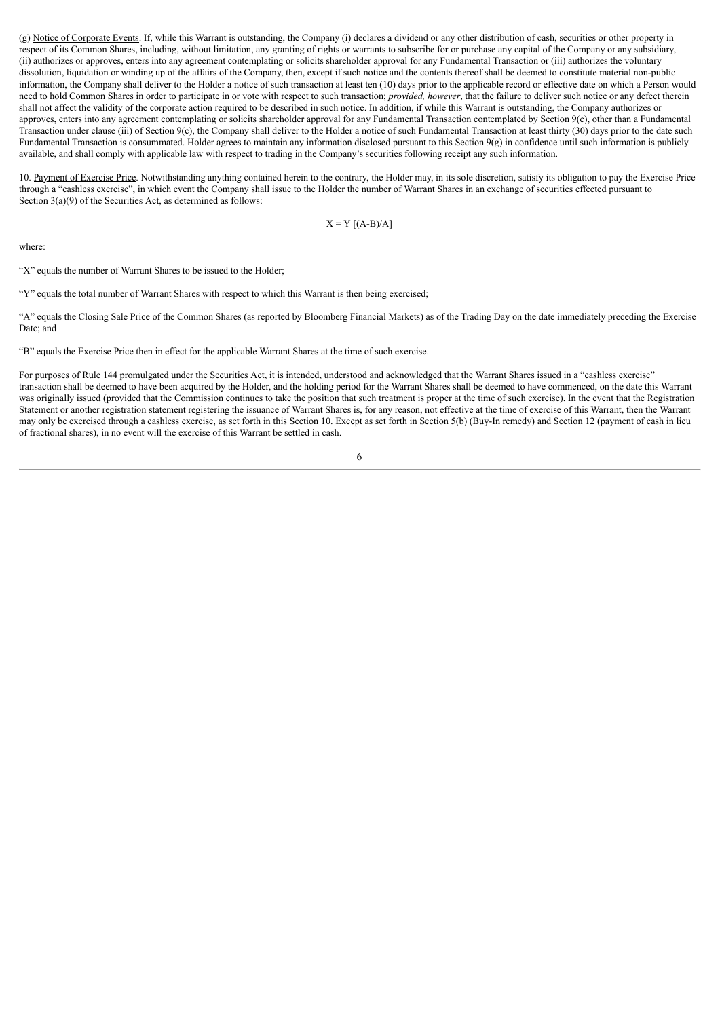(g) Notice of Corporate Events. If, while this Warrant is outstanding, the Company (i) declares a dividend or any other distribution of cash, securities or other property in respect of its Common Shares, including, without limitation, any granting of rights or warrants to subscribe for or purchase any capital of the Company or any subsidiary, (ii) authorizes or approves, enters into any agreement contemplating or solicits shareholder approval for any Fundamental Transaction or (iii) authorizes the voluntary dissolution, liquidation or winding up of the affairs of the Company, then, except if such notice and the contents thereof shall be deemed to constitute material non-public information, the Company shall deliver to the Holder a notice of such transaction at least ten (10) days prior to the applicable record or effective date on which a Person would need to hold Common Shares in order to participate in or vote with respect to such transaction; *provided, however*, that the failure to deliver such notice or any defect therein shall not affect the validity of the corporate action required to be described in such notice. In addition, if while this Warrant is outstanding, the Company authorizes or approves, enters into any agreement contemplating or solicits shareholder approval for any Fundamental Transaction contemplated by Section 9(c), other than a Fundamental Transaction under clause (iii) of Section 9(c), the Company shall deliver to the Holder a notice of such Fundamental Transaction at least thirty (30) days prior to the date such Fundamental Transaction is consummated. Holder agrees to maintain any information disclosed pursuant to this Section 9(g) in confidence until such information is publicly available, and shall comply with applicable law with respect to trading in the Company's securities following receipt any such information.

10. Payment of Exercise Price. Notwithstanding anything contained herein to the contrary, the Holder may, in its sole discretion, satisfy its obligation to pay the Exercise Price through a "cashless exercise", in which event the Company shall issue to the Holder the number of Warrant Shares in an exchange of securities effected pursuant to Section 3(a)(9) of the Securities Act, as determined as follows:

 $X = Y [(A-B)/A]$ 

where:

"X" equals the number of Warrant Shares to be issued to the Holder;

"Y" equals the total number of Warrant Shares with respect to which this Warrant is then being exercised;

"A" equals the Closing Sale Price of the Common Shares (as reported by Bloomberg Financial Markets) as of the Trading Day on the date immediately preceding the Exercise Date; and

"B" equals the Exercise Price then in effect for the applicable Warrant Shares at the time of such exercise.

For purposes of Rule 144 promulgated under the Securities Act, it is intended, understood and acknowledged that the Warrant Shares issued in a "cashless exercise" transaction shall be deemed to have been acquired by the Holder, and the holding period for the Warrant Shares shall be deemed to have commenced, on the date this Warrant was originally issued (provided that the Commission continues to take the position that such treatment is proper at the time of such exercise). In the event that the Registration Statement or another registration statement registering the issuance of Warrant Shares is, for any reason, not effective at the time of exercise of this Warrant, then the Warrant may only be exercised through a cashless exercise, as set forth in this Section 10. Except as set forth in Section 5(b) (Buy-In remedy) and Section 12 (payment of cash in lieu of fractional shares), in no event will the exercise of this Warrant be settled in cash.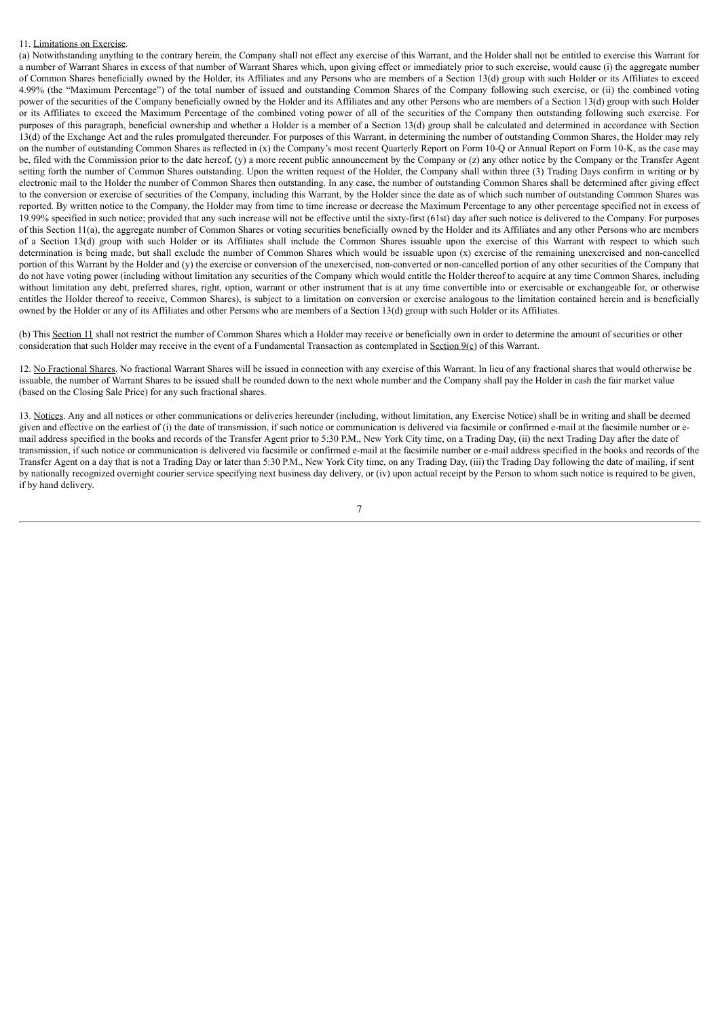# 11. Limitations on Exercise.

(a) Notwithstanding anything to the contrary herein, the Company shall not effect any exercise of this Warrant, and the Holder shall not be entitled to exercise this Warrant for a number of Warrant Shares in excess of that number of Warrant Shares which, upon giving effect or immediately prior to such exercise, would cause (i) the aggregate number of Common Shares beneficially owned by the Holder, its Affiliates and any Persons who are members of a Section 13(d) group with such Holder or its Affiliates to exceed 4.99% (the "Maximum Percentage") of the total number of issued and outstanding Common Shares of the Company following such exercise, or (ii) the combined voting power of the securities of the Company beneficially owned by the Holder and its Affiliates and any other Persons who are members of a Section 13(d) group with such Holder or its Affiliates to exceed the Maximum Percentage of the combined voting power of all of the securities of the Company then outstanding following such exercise. For purposes of this paragraph, beneficial ownership and whether a Holder is a member of a Section 13(d) group shall be calculated and determined in accordance with Section 13(d) of the Exchange Act and the rules promulgated thereunder. For purposes of this Warrant, in determining the number of outstanding Common Shares, the Holder may rely on the number of outstanding Common Shares as reflected in (x) the Company's most recent Quarterly Report on Form 10-Q or Annual Report on Form 10-K, as the case may be, filed with the Commission prior to the date hereof, (y) a more recent public announcement by the Company or (z) any other notice by the Company or the Transfer Agent setting forth the number of Common Shares outstanding. Upon the written request of the Holder, the Company shall within three (3) Trading Days confirm in writing or by electronic mail to the Holder the number of Common Shares then outstanding. In any case, the number of outstanding Common Shares shall be determined after giving effect to the conversion or exercise of securities of the Company, including this Warrant, by the Holder since the date as of which such number of outstanding Common Shares was reported. By written notice to the Company, the Holder may from time to time increase or decrease the Maximum Percentage to any other percentage specified not in excess of 19.99% specified in such notice; provided that any such increase will not be effective until the sixty-first (61st) day after such notice is delivered to the Company. For purposes of this Section 11(a), the aggregate number of Common Shares or voting securities beneficially owned by the Holder and its Affiliates and any other Persons who are members of a Section 13(d) group with such Holder or its Affiliates shall include the Common Shares issuable upon the exercise of this Warrant with respect to which such determination is being made, but shall exclude the number of Common Shares which would be issuable upon (x) exercise of the remaining unexercised and non-cancelled portion of this Warrant by the Holder and (y) the exercise or conversion of the unexercised, non-converted or non-cancelled portion of any other securities of the Company that do not have voting power (including without limitation any securities of the Company which would entitle the Holder thereof to acquire at any time Common Shares, including without limitation any debt, preferred shares, right, option, warrant or other instrument that is at any time convertible into or exercisable or exchangeable for, or otherwise entitles the Holder thereof to receive, Common Shares), is subject to a limitation on conversion or exercise analogous to the limitation contained herein and is beneficially owned by the Holder or any of its Affiliates and other Persons who are members of a Section 13(d) group with such Holder or its Affiliates.

(b) This Section 11 shall not restrict the number of Common Shares which a Holder may receive or beneficially own in order to determine the amount of securities or other consideration that such Holder may receive in the event of a Fundamental Transaction as contemplated in Section  $9(\epsilon)$  of this Warrant.

12. No Fractional Shares. No fractional Warrant Shares will be issued in connection with any exercise of this Warrant. In lieu of any fractional shares that would otherwise be issuable, the number of Warrant Shares to be issued shall be rounded down to the next whole number and the Company shall pay the Holder in cash the fair market value (based on the Closing Sale Price) for any such fractional shares.

13. Notices. Any and all notices or other communications or deliveries hereunder (including, without limitation, any Exercise Notice) shall be in writing and shall be deemed given and effective on the earliest of (i) the date of transmission, if such notice or communication is delivered via facsimile or confirmed e-mail at the facsimile number or email address specified in the books and records of the Transfer Agent prior to 5:30 P.M., New York City time, on a Trading Day, (ii) the next Trading Day after the date of transmission, if such notice or communication is delivered via facsimile or confirmed e-mail at the facsimile number or e-mail address specified in the books and records of the Transfer Agent on a day that is not a Trading Day or later than 5:30 P.M., New York City time, on any Trading Day, (iii) the Trading Day following the date of mailing, if sent by nationally recognized overnight courier service specifying next business day delivery, or (iv) upon actual receipt by the Person to whom such notice is required to be given, if by hand delivery.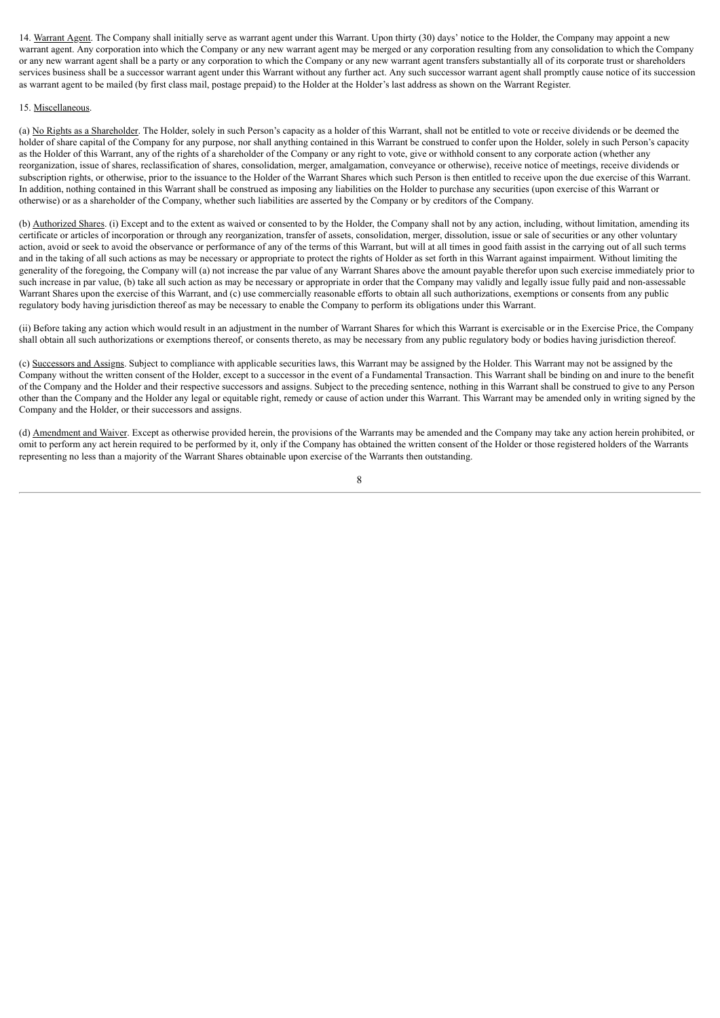14. Warrant Agent. The Company shall initially serve as warrant agent under this Warrant. Upon thirty (30) days' notice to the Holder, the Company may appoint a new warrant agent. Any corporation into which the Company or any new warrant agent may be merged or any corporation resulting from any consolidation to which the Company or any new warrant agent shall be a party or any corporation to which the Company or any new warrant agent transfers substantially all of its corporate trust or shareholders services business shall be a successor warrant agent under this Warrant without any further act. Any such successor warrant agent shall promptly cause notice of its succession as warrant agent to be mailed (by first class mail, postage prepaid) to the Holder at the Holder's last address as shown on the Warrant Register.

#### 15. Miscellaneous.

(a) No Rights as a Shareholder. The Holder, solely in such Person's capacity as a holder of this Warrant, shall not be entitled to vote or receive dividends or be deemed the holder of share capital of the Company for any purpose, nor shall anything contained in this Warrant be construed to confer upon the Holder, solely in such Person's capacity as the Holder of this Warrant, any of the rights of a shareholder of the Company or any right to vote, give or withhold consent to any corporate action (whether any reorganization, issue of shares, reclassification of shares, consolidation, merger, amalgamation, conveyance or otherwise), receive notice of meetings, receive dividends or subscription rights, or otherwise, prior to the issuance to the Holder of the Warrant Shares which such Person is then entitled to receive upon the due exercise of this Warrant. In addition, nothing contained in this Warrant shall be construed as imposing any liabilities on the Holder to purchase any securities (upon exercise of this Warrant or otherwise) or as a shareholder of the Company, whether such liabilities are asserted by the Company or by creditors of the Company.

(b) Authorized Shares. (i) Except and to the extent as waived or consented to by the Holder, the Company shall not by any action, including, without limitation, amending its certificate or articles of incorporation or through any reorganization, transfer of assets, consolidation, merger, dissolution, issue or sale of securities or any other voluntary action, avoid or seek to avoid the observance or performance of any of the terms of this Warrant, but will at all times in good faith assist in the carrying out of all such terms and in the taking of all such actions as may be necessary or appropriate to protect the rights of Holder as set forth in this Warrant against impairment. Without limiting the generality of the foregoing, the Company will (a) not increase the par value of any Warrant Shares above the amount payable therefor upon such exercise immediately prior to such increase in par value, (b) take all such action as may be necessary or appropriate in order that the Company may validly and legally issue fully paid and non-assessable Warrant Shares upon the exercise of this Warrant, and (c) use commercially reasonable efforts to obtain all such authorizations, exemptions or consents from any public regulatory body having jurisdiction thereof as may be necessary to enable the Company to perform its obligations under this Warrant.

(ii) Before taking any action which would result in an adjustment in the number of Warrant Shares for which this Warrant is exercisable or in the Exercise Price, the Company shall obtain all such authorizations or exemptions thereof, or consents thereto, as may be necessary from any public regulatory body or bodies having jurisdiction thereof.

(c) Successors and Assigns. Subject to compliance with applicable securities laws, this Warrant may be assigned by the Holder. This Warrant may not be assigned by the Company without the written consent of the Holder, except to a successor in the event of a Fundamental Transaction. This Warrant shall be binding on and inure to the benefit of the Company and the Holder and their respective successors and assigns. Subject to the preceding sentence, nothing in this Warrant shall be construed to give to any Person other than the Company and the Holder any legal or equitable right, remedy or cause of action under this Warrant. This Warrant may be amended only in writing signed by the Company and the Holder, or their successors and assigns.

(d) Amendment and Waiver. Except as otherwise provided herein, the provisions of the Warrants may be amended and the Company may take any action herein prohibited, or omit to perform any act herein required to be performed by it, only if the Company has obtained the written consent of the Holder or those registered holders of the Warrants representing no less than a majority of the Warrant Shares obtainable upon exercise of the Warrants then outstanding.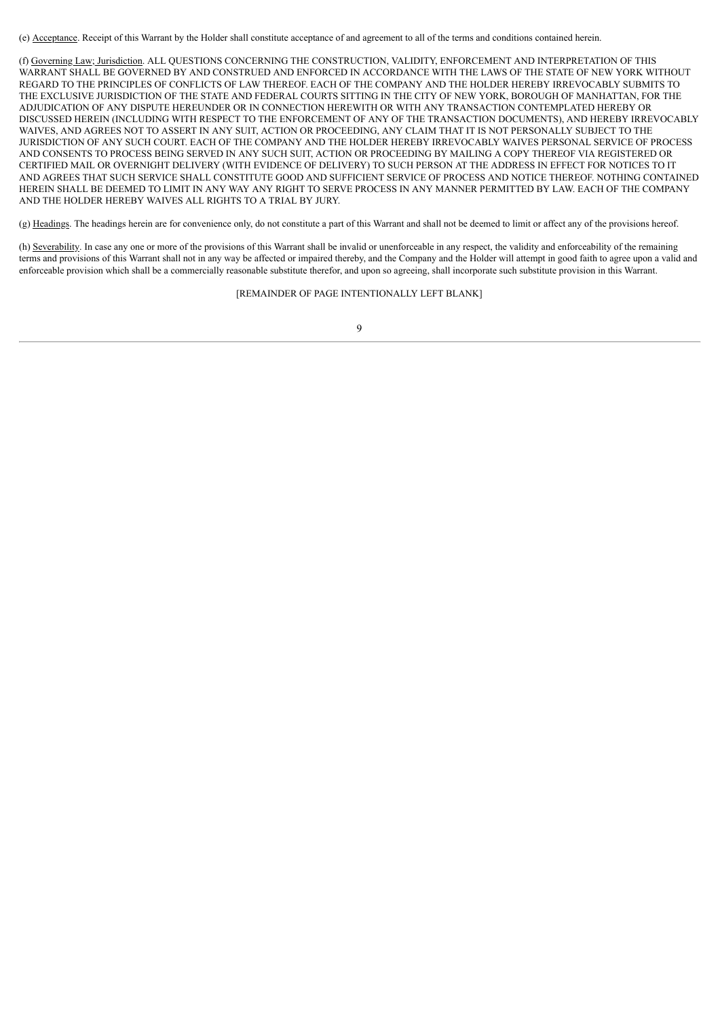(e) Acceptance. Receipt of this Warrant by the Holder shall constitute acceptance of and agreement to all of the terms and conditions contained herein.

(f) Governing Law; Jurisdiction. ALL QUESTIONS CONCERNING THE CONSTRUCTION, VALIDITY, ENFORCEMENT AND INTERPRETATION OF THIS WARRANT SHALL BE GOVERNED BY AND CONSTRUED AND ENFORCED IN ACCORDANCE WITH THE LAWS OF THE STATE OF NEW YORK WITHOUT REGARD TO THE PRINCIPLES OF CONFLICTS OF LAW THEREOF. EACH OF THE COMPANY AND THE HOLDER HEREBY IRREVOCABLY SUBMITS TO THE EXCLUSIVE JURISDICTION OF THE STATE AND FEDERAL COURTS SITTING IN THE CITY OF NEW YORK, BOROUGH OF MANHATTAN, FOR THE ADJUDICATION OF ANY DISPUTE HEREUNDER OR IN CONNECTION HEREWITH OR WITH ANY TRANSACTION CONTEMPLATED HEREBY OR DISCUSSED HEREIN (INCLUDING WITH RESPECT TO THE ENFORCEMENT OF ANY OF THE TRANSACTION DOCUMENTS), AND HEREBY IRREVOCABLY WAIVES, AND AGREES NOT TO ASSERT IN ANY SUIT, ACTION OR PROCEEDING, ANY CLAIM THAT IT IS NOT PERSONALLY SUBJECT TO THE JURISDICTION OF ANY SUCH COURT. EACH OF THE COMPANY AND THE HOLDER HEREBY IRREVOCABLY WAIVES PERSONAL SERVICE OF PROCESS AND CONSENTS TO PROCESS BEING SERVED IN ANY SUCH SUIT, ACTION OR PROCEEDING BY MAILING A COPY THEREOF VIA REGISTERED OR CERTIFIED MAIL OR OVERNIGHT DELIVERY (WITH EVIDENCE OF DELIVERY) TO SUCH PERSON AT THE ADDRESS IN EFFECT FOR NOTICES TO IT AND AGREES THAT SUCH SERVICE SHALL CONSTITUTE GOOD AND SUFFICIENT SERVICE OF PROCESS AND NOTICE THEREOF. NOTHING CONTAINED HEREIN SHALL BE DEEMED TO LIMIT IN ANY WAY ANY RIGHT TO SERVE PROCESS IN ANY MANNER PERMITTED BY LAW. EACH OF THE COMPANY AND THE HOLDER HEREBY WAIVES ALL RIGHTS TO A TRIAL BY JURY.

(g) Headings. The headings herein are for convenience only, do not constitute a part of this Warrant and shall not be deemed to limit or affect any of the provisions hereof.

(h) Severability. In case any one or more of the provisions of this Warrant shall be invalid or unenforceable in any respect, the validity and enforceability of the remaining terms and provisions of this Warrant shall not in any way be affected or impaired thereby, and the Company and the Holder will attempt in good faith to agree upon a valid and enforceable provision which shall be a commercially reasonable substitute therefor, and upon so agreeing, shall incorporate such substitute provision in this Warrant.

[REMAINDER OF PAGE INTENTIONALLY LEFT BLANK]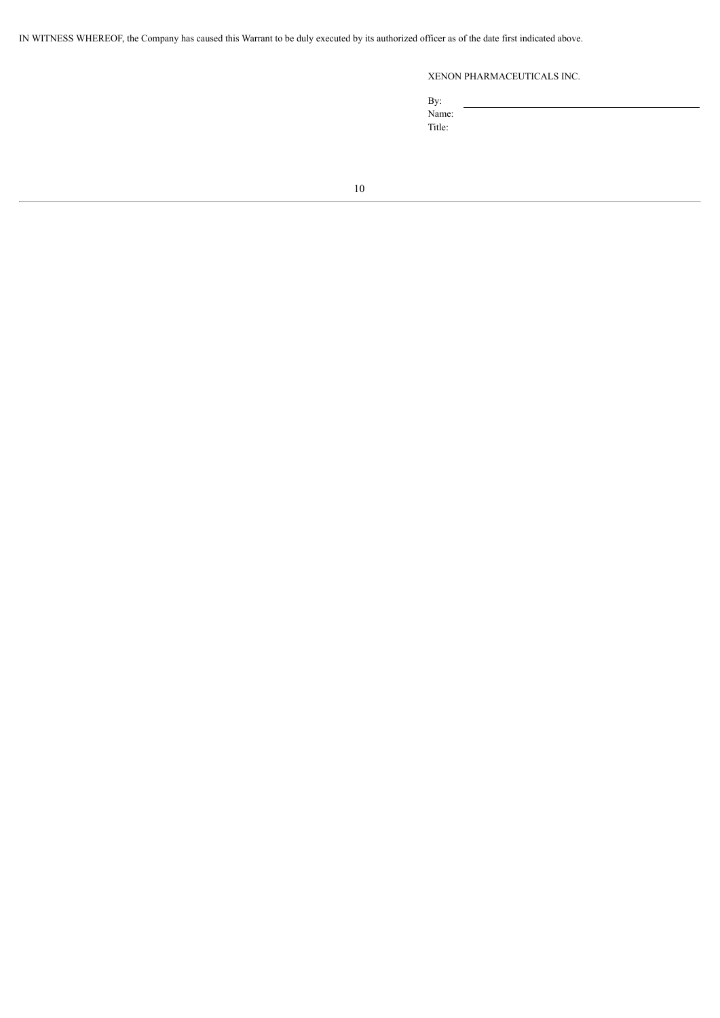IN WITNESS WHEREOF, the Company has caused this Warrant to be duly executed by its authorized officer as of the date first indicated above.

# XENON PHARMACEUTICALS INC.

By: Name: Title: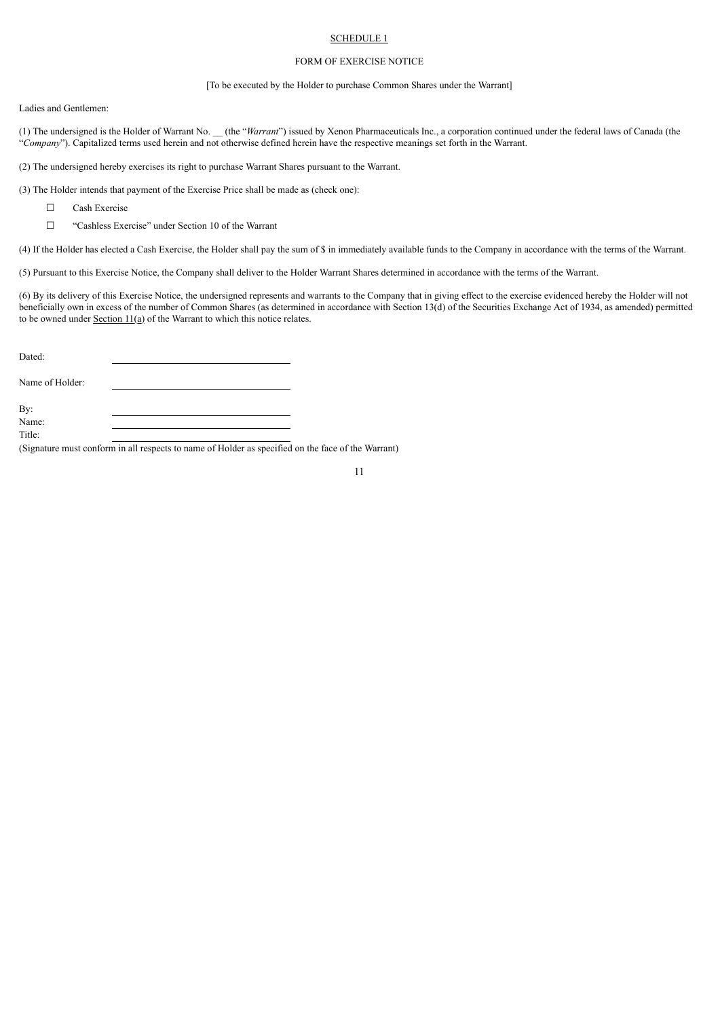# SCHEDULE 1

# FORM OF EXERCISE NOTICE

# [To be executed by the Holder to purchase Common Shares under the Warrant]

Ladies and Gentlemen:

(1) The undersigned is the Holder of Warrant No. \_\_ (the "*Warrant*") issued by Xenon Pharmaceuticals Inc., a corporation continued under the federal laws of Canada (the "*Company*"). Capitalized terms used herein and not otherwise defined herein have the respective meanings set forth in the Warrant.

(2) The undersigned hereby exercises its right to purchase Warrant Shares pursuant to the Warrant.

(3) The Holder intends that payment of the Exercise Price shall be made as (check one):

☐ Cash Exercise

☐ "Cashless Exercise" under Section 10 of the Warrant

(4) If the Holder has elected a Cash Exercise, the Holder shall pay the sum of \$ in immediately available funds to the Company in accordance with the terms of the Warrant.

(5) Pursuant to this Exercise Notice, the Company shall deliver to the Holder Warrant Shares determined in accordance with the terms of the Warrant.

(6) By its delivery of this Exercise Notice, the undersigned represents and warrants to the Company that in giving effect to the exercise evidenced hereby the Holder will not beneficially own in excess of the number of Common Shares (as determined in accordance with Section 13(d) of the Securities Exchange Act of 1934, as amended) permitted to be owned under Section  $11(a)$  of the Warrant to which this notice relates.

Dated:

Name of Holder:

By: Name:

Title:

(Signature must conform in all respects to name of Holder as specified on the face of the Warrant)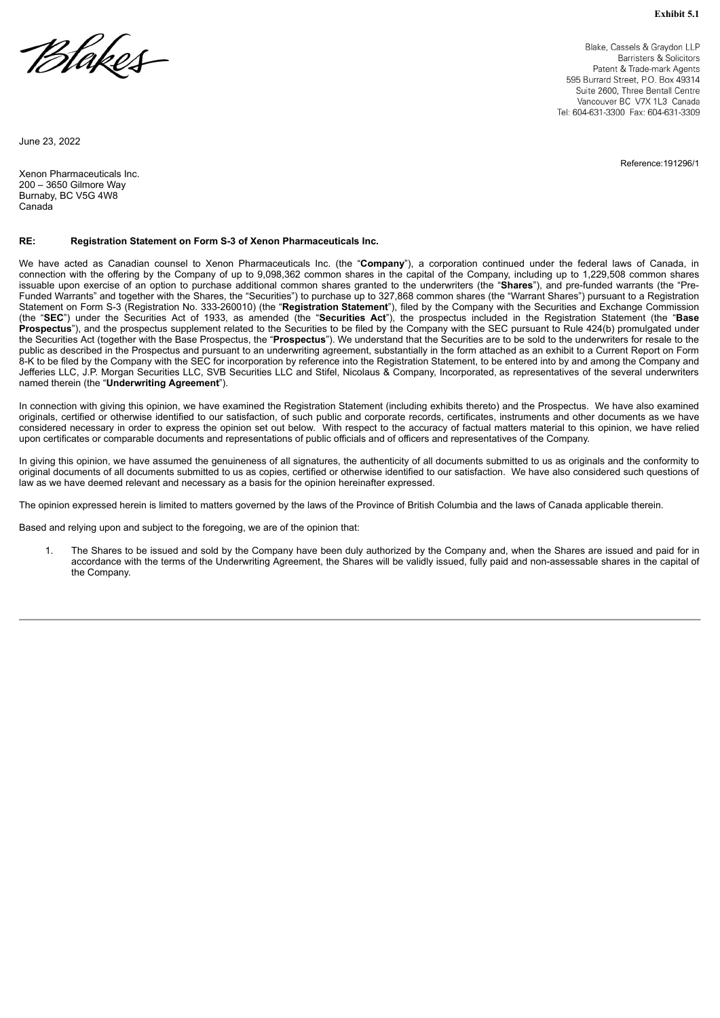**Exhibit 5.1**

<span id="page-58-0"></span>

Blake, Cassels & Graydon LLP Barristers & Solicitors Patent & Trade-mark Agents 595 Burrard Street, P.O. Box 49314 Suite 2600, Three Bentall Centre Vancouver BC V7X 1L3 Canada Tel: 604-631-3300 Fax: 604-631-3309

Reference:191296/1

June 23, 2022

Xenon Pharmaceuticals Inc. 200 – 3650 Gilmore Way Burnaby, BC V5G 4W8 **Canada** 

# **RE: Registration Statement on Form S-3 of Xenon Pharmaceuticals Inc.**

We have acted as Canadian counsel to Xenon Pharmaceuticals Inc. (the "**Company**"), a corporation continued under the federal laws of Canada, in connection with the offering by the Company of up to 9,098,362 common shares in the capital of the Company, including up to 1,229,508 common shares issuable upon exercise of an option to purchase additional common shares granted to the underwriters (the "**Shares**"), and pre-funded warrants (the "Pre-Funded Warrants" and together with the Shares, the "Securities") to purchase up to 327,868 common shares (the "Warrant Shares") pursuant to a Registration Statement on Form S-3 (Registration No. 333-260010) (the "**Registration Statement**"), filed by the Company with the Securities and Exchange Commission (the "**SEC**") under the Securities Act of 1933, as amended (the "**Securities Act**"), the prospectus included in the Registration Statement (the "**Base** Prospectus"), and the prospectus supplement related to the Securities to be filed by the Company with the SEC pursuant to Rule 424(b) promulgated under the Securities Act (together with the Base Prospectus, the "**Prospectus**"). We understand that the Securities are to be sold to the underwriters for resale to the public as described in the Prospectus and pursuant to an underwriting agreement, substantially in the form attached as an exhibit to a Current Report on Form 8-K to be filed by the Company with the SEC for incorporation by reference into the Registration Statement, to be entered into by and among the Company and Jefferies LLC, J.P. Morgan Securities LLC, SVB Securities LLC and Stifel, Nicolaus & Company, Incorporated, as representatives of the several underwriters named therein (the "**Underwriting Agreement**").

In connection with giving this opinion, we have examined the Registration Statement (including exhibits thereto) and the Prospectus. We have also examined originals, certified or otherwise identified to our satisfaction, of such public and corporate records, certificates, instruments and other documents as we have considered necessary in order to express the opinion set out below. With respect to the accuracy of factual matters material to this opinion, we have relied upon certificates or comparable documents and representations of public officials and of officers and representatives of the Company.

In giving this opinion, we have assumed the genuineness of all signatures, the authenticity of all documents submitted to us as originals and the conformity to original documents of all documents submitted to us as copies, certified or otherwise identified to our satisfaction. We have also considered such questions of law as we have deemed relevant and necessary as a basis for the opinion hereinafter expressed.

The opinion expressed herein is limited to matters governed by the laws of the Province of British Columbia and the laws of Canada applicable therein.

Based and relying upon and subject to the foregoing, we are of the opinion that:

1. The Shares to be issued and sold by the Company have been duly authorized by the Company and, when the Shares are issued and paid for in accordance with the terms of the Underwriting Agreement, the Shares will be validly issued, fully paid and non-assessable shares in the capital of the Company.